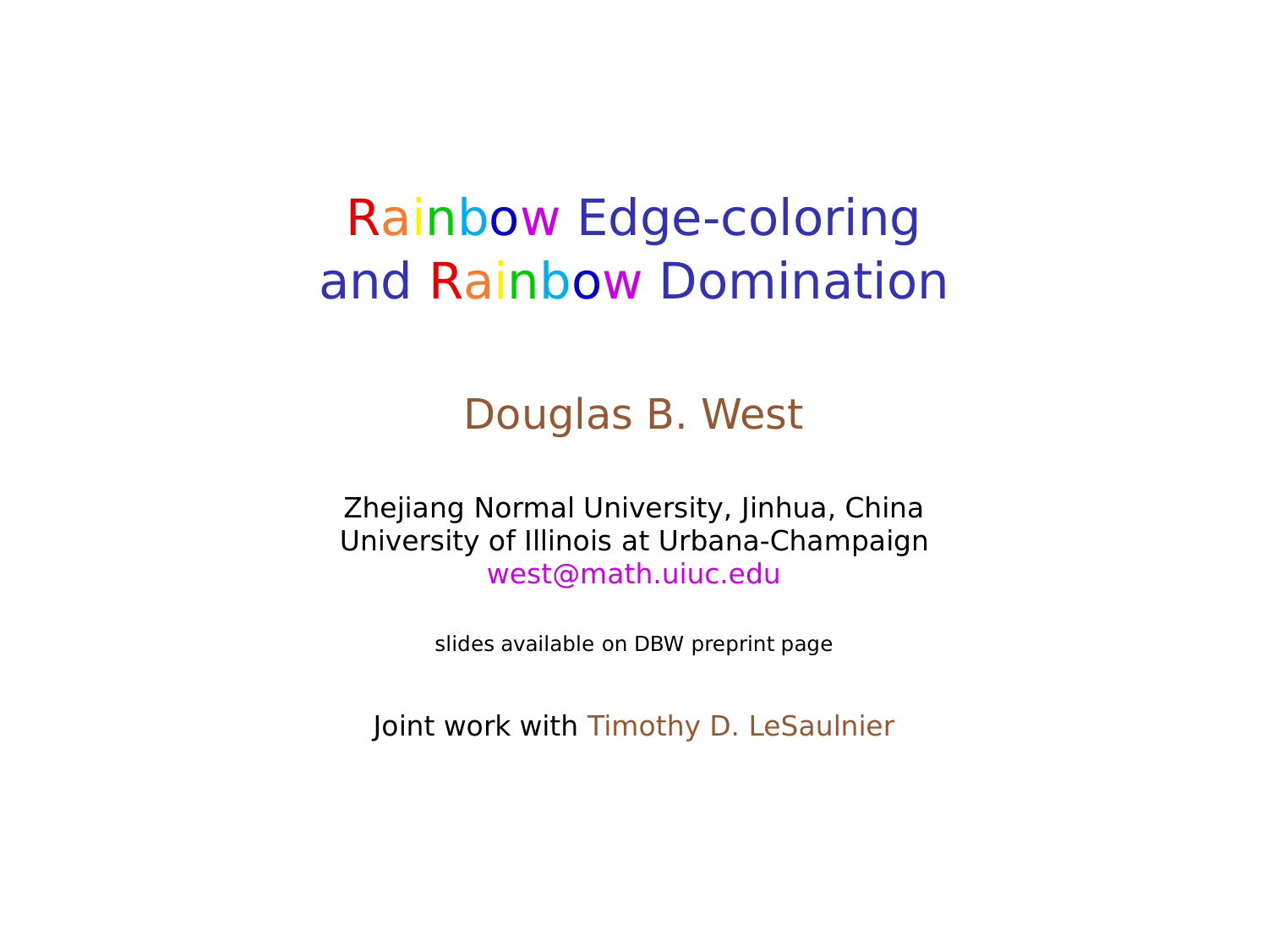### Rainbow Edge-coloring and Rainbow Domination

#### Douglas B. West

Zhejiang Normal University, Jinhua, China University of Illinois at Urbana-Champaign west@math.uiuc.edu

slides available on DBW preprint page

Joint work with Timothy D. LeSaulnier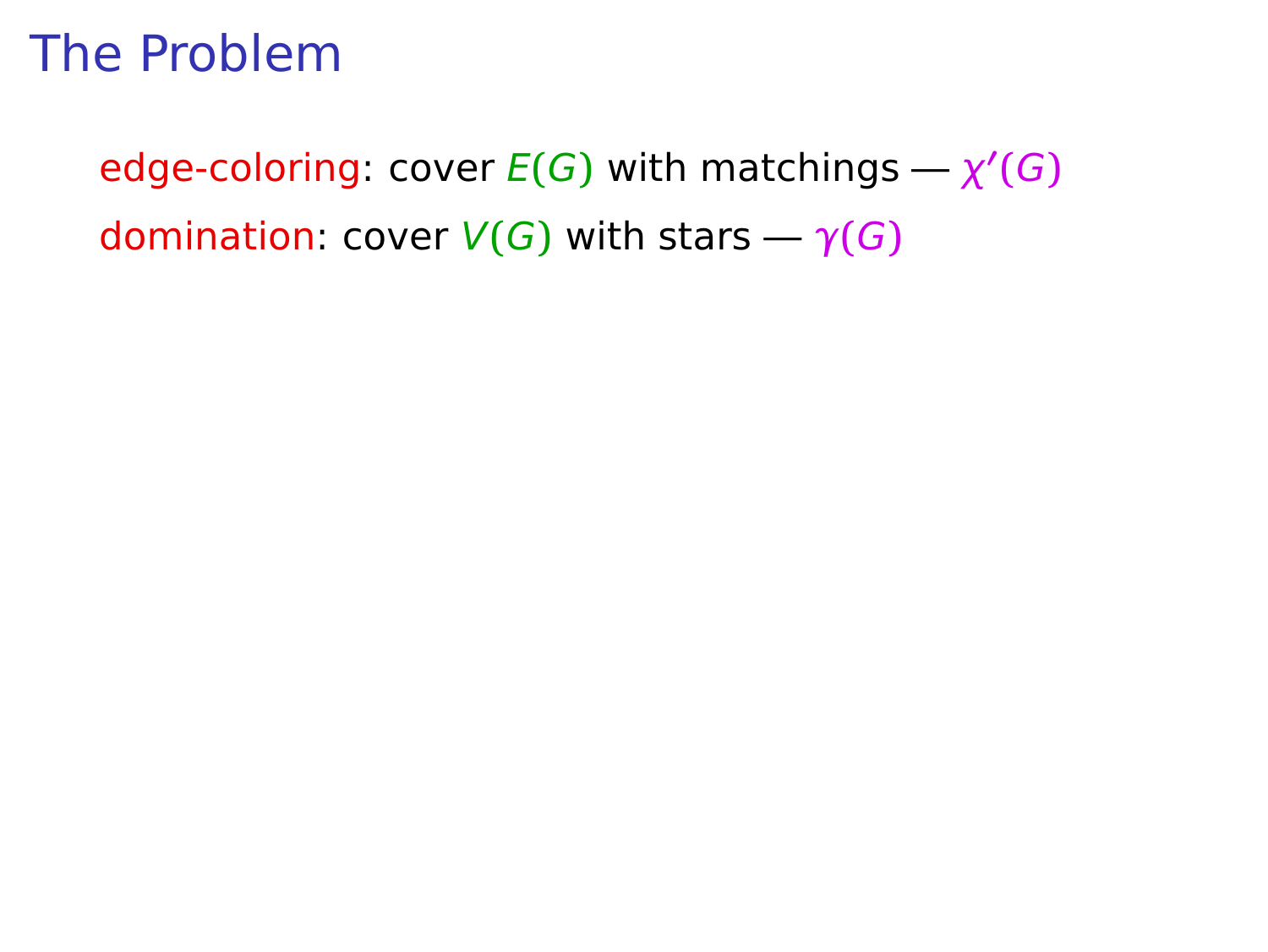$\mathsf{edge-coloring: cover} E(G)$  with matchings  $\rightarrow \chi'(G)$ domination: cover  $V(G)$  with stars  $-\gamma(G)$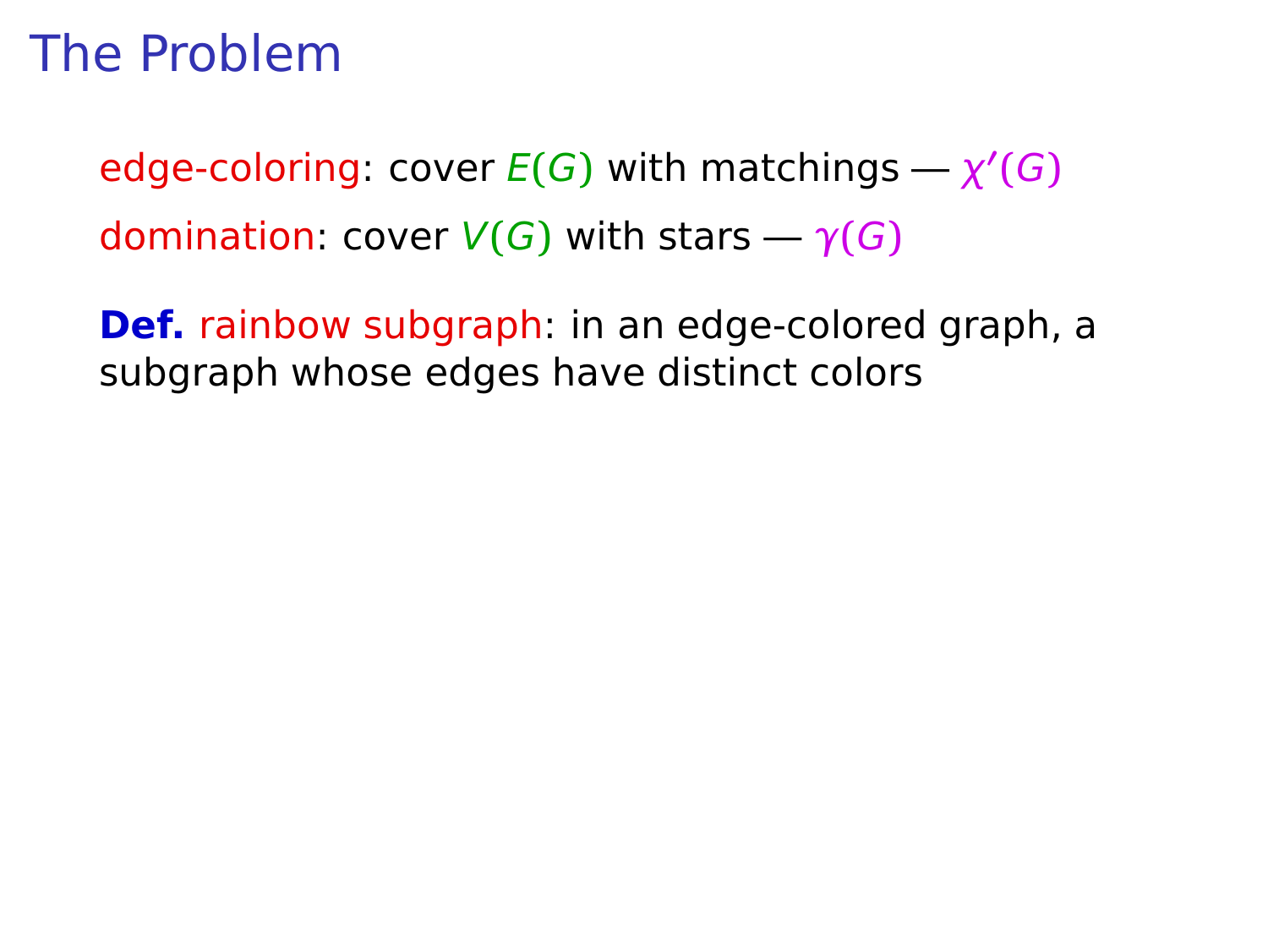$\mathsf{edge-coloring: cover} E(G)$  with matchings  $\rightarrow \chi'(G)$ domination: cover  $V(G)$  with stars  $-\gamma(G)$ 

**Def.** rainbow subgraph: in an edge-colored graph, a subgraph whose edges have distinct colors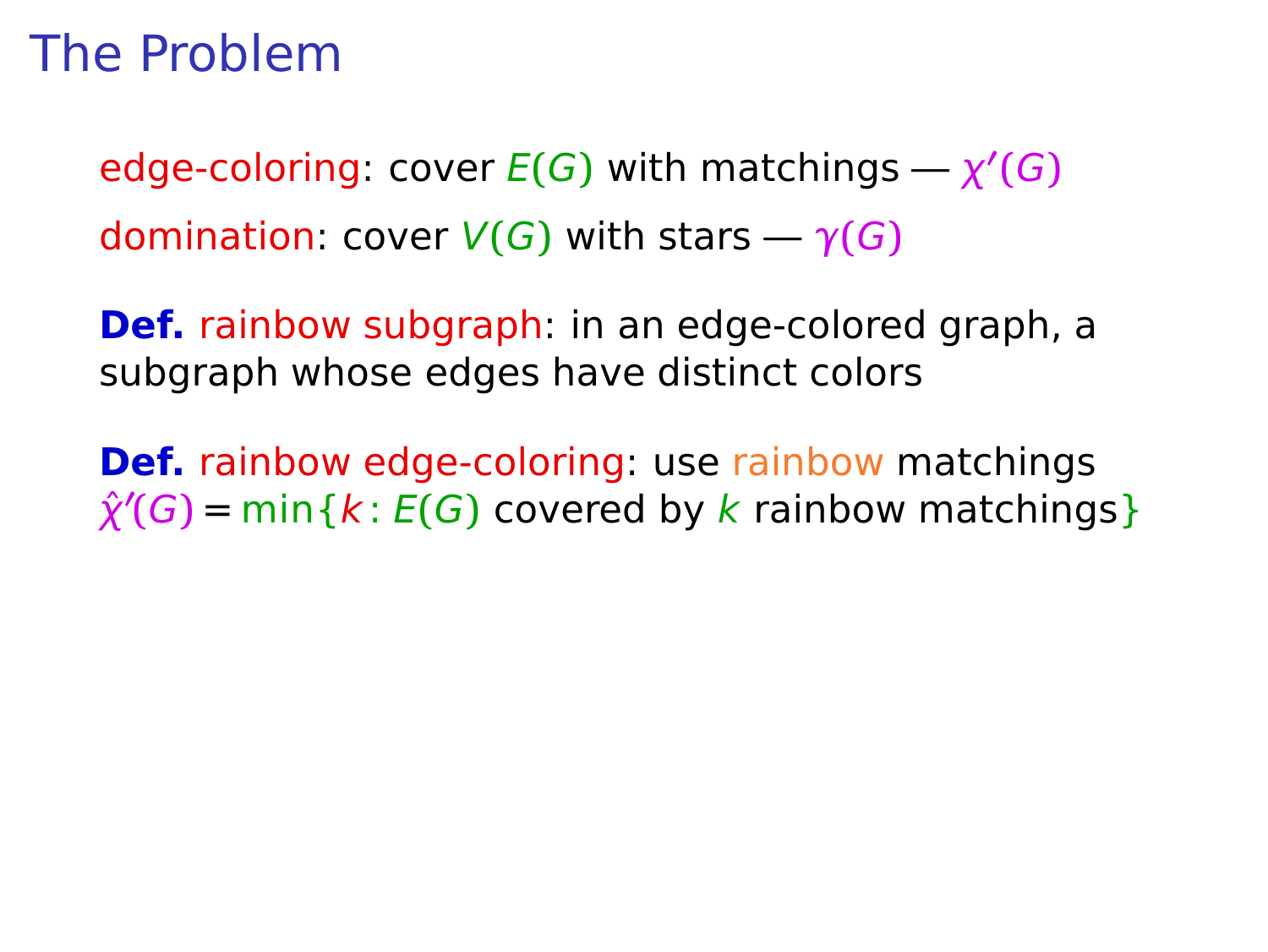$\mathsf{edge-coloring: cover} E(G)$  with matchings  $\rightarrow \chi'(G)$ domination: cover  $V(G)$  with stars  $-\gamma(G)$ 

**Def.** rainbow subgraph: in an edge-colored graph, a subgraph whose edges have distinct colors

**Def.** rainbow edge-coloring: use rainbow matchings  $\hat{\chi}'(G)$  = min { $k: E(G)$  covered by  $k$  rainbow matchings}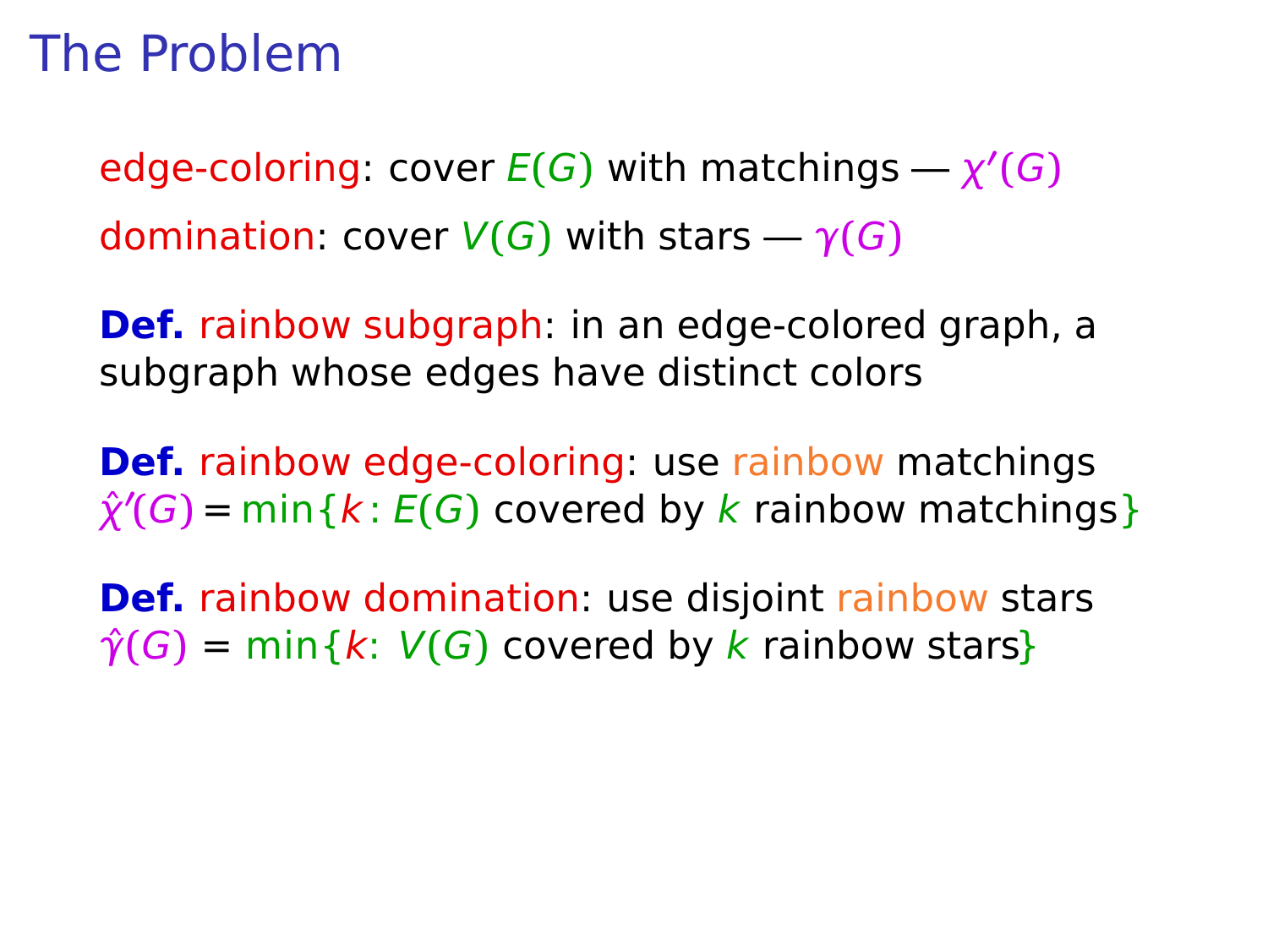$\mathsf{edge-coloring: cover} E(G)$  with matchings  $\rightarrow \chi'(G)$ domination: cover  $V(G)$  with stars  $-\gamma(G)$ 

**Def.** rainbow subgraph: in an edge-colored graph, a subgraph whose edges have distinct colors

**Def.** rainbow edge-coloring: use rainbow matchings  $\hat{\chi}'(G)$  = min { $k: E(G)$  covered by  $k$  rainbow matchings}

**Def.** rainbow domination: use disjoint rainbow stars  $\hat{\gamma}(G)$  = min{k:  $V(G)$  covered by k rainbow stars}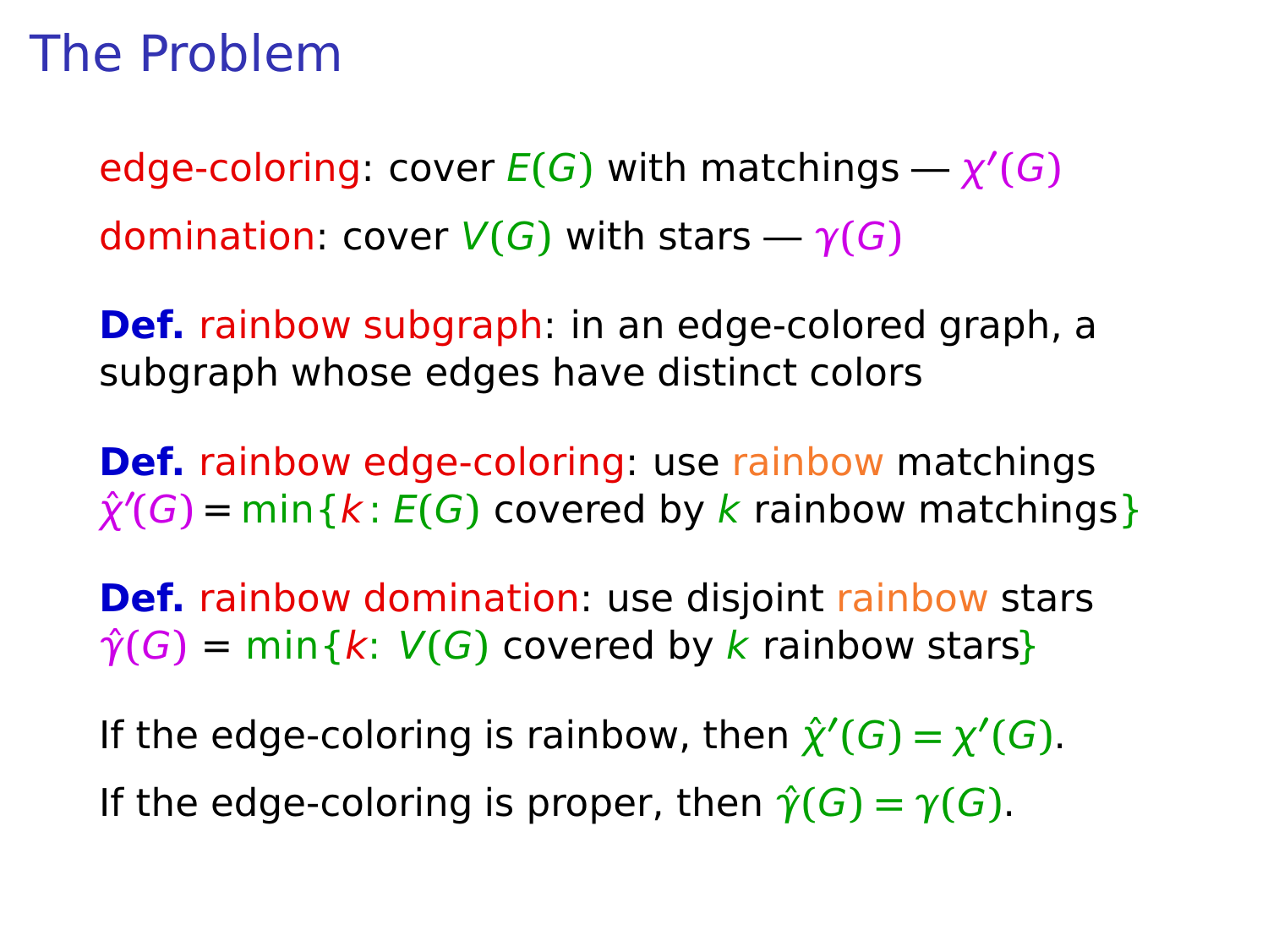$\mathsf{edge-coloring: cover} E(G)$  with matchings  $\rightarrow \chi'(G)$ domination: cover  $V(G)$  with stars  $-\gamma(G)$ 

**Def.** rainbow subgraph: in an edge-colored graph, a subgraph whose edges have distinct colors

**Def.** rainbow edge-coloring: use rainbow matchings  $\hat{\chi}'(G)$  = min { $k: E(G)$  covered by  $k$  rainbow matchings}

**Def.** rainbow domination: use disjoint rainbow stars  $\hat{\gamma}(G) = \min\{k: V(G) \text{ covered by } k \text{ rainbow stars}\}$ 

If the edge-coloring is rainbow, then  $\hat{\chi}'(G) = \chi'(G)$ . If the edge-coloring is proper, then  $\hat{\gamma}(G) = \gamma(G)$ .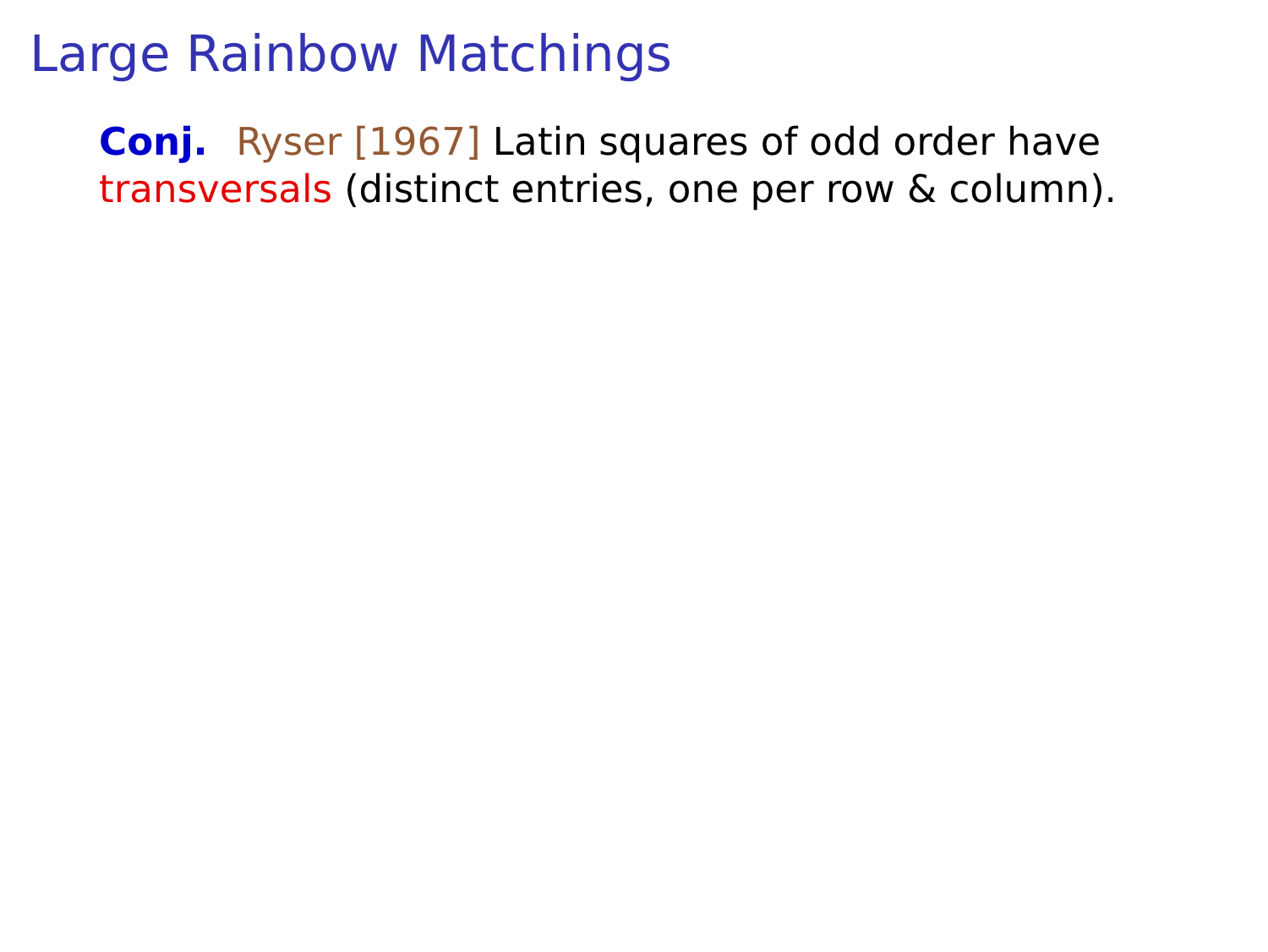**Conj.** Ryser [1967] Latin squares of odd order have transversals (distinct entries, one per row & column).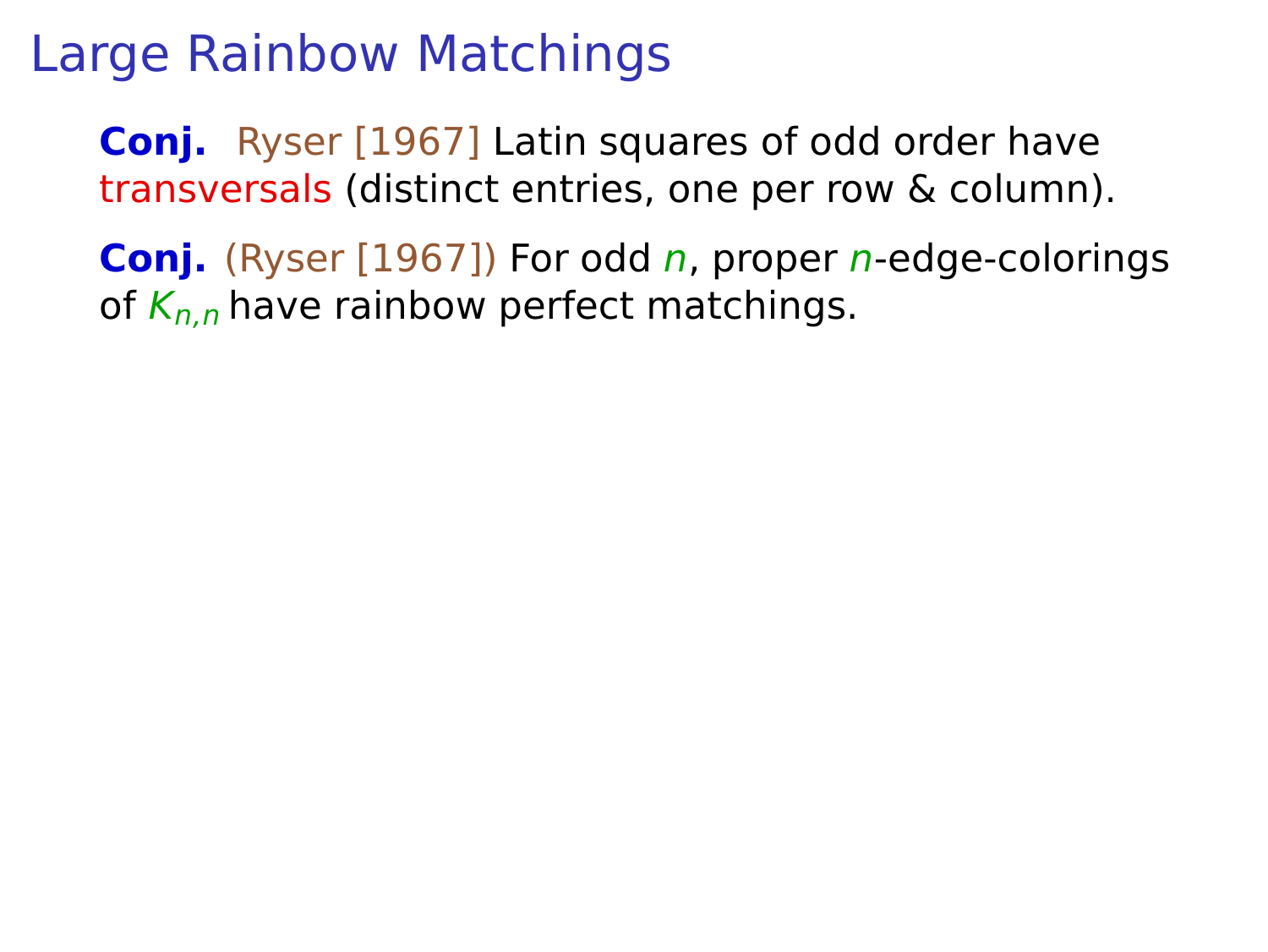**Conj.** Ryser [1967] Latin squares of odd order have transversals (distinct entries, one per row & column).

**Conj.** (Ryser [1967]) For odd *n*, proper *n*-edge-colorings of  $K_{n,n}$  have rainbow perfect matchings.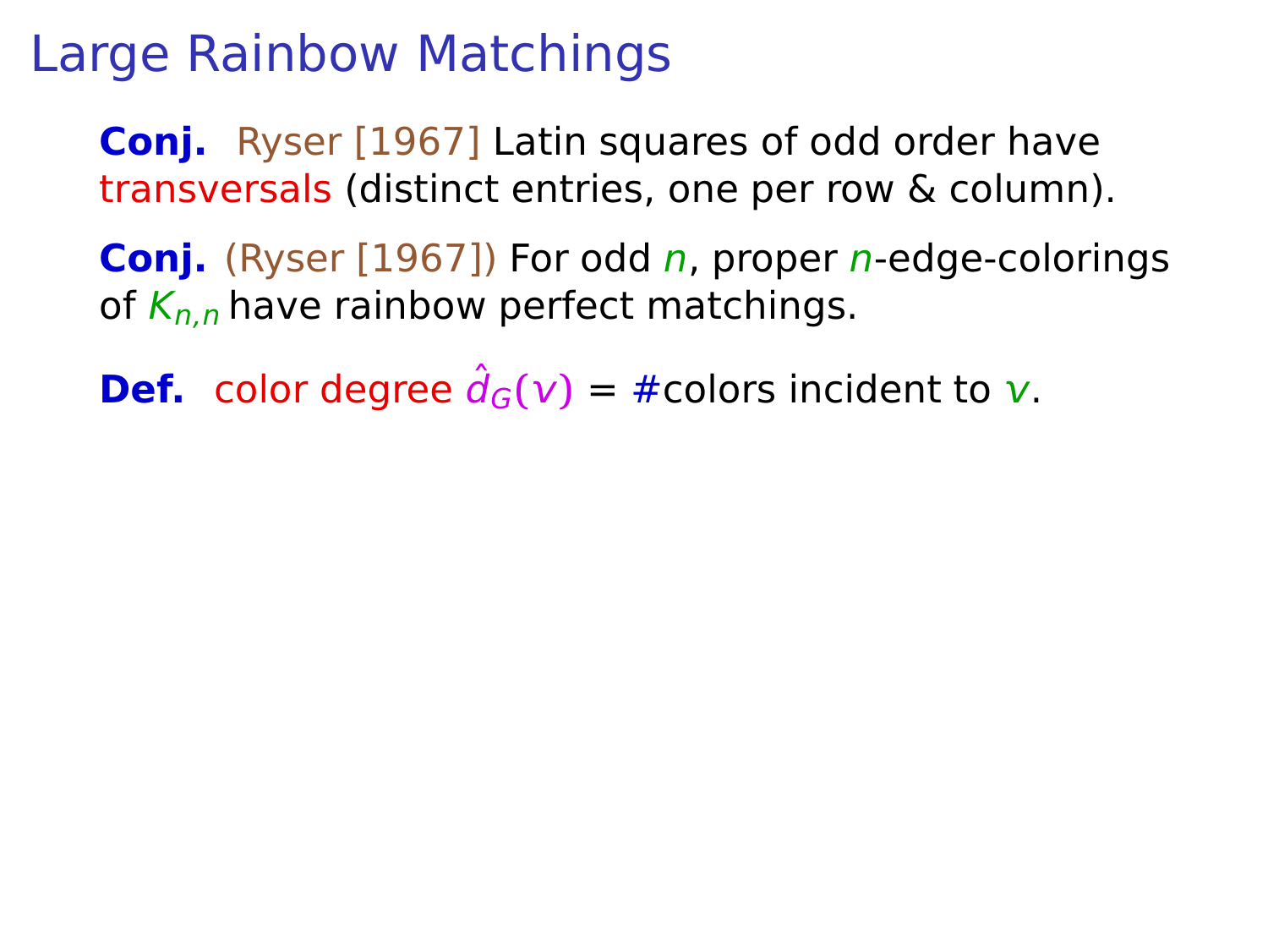**Conj.** Ryser [1967] Latin squares of odd order have transversals (distinct entries, one per row & column).

**Conj.** (Ryser [1967]) For odd *n*, proper *n*-edge-colorings of  $K_{n,n}$  have rainbow perfect matchings.

**Def.** color degree  $\hat{d}_G(v) = \text{\#colors incident to } v$ .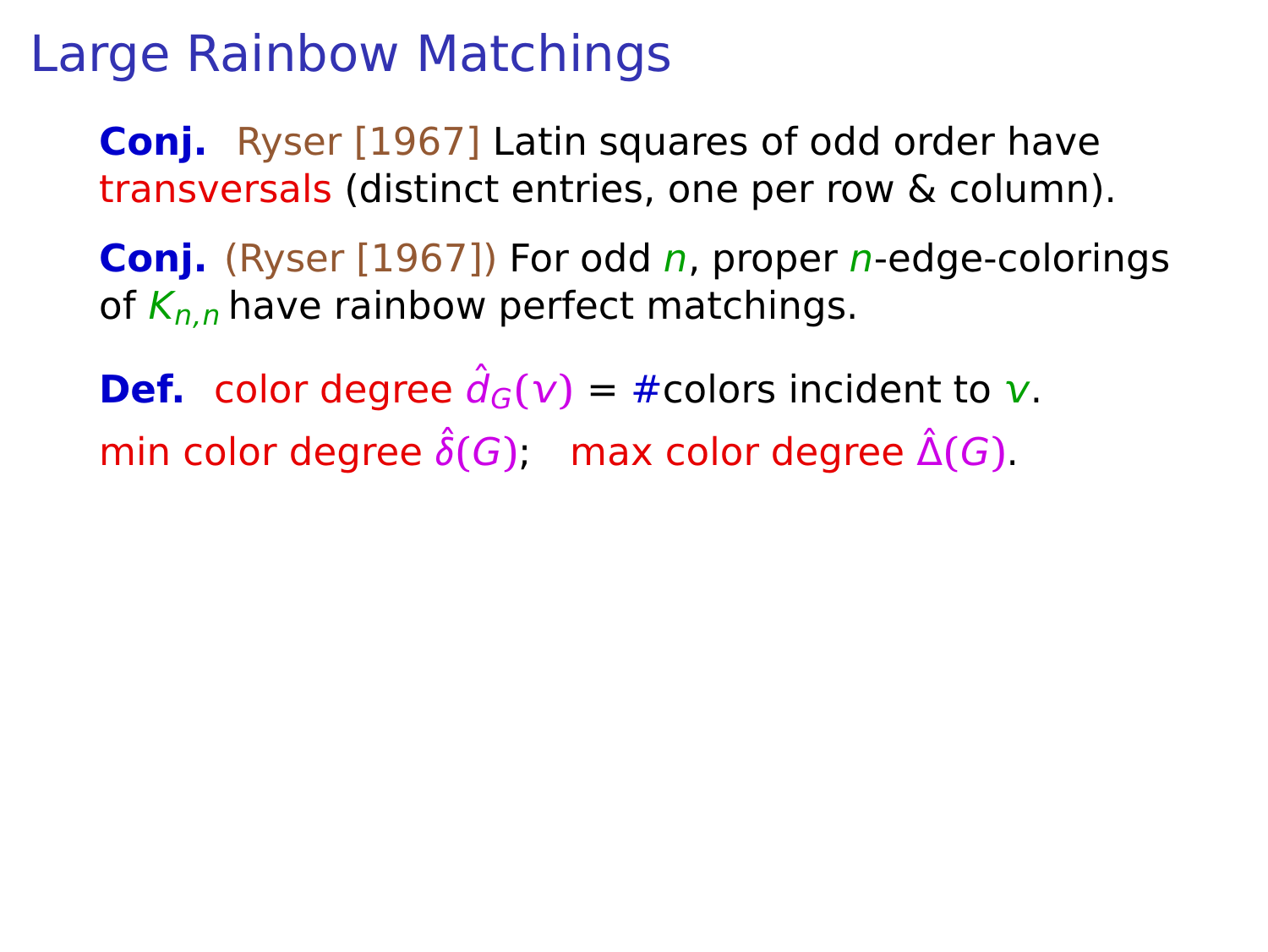**Conj.** Ryser [1967] Latin squares of odd order have transversals (distinct entries, one per row & column).

**Conj.** (Ryser [1967]) For odd *n*, proper *n*-edge-colorings of  $K_{n,n}$  have rainbow perfect matchings.

**Def.** color degree  $\hat{d}_G(v) = \text{\#colors incident to } v$ . min color degree  $\hat{\delta}(G)$ ; max color degree  $\hat{\Delta}(G)$ .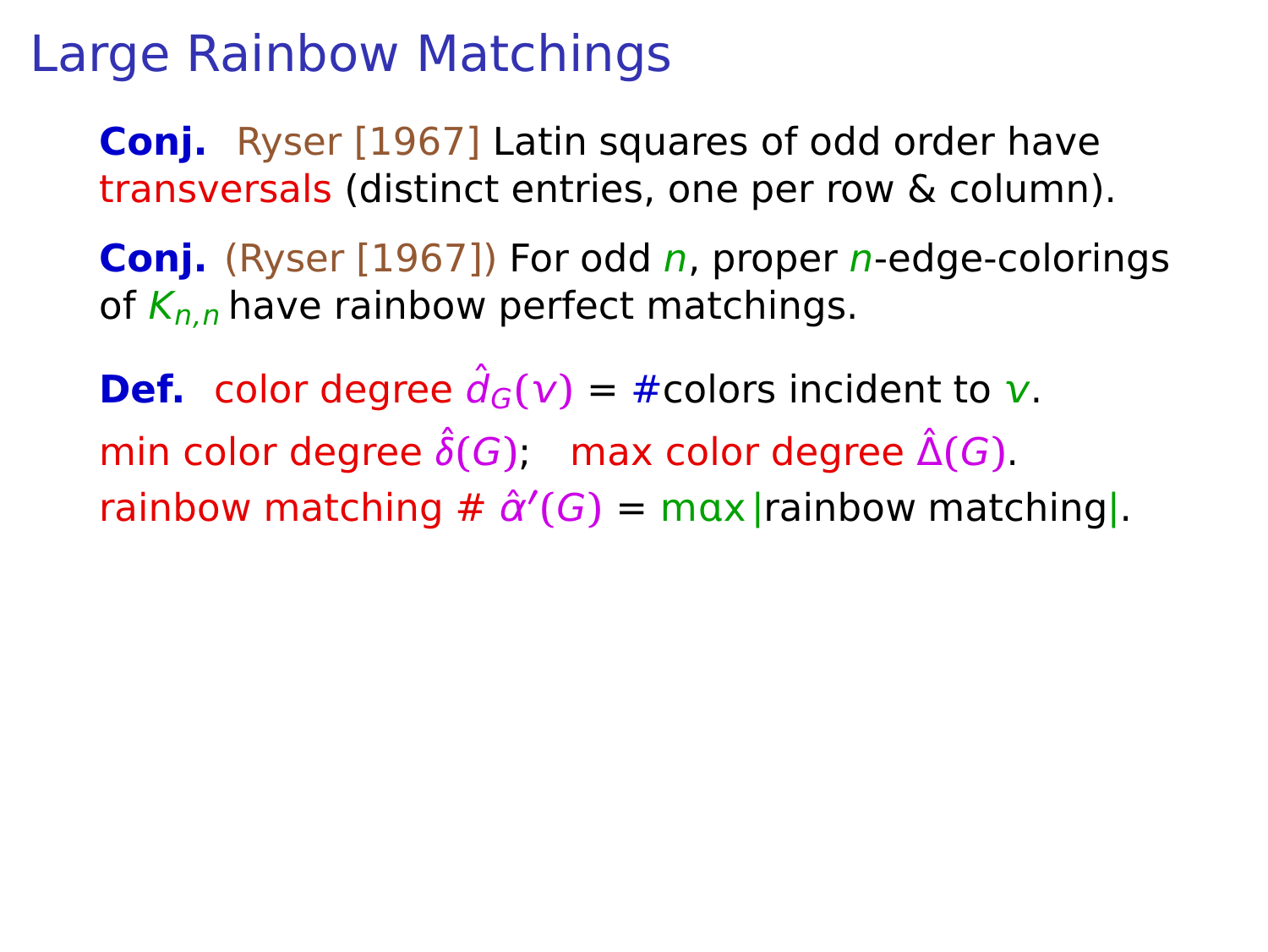**Conj.** Ryser [1967] Latin squares of odd order have transversals (distinct entries, one per row & column).

**Conj.** (Ryser [1967]) For odd *n*, proper *n*-edge-colorings of  $K_{n,n}$  have rainbow perfect matchings.

**Def.** color degree  $\hat{d}_G(v) = \text{\#colors incident to } v$ . min color degree  $\hat{\delta}(G)$ ; max color degree  $\hat{\Delta}(G)$ .  $r_{\text{ainbow}}$  matching  $\#\ \hat{\alpha}'(G) = \max |r_{\text{ainbow}}|$  matching|.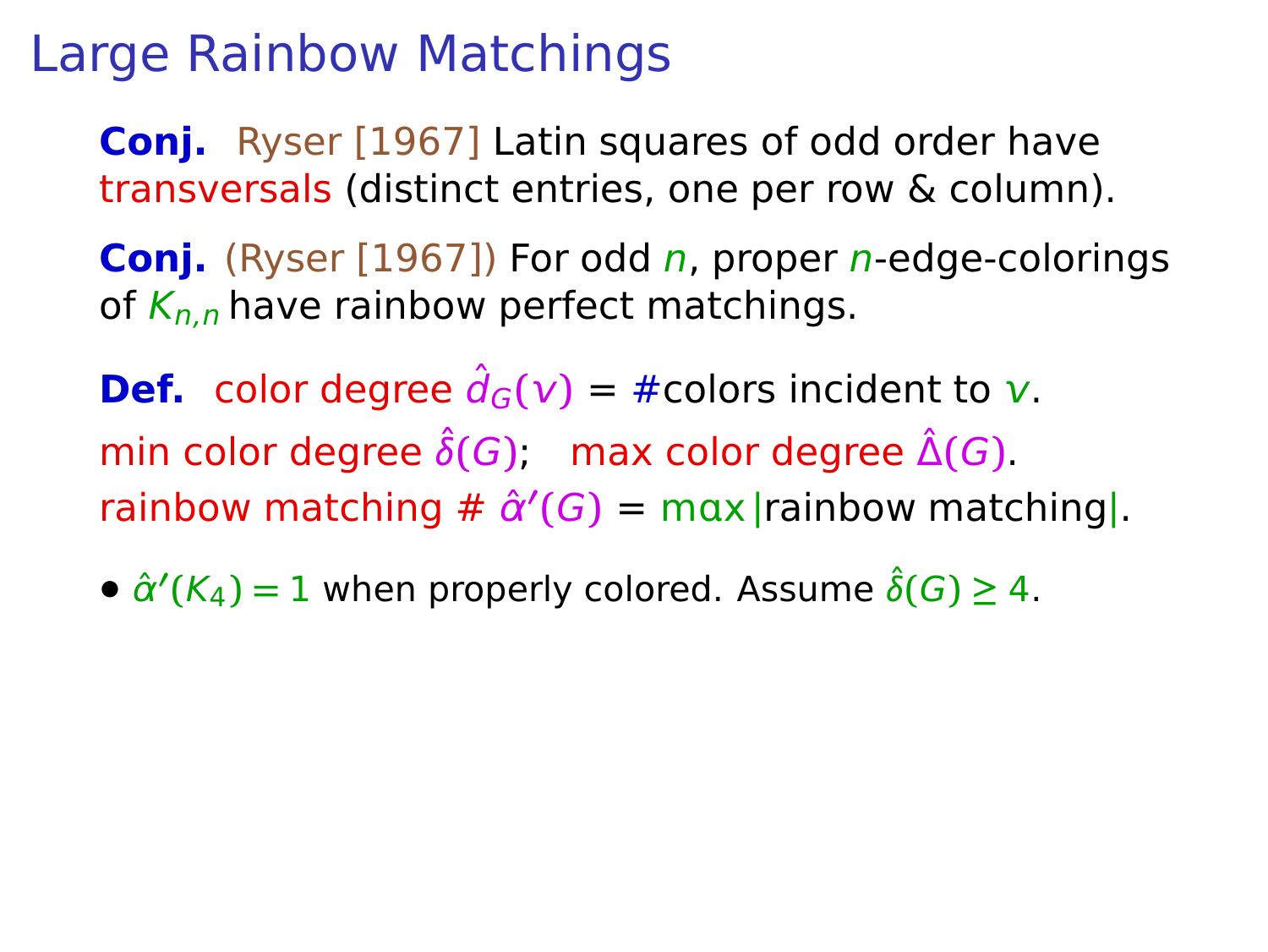**Conj.** Ryser [1967] Latin squares of odd order have transversals (distinct entries, one per row & column).

**Coni.** (Ryser [1967]) For odd *n*, proper *n*-edge-colorings of  $K_{n,n}$  have rainbow perfect matchings.

**Def.** color degree  $\hat{d}_G(v) = \text{\#colors incident to } v$ . min color degree  $\hat{\delta}(G)$ ; max color degree  $\hat{\Delta}(G)$ .  $r_{\text{ainbow}}$  matching  $\#\ \hat{\alpha}'(G) = \max |r_{\text{ainbow}}|$  matching|.

•  $\hat{\alpha}'(K_4) = 1$  when properly colored. Assume  $\hat{\delta}(G) \geq 4$ .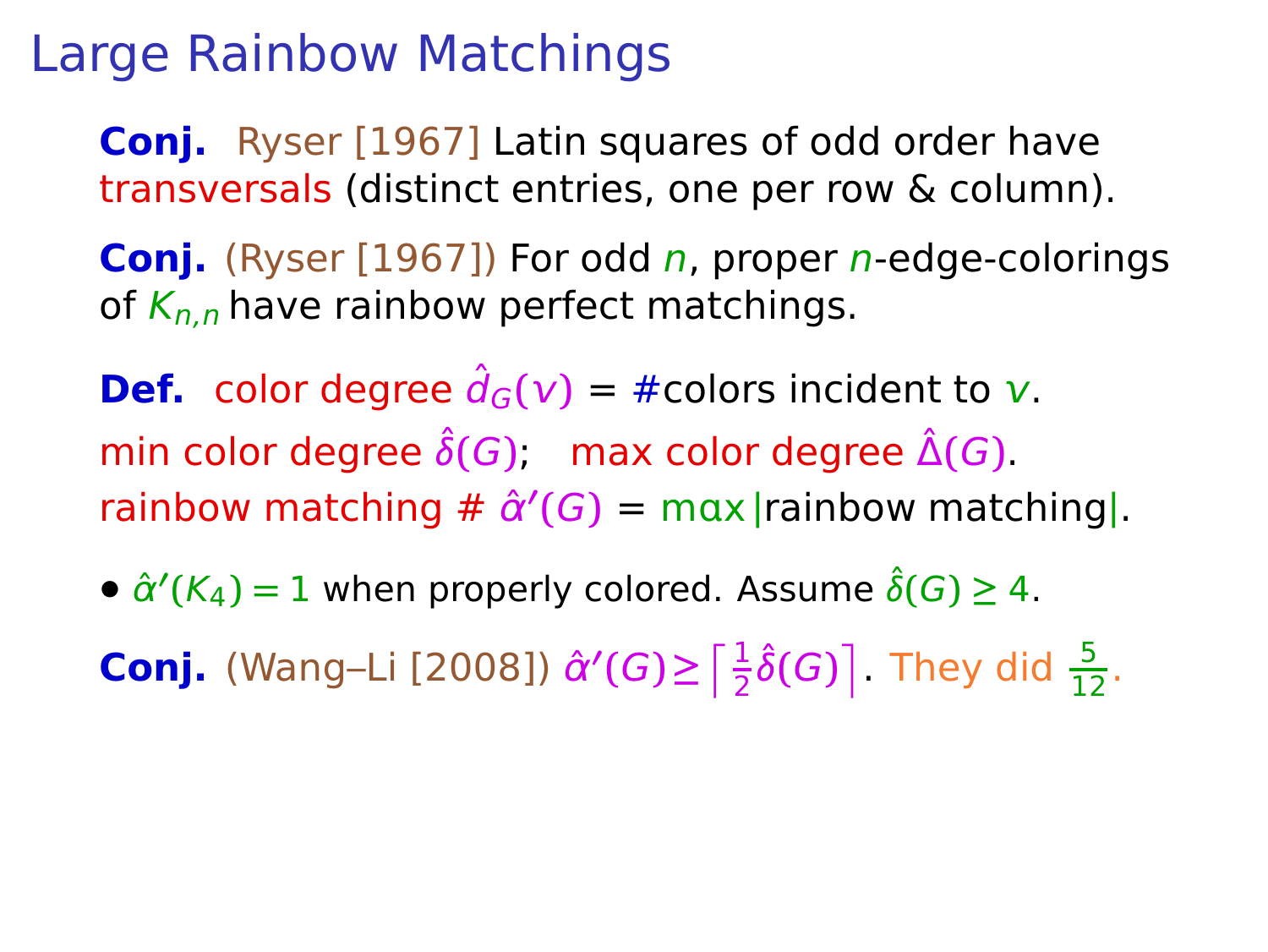**Conj.** Ryser [1967] Latin squares of odd order have transversals (distinct entries, one per row & column).

**Coni.** (Ryser [1967]) For odd *n*, proper *n*-edge-colorings of  $K_{n,n}$  have rainbow perfect matchings.

**Def.** color degree  $\hat{d}_G(v) = \text{\#colors incident to } v$ . min color degree  $\hat{\delta}(G)$ ; max color degree  $\hat{\Delta}(G)$ .  $r_{\text{ainbow}}$  matching  $\#\ \hat{\alpha}'(G) = \max |r_{\text{ainbow}}|$  matching|.

•  $\hat{\alpha}'(K_4) = 1$  when properly colored. Assume  $\hat{\delta}(G) \geq 4$ .

**Conj.** (Wang–Li [2008])  $\hat{\alpha}'(G) \ge \left[\frac{1}{2}\hat{\delta}(G)\right]$ . They did  $\frac{5}{12}$ .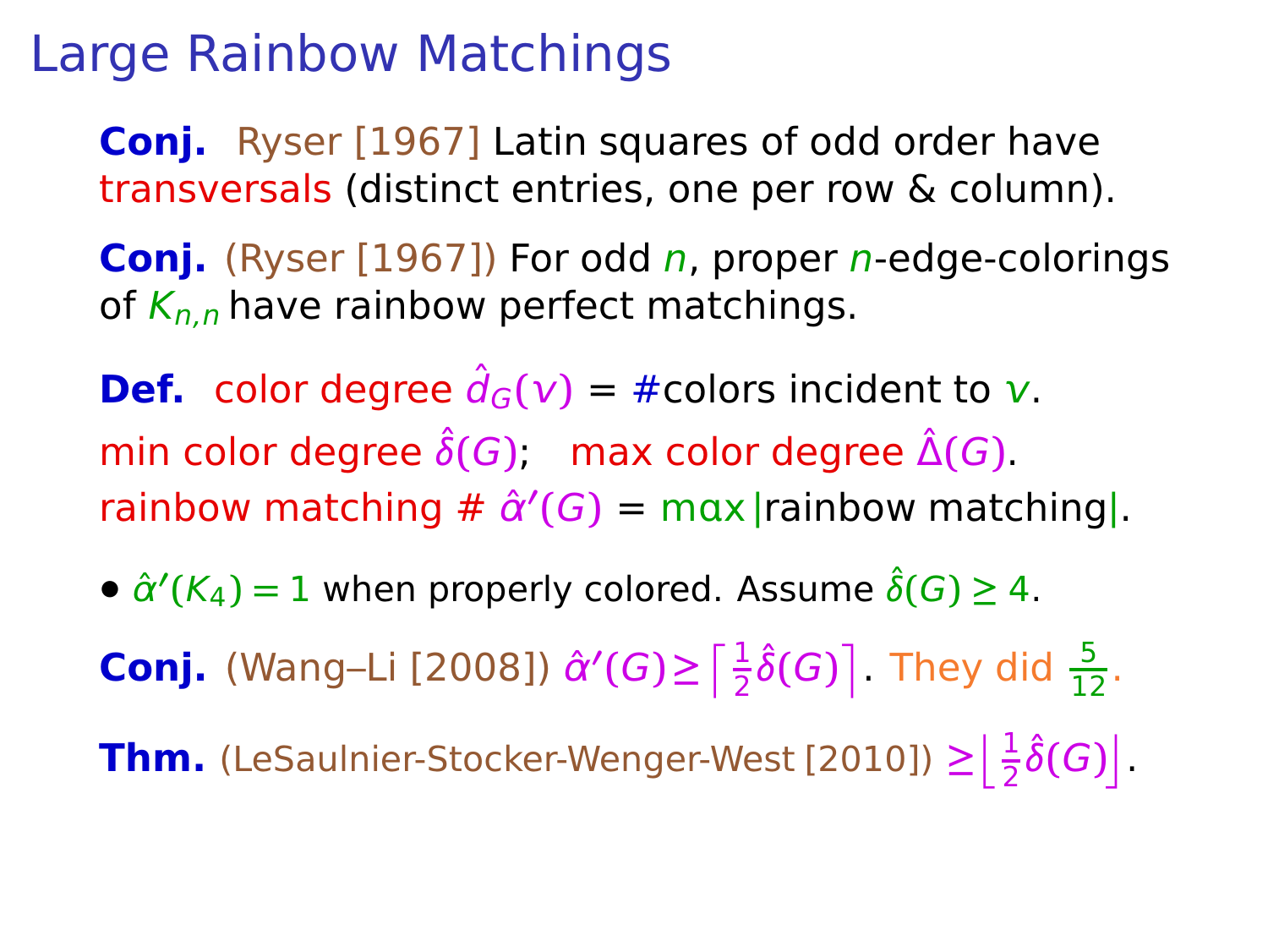**Conj.** Ryser [1967] Latin squares of odd order have transversals (distinct entries, one per row & column).

**Conj.** (Ryser [1967]) For odd *n*, proper *n*-edge-colorings of  $K_{n,n}$  have rainbow perfect matchings.

**Def.** color degree  $\hat{d}_G(v) = \text{\#colors incident to } v$ . min color degree  $\hat{\delta}(G)$ ; max color degree  $\hat{\Delta}(G)$ .  $r_{\text{ainbow}}$  matching  $\#\ \hat{\alpha}'(G) = \max |r_{\text{ainbow}}|$  matching|.

•  $\hat{\alpha}'(K_4) = 1$  when properly colored. Assume  $\hat{\delta}(G) \geq 4$ .

**Conj.** (Wang–Li [2008])  $\hat{\alpha}'(G) \ge \left[\frac{1}{2}\hat{\delta}(G)\right]$ . They did  $\frac{5}{12}$ .

**Thm.** (LeSaulnier-Stocker-Wenger-West [2010])  $\geq \left\lfloor \frac{1}{2} \hat{\delta}(G) \right\rfloor$ .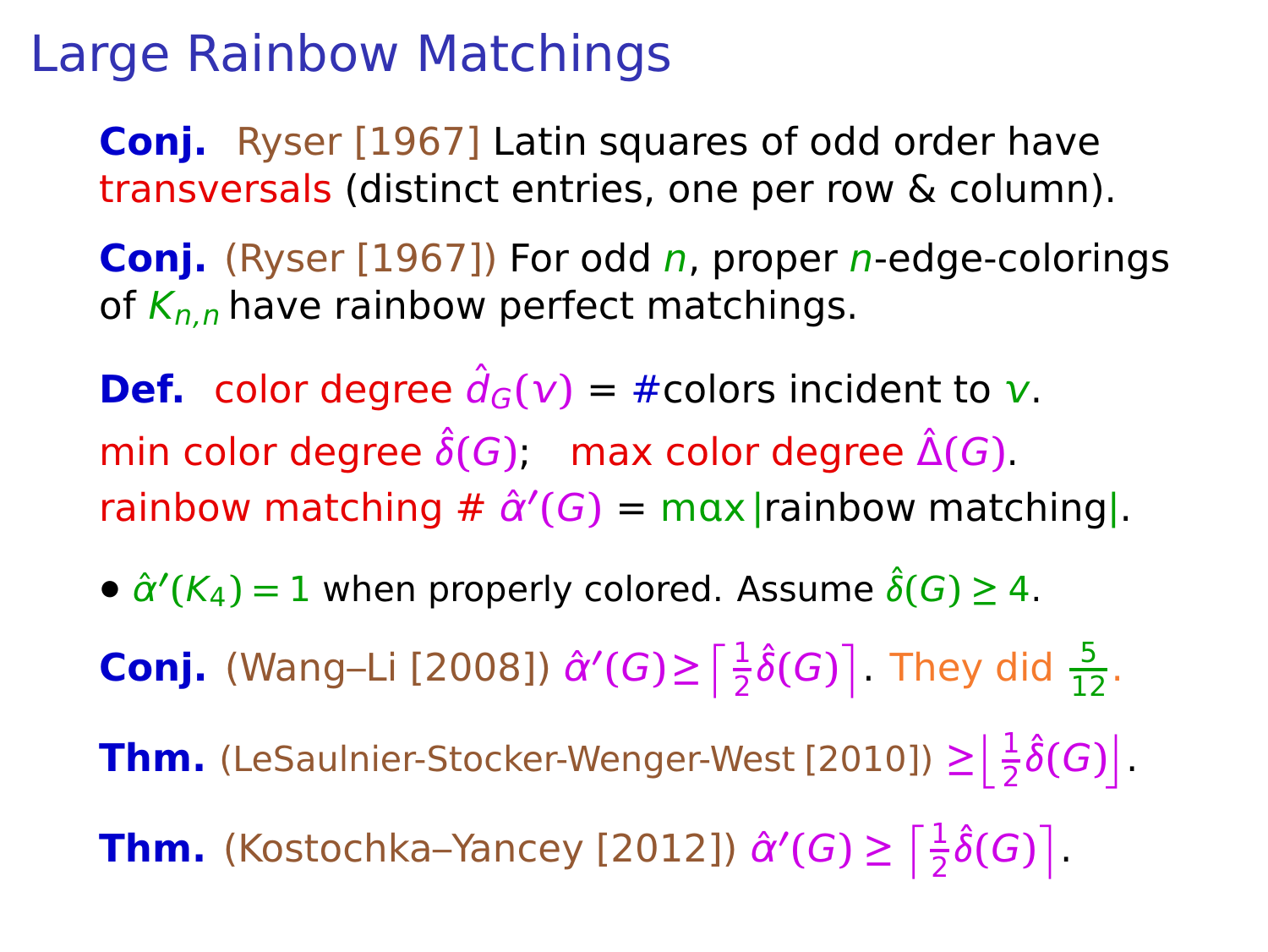**Conj.** Ryser [1967] Latin squares of odd order have transversals (distinct entries, one per row & column).

**Conj.** (Ryser [1967]) For odd *n*, proper *n*-edge-colorings of  $K_{n,n}$  have rainbow perfect matchings.

**Def.** color degree  $\hat{d}_G(v) = \text{\#colors incident to } v$ . min color degree  $\hat{\delta}(G)$ ; max color degree  $\hat{\Delta}(G)$ .  $r_{\text{ainbow}}$  matching  $\#\ \hat{\alpha}'(G) = \max |r_{\text{ainbow}}|$  matching|.

•  $\hat{\alpha}'(K_4) = 1$  when properly colored. Assume  $\hat{\delta}(G) \geq 4$ .

**Conj.** (Wang–Li [2008])  $\hat{\alpha}'(G) \ge \left[\frac{1}{2}\hat{\delta}(G)\right]$ . They did  $\frac{5}{12}$ .

**Thm.** (LeSaulnier-Stocker-Wenger-West [2010])  $\geq \left\lfloor \frac{1}{2} \hat{\delta}(G) \right\rfloor$ .

**Thm.** (Kostochka–Yancey [2012])  $\hat{\alpha}'(G) \ge \left\lceil \frac{1}{2} \hat{\delta}(G) \right\rceil$ .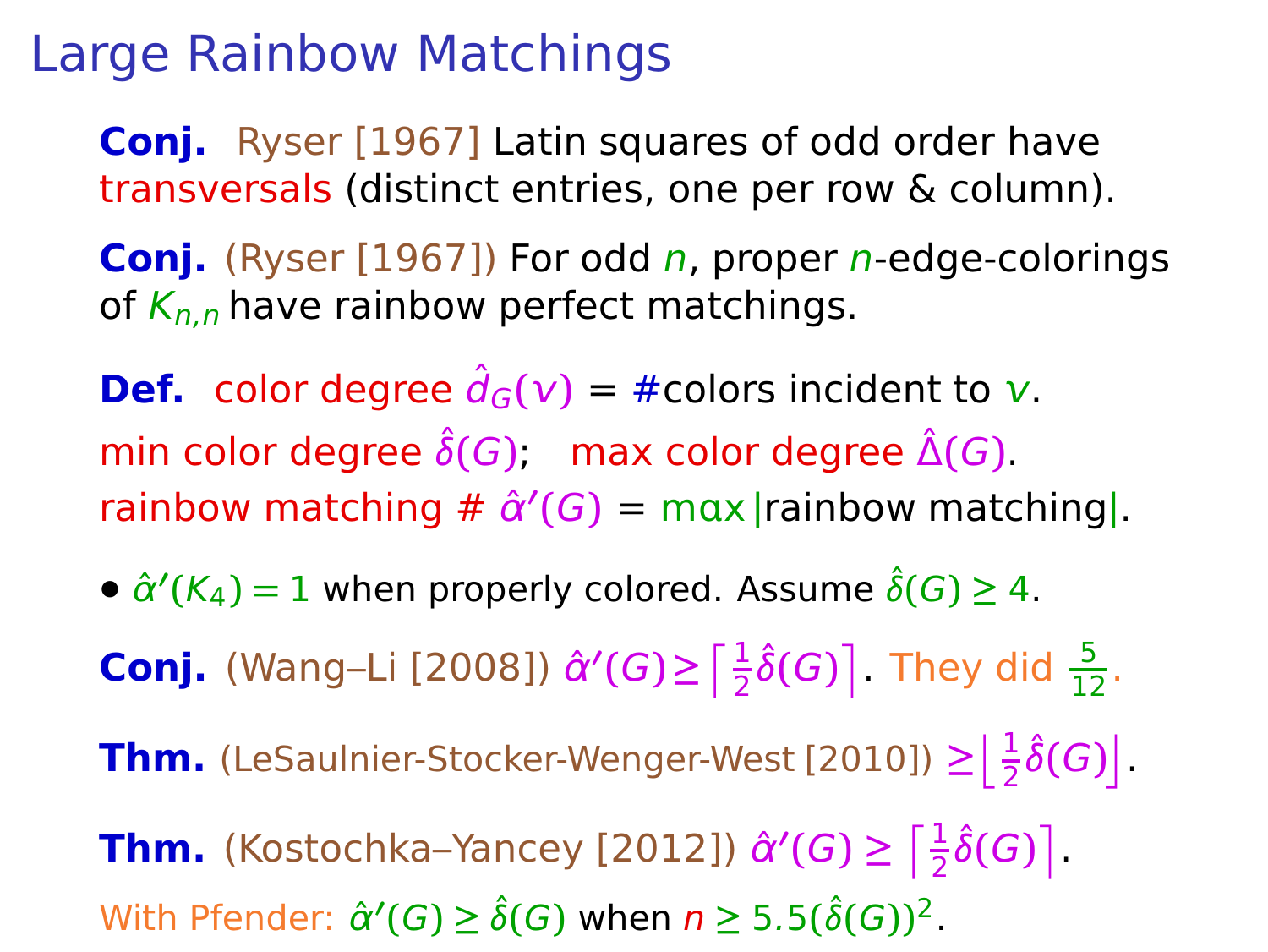**Conj.** Ryser [1967] Latin squares of odd order have transversals (distinct entries, one per row & column).

**Conj.** (Ryser [1967]) For odd *n*, proper *n*-edge-colorings of  $K_{n,n}$  have rainbow perfect matchings.

**Def.** color degree  $\hat{d}_G(v) = \text{\#colors incident to } v$ . min color degree  $\hat{\delta}(G)$ ; max color degree  $\hat{\Delta}(G)$ .  $r_{\text{ainbow}}$  matching  $\#\ \hat{\alpha}'(G) = \max |r_{\text{ainbow}}|$  matching|.

•  $\hat{\alpha}'(K_4) = 1$  when properly colored. Assume  $\hat{\delta}(G) \geq 4$ .

**Conj.** (Wang–Li [2008])  $\hat{\alpha}'(G) \ge \left[\frac{1}{2}\hat{\delta}(G)\right]$ . They did  $\frac{5}{12}$ .

**Thm.** (LeSaulnier-Stocker-Wenger-West [2010])  $\geq \left\lfloor \frac{1}{2} \hat{\delta}(G) \right\rfloor$ .

**Thm.** (Kostochka–Yancey [2012])  $\hat{\alpha}'(G) \ge \left\lceil \frac{1}{2} \hat{\delta}(G) \right\rceil$ . With Pfender:  $\hat{\alpha}'(G) \ge \hat{\delta}(G)$  when  $n \ge 5.5(\hat{\delta}(G))^2$ .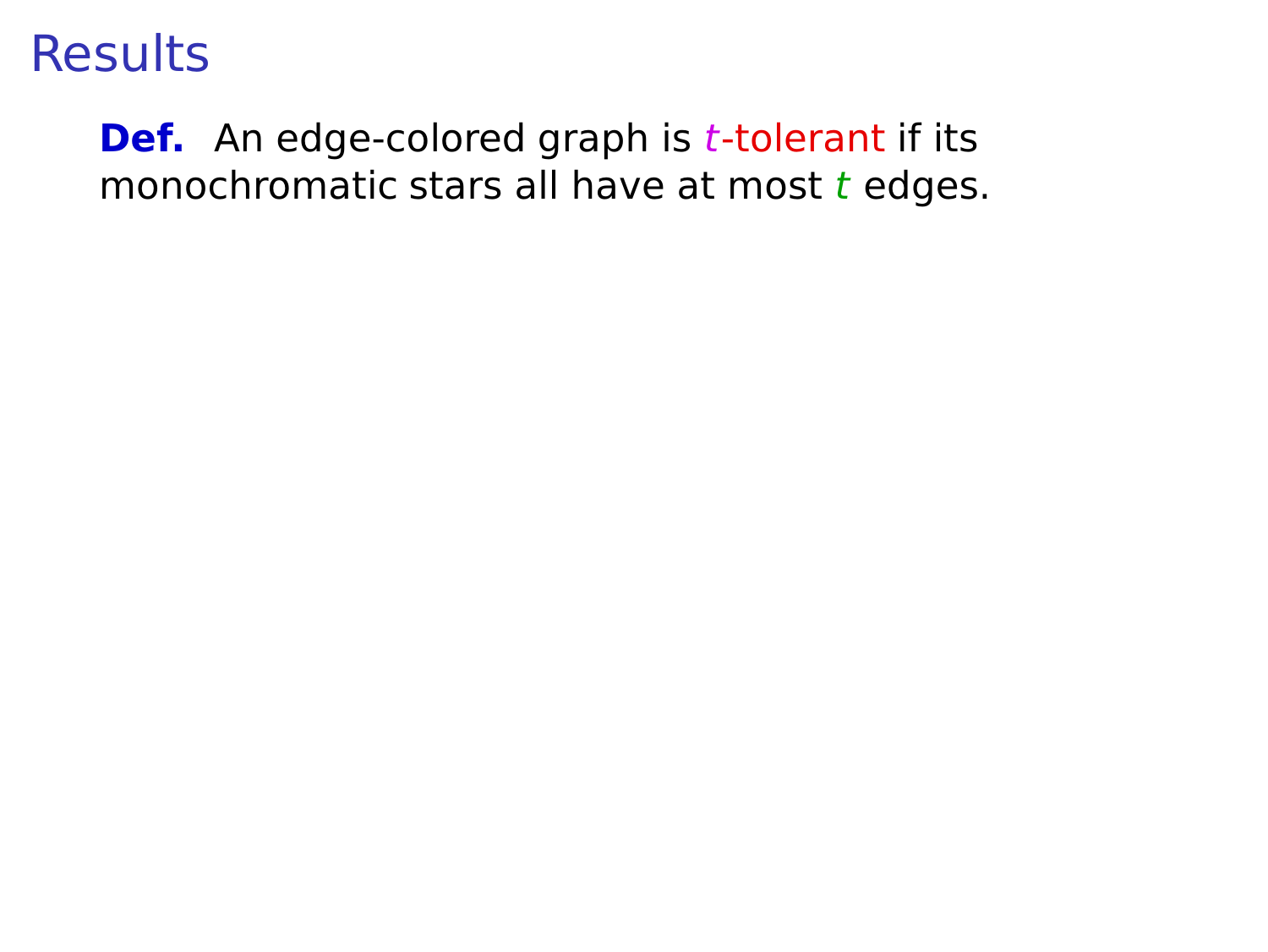#### **Def.** An edge-colored graph is *t*-tolerant if its monochromatic stars all have at most  $t$  edges.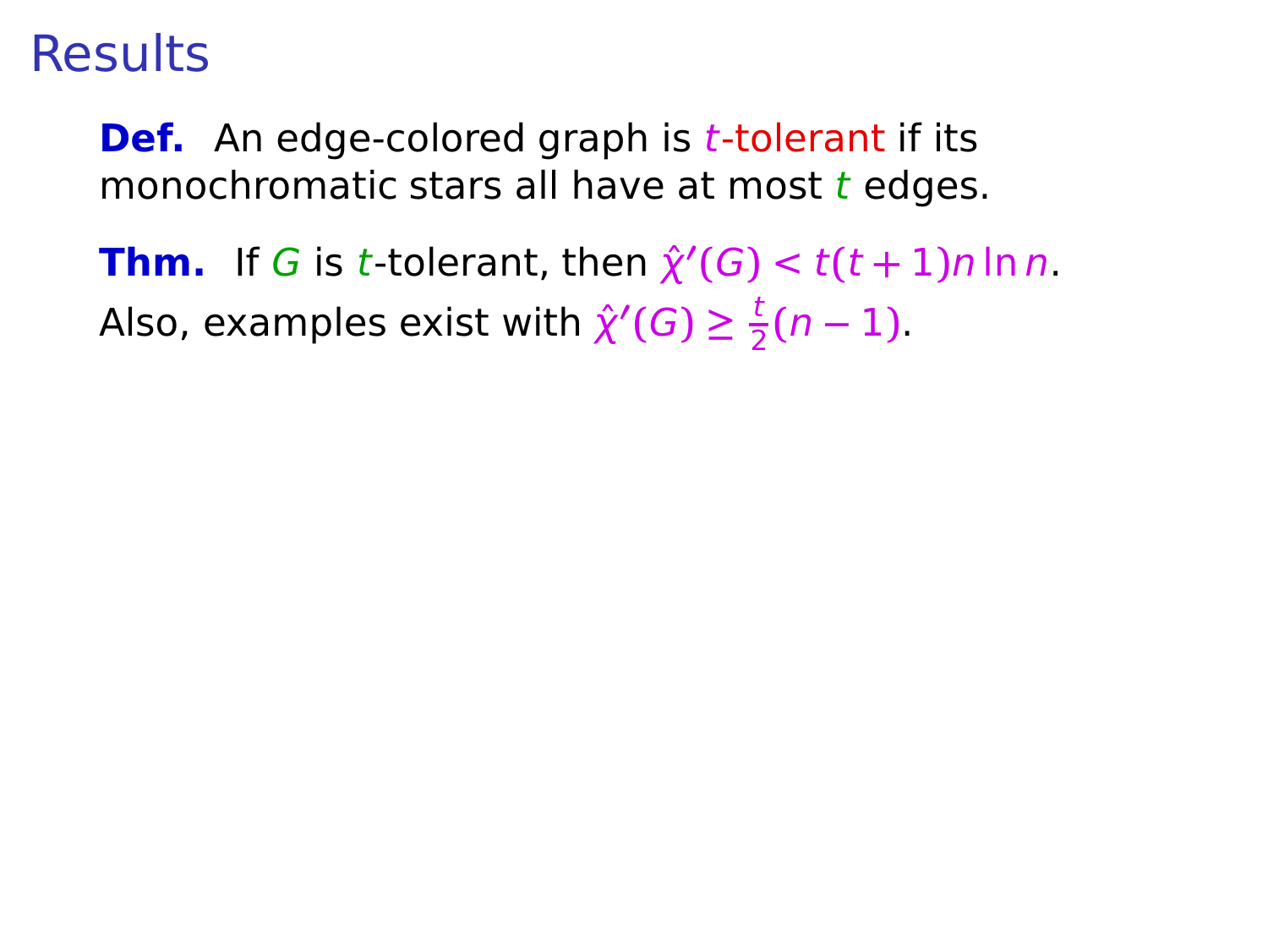**Def.** An edge-colored graph is *t*-tolerant if its monochromatic stars all have at most  $t$  edges.

**Thm.** If G is t-tolerant, then  $\hat{\chi}'(G) < t(t+1)n \ln n$ . Also, examples exist with  $\hat{\chi}'(G) \geq \frac{t}{2}$  $\frac{1}{2}(n-1)$ .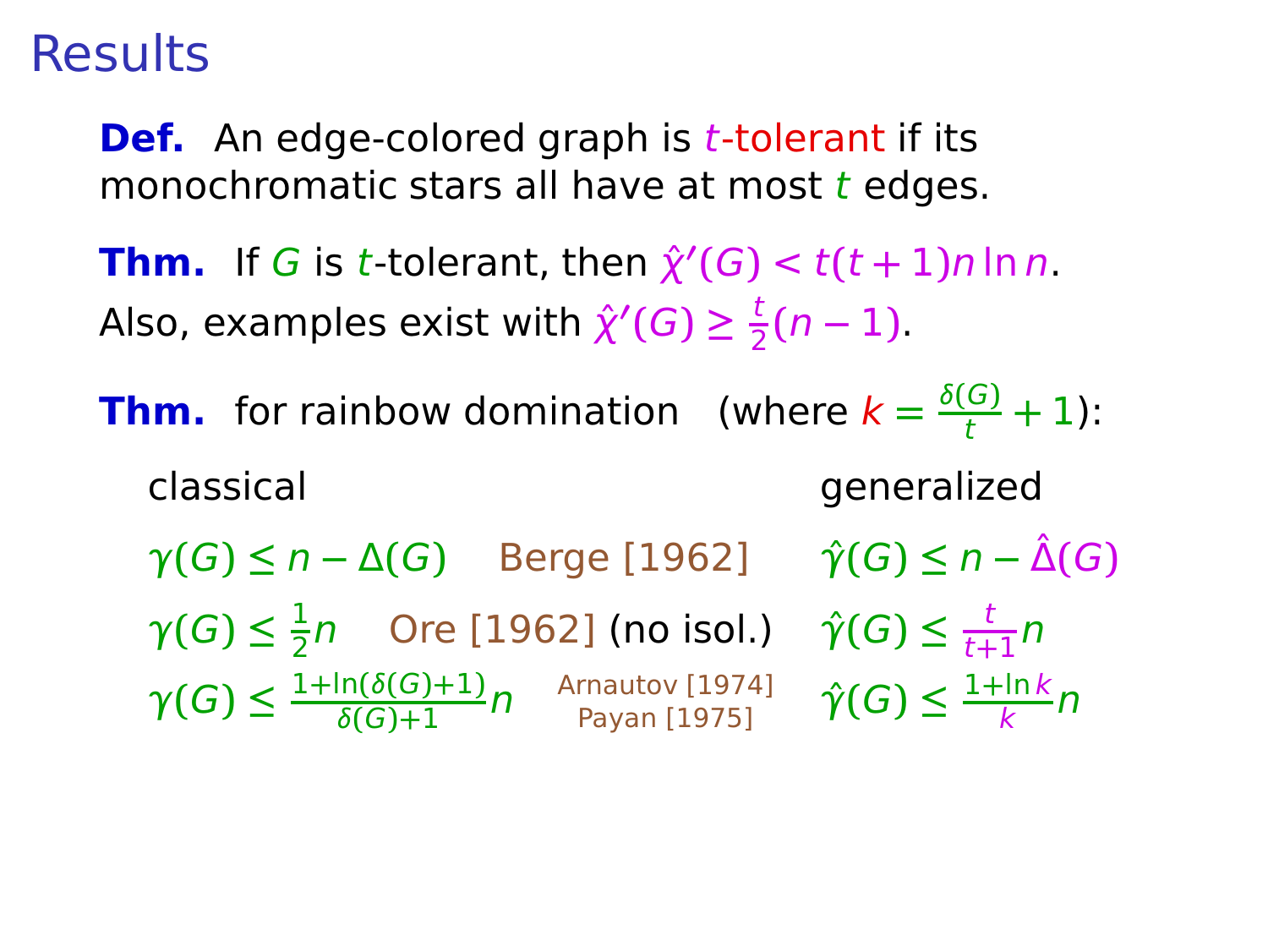**Def.** An edge-colored graph is *t*-tolerant if its monochromatic stars all have at most  $t$  edges.

**Thm.** If G is t-tolerant, then  $\hat{\chi}'(G) < t(t+1)n \ln n$ . Also, examples exist with  $\hat{\chi}'(G) \geq \frac{t}{2}$  $\frac{1}{2}(n-1)$ .

**Thm.** for rainbow domination (where  $k = \frac{\delta(G)}{t} + 1$ ): classical generalized

 $\gamma(G) \leq n - \Delta(G)$  Berge [1962]  $\hat{\gamma}(G) \leq n - \hat{\Delta}(G)$  $\gamma(G) \leq \frac{1}{2}$  $\frac{1}{2}$ n Ore [1962] (no isol.)  $\hat{\gamma}(G) \leq \frac{t}{t+1}$  $\frac{t}{t+1}n$  $\gamma(G) \leq \frac{1+\ln(\delta(G)+1)}{\delta(G)+1}$ δ**(**G**)+**1 n Arnautov [1974] Payan [1975] γˆ**(**G**) ≤** 1**+**ln k  $\frac{\ln k}{k}n$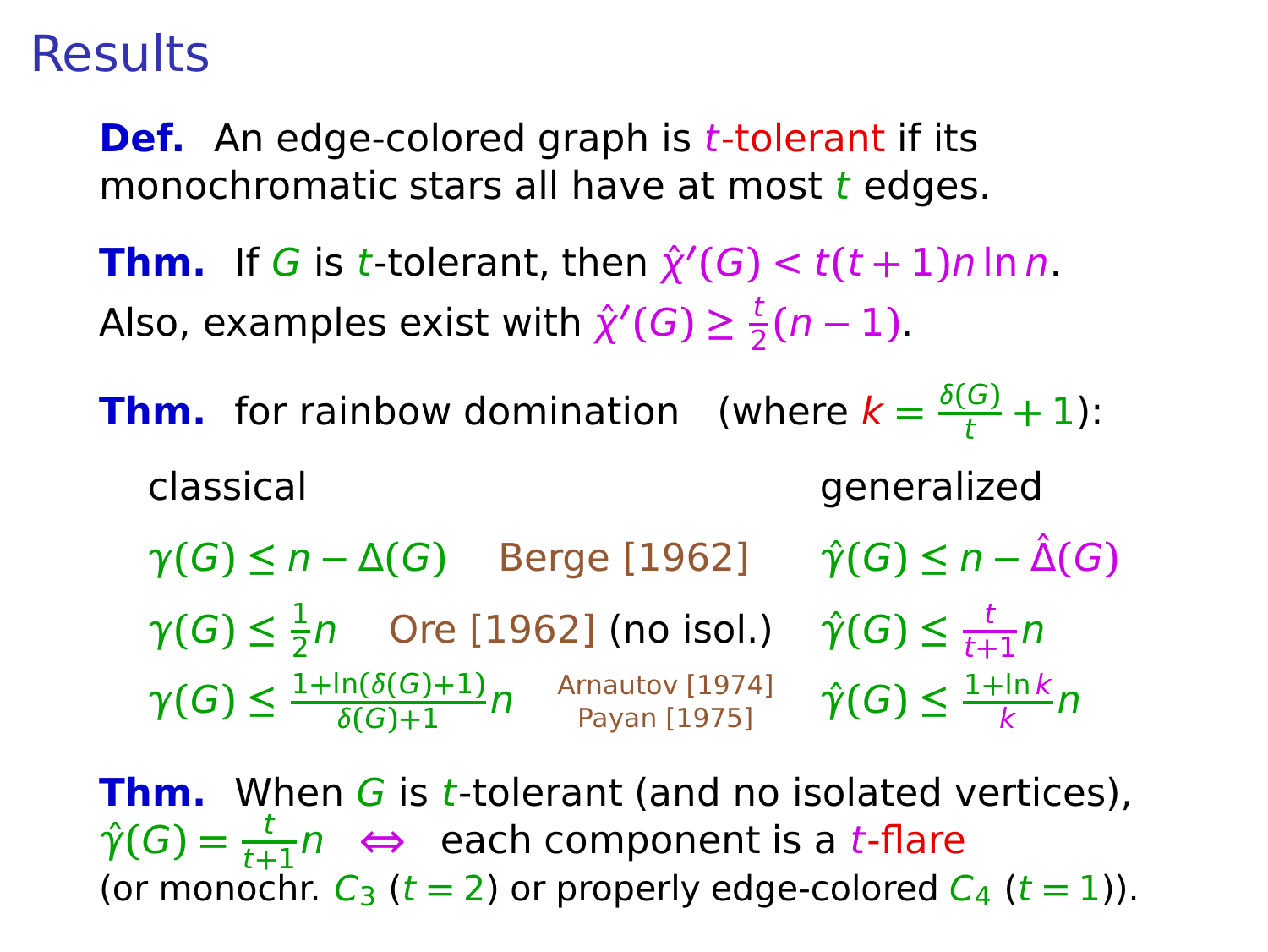**Def.** An edge-colored graph is *t*-tolerant if its monochromatic stars all have at most  $t$  edges.

**Thm.** If G is t-tolerant, then  $\hat{\chi}'(G) < t(t+1)n \ln n$ . Also, examples exist with  $\hat{\chi}'(G) \geq \frac{t}{2}$  $\frac{1}{2}(n-1)$ .

**Thm.** for rainbow domination (where  $k = \frac{\delta(G)}{t} + 1$ ): classical generalized

 $\gamma(G) \leq n - \Delta(G)$  Berge [1962]  $\hat{\gamma}(G) \leq n - \hat{\Delta}(G)$  $\gamma(G) \leq \frac{1}{2}$  $\frac{1}{2}$ n Ore [1962] (no isol.)  $\hat{\gamma}(G) \leq \frac{t}{t+1}$  $\frac{t}{t+1}n$  $\gamma(G) \leq \frac{1+\ln(\delta(G)+1)}{\delta(G)+1}$ δ**(**G**)+**1 n Arnautov [1974] Payan [1975] γˆ**(**G**) ≤** 1**+**ln k  $\frac{\ln k}{k}n$ 

**Thm.** When G is t-tolerant (and no isolated vertices),  $\hat{\gamma}(G) = \frac{t}{t+1}n \iff$  each component is a t-flare (or monochr.  $C_3$  ( $t = 2$ ) or properly edge-colored  $C_4$  ( $t = 1$ )).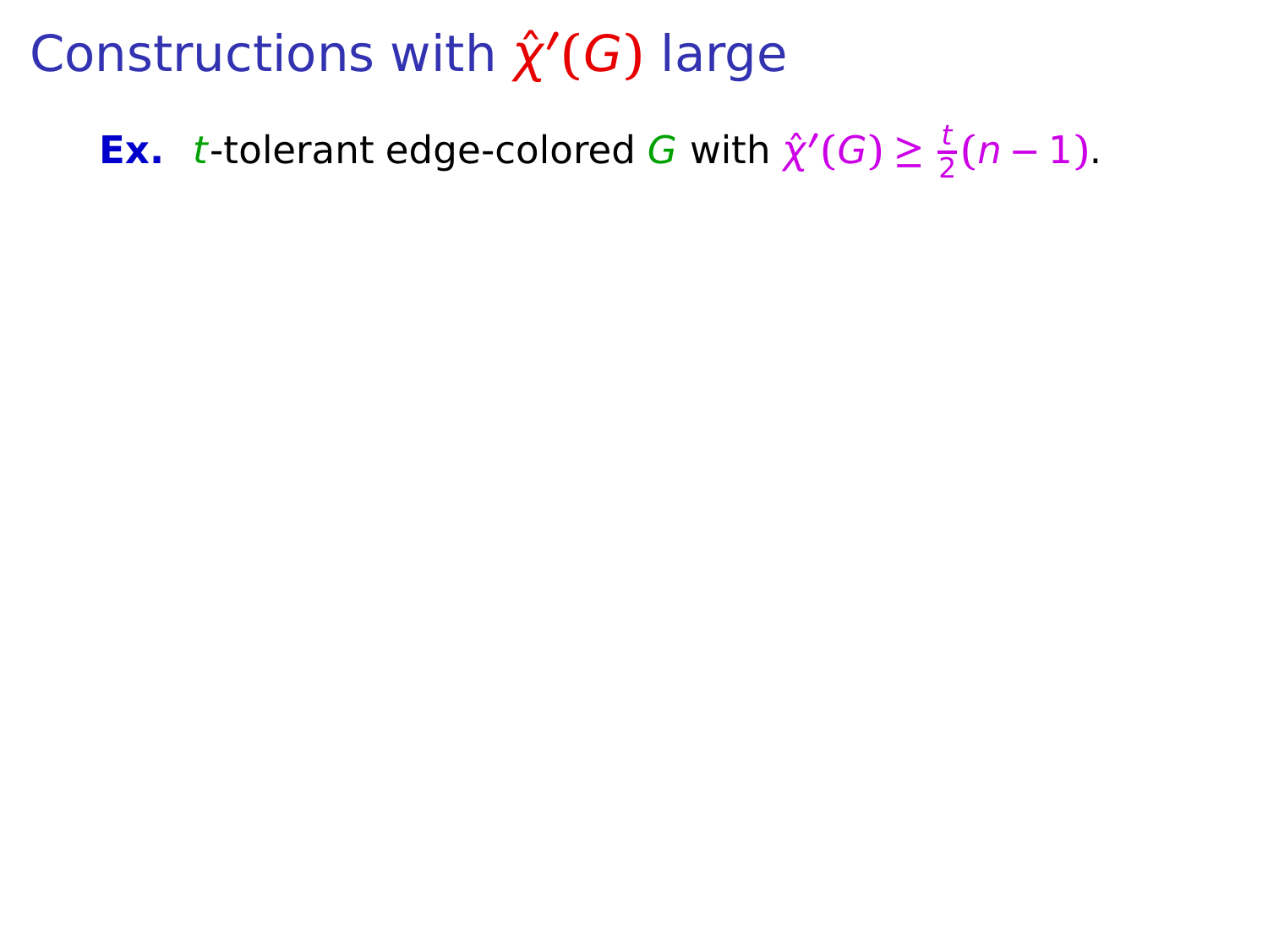**Ex.** t-tolerant edge-colored G with  $\hat{\chi}'(G) \geq \frac{t}{2}$  $\frac{1}{2}(n-1)$ .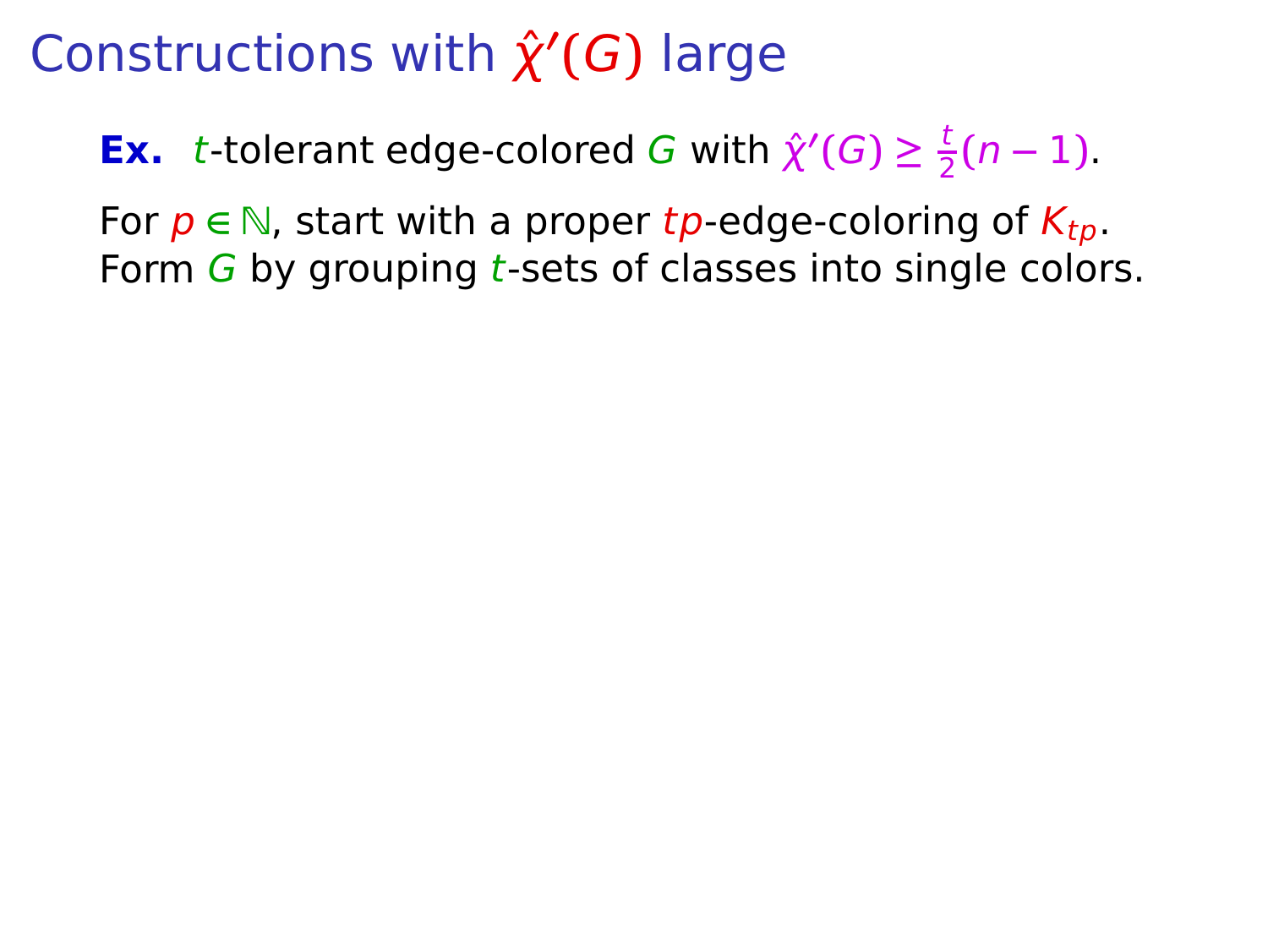**Ex.** t-tolerant edge-colored G with  $\hat{\chi}'(G) \geq \frac{t}{2}$  $\frac{1}{2}(n-1)$ .

For  $p \in \mathbb{N}$ , start with a proper tp-edge-coloring of  $K_{tn}$ . Form  $G$  by grouping t-sets of classes into single colors.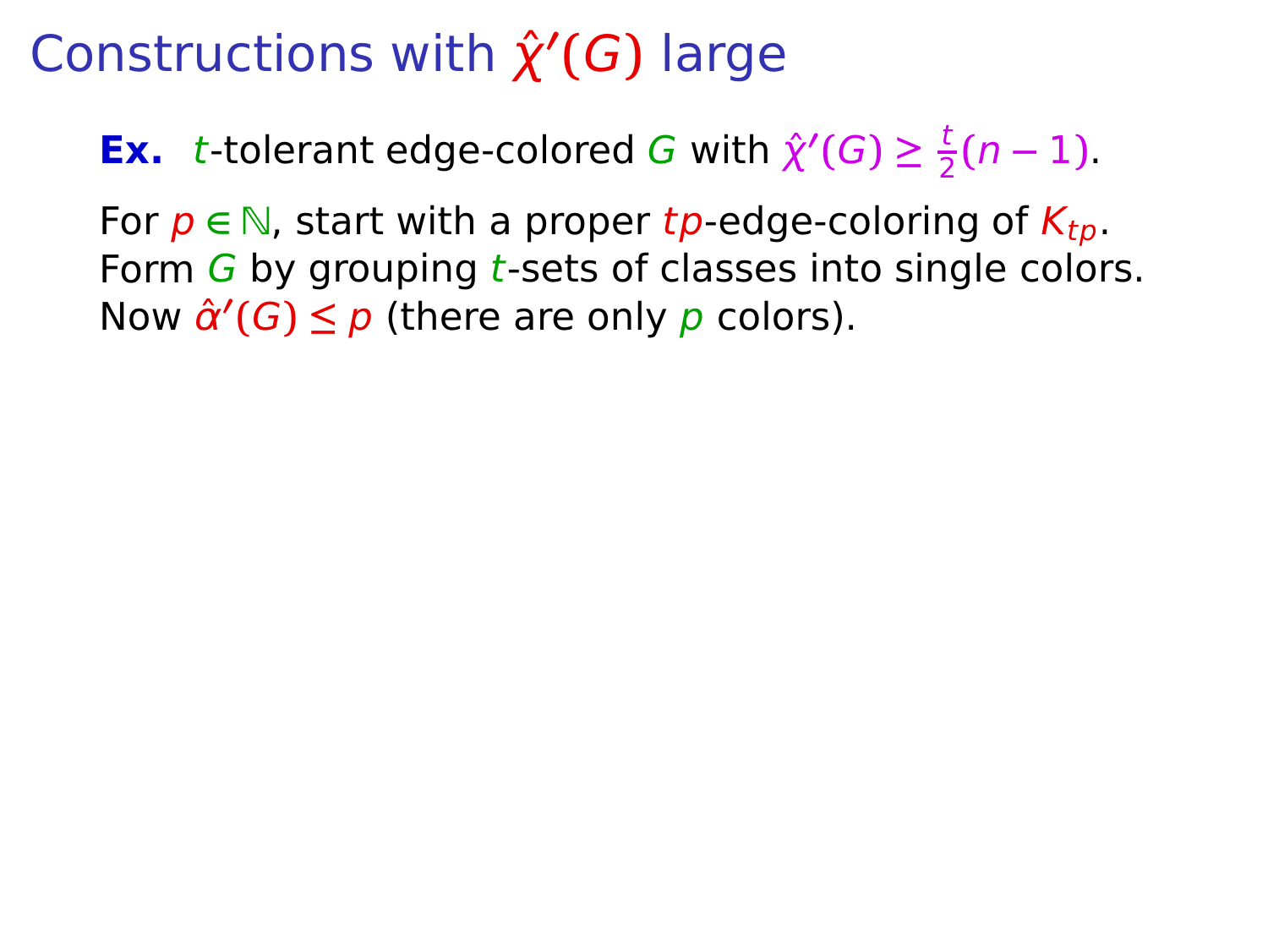**Ex.** t-tolerant edge-colored G with  $\hat{\chi}'(G) \geq \frac{t}{2}$  $\frac{1}{2}(n-1)$ .

For  $p \in \mathbb{N}$ , start with a proper tp-edge-coloring of  $K_{tn}$ . Form  $G$  by grouping t-sets of classes into single colors. Now  $\hat{\alpha}'(G) \leq p$  (there are only p colors).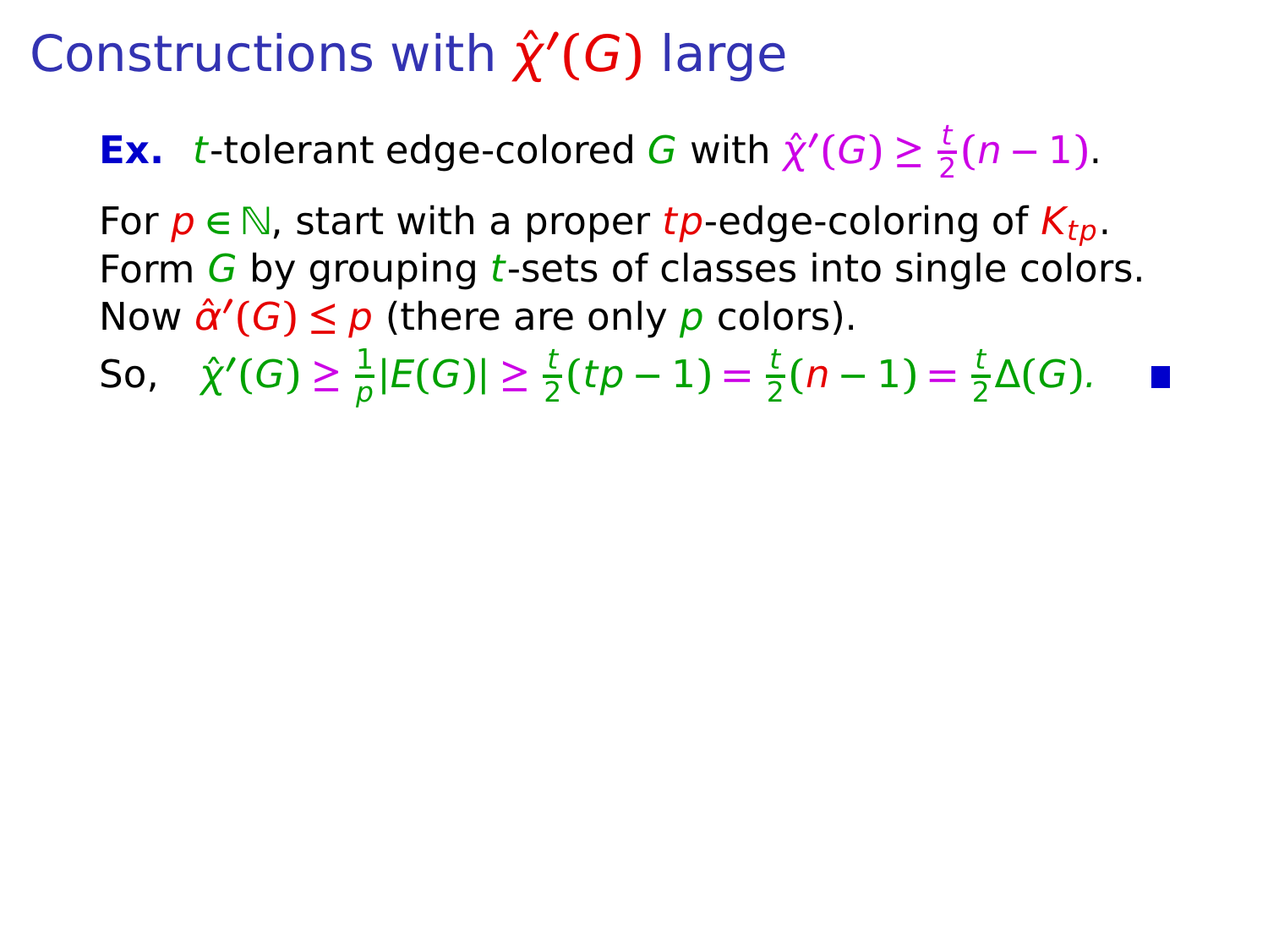**Ex.** t-tolerant edge-colored G with  $\hat{\chi}'(G) \geq \frac{t}{2}$  $\frac{1}{2}(n-1)$ .

For  $p \in \mathbb{N}$ , start with a proper tp-edge-coloring of  $K_{tn}$ . Form  $G$  by grouping t-sets of classes into single colors. Now  $\hat{\alpha}'(G) \leq p$  (there are only p colors).

So,  $\hat{\chi}'(G) \geq \frac{1}{2}$  $\frac{1}{p}|E(G)| \geq \frac{t}{2}$  $\frac{t}{2}(tp-1) = \frac{t}{2}$  $\frac{t}{2}(n-1) = \frac{t}{2}$  $\frac{1}{2}\Delta(G)$ .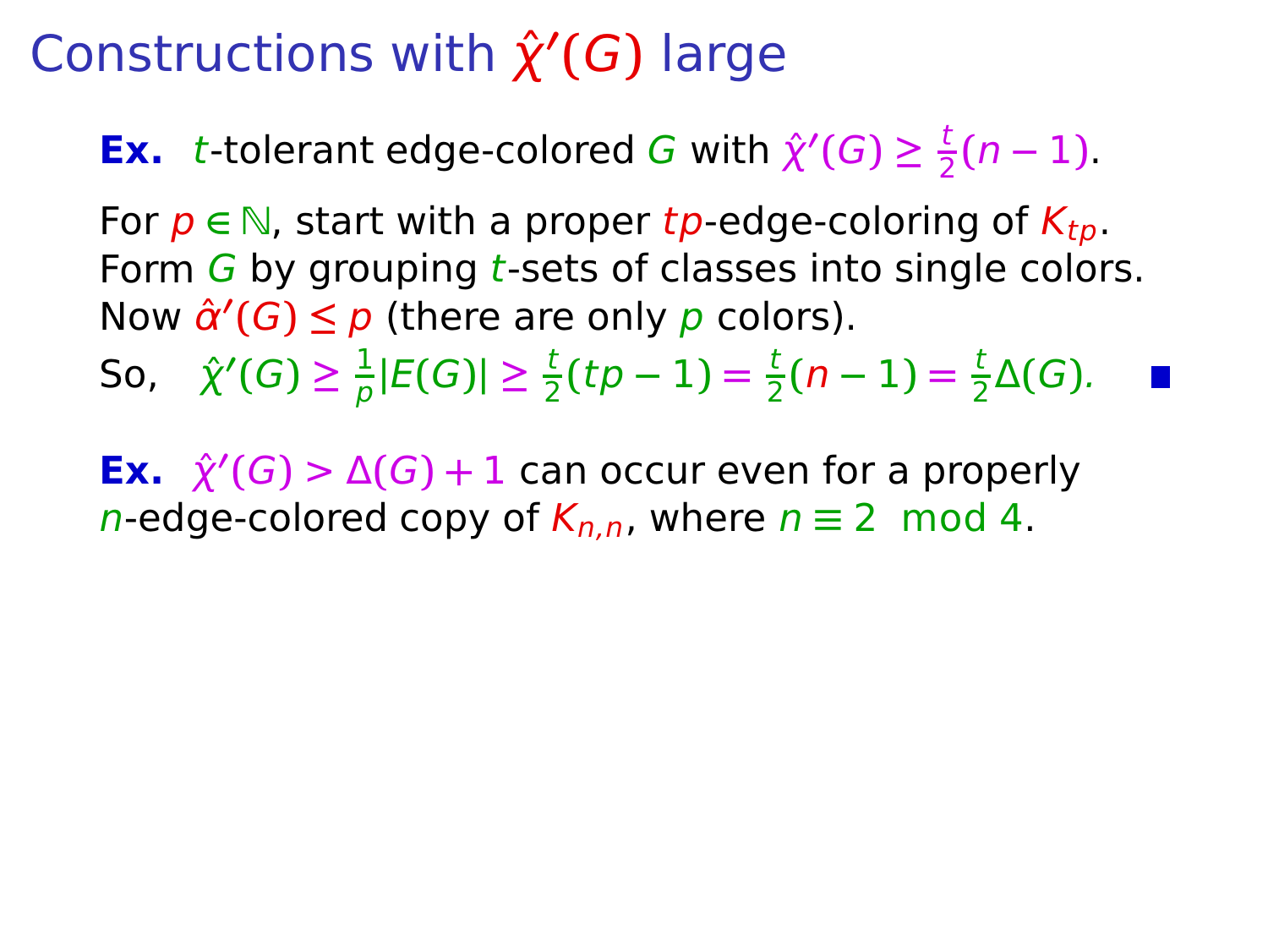**Ex.** t-tolerant edge-colored G with  $\hat{\chi}'(G) \geq \frac{t}{2}$  $\frac{1}{2}(n-1)$ .

For  $p \in \mathbb{N}$ , start with a proper tp-edge-coloring of  $K_{tn}$ . Form  $G$  by grouping t-sets of classes into single colors. Now  $\hat{\alpha}'(G) \leq p$  (there are only p colors).

So,  $\hat{\chi}'(G) \geq \frac{1}{2}$  $\frac{1}{p}|E(G)| \geq \frac{t}{2}$  $\frac{t}{2}(tp-1) = \frac{t}{2}$  $\frac{t}{2}(n-1) = \frac{t}{2}$  $\frac{1}{2}\Delta(G)$ .

**Ex.**  $\hat{\chi}'(G) > \Delta(G) + 1$  can occur even for a properly n-edge-colored copy of  $K_{n,n}$ , where  $n \equiv 2 \mod 4$ .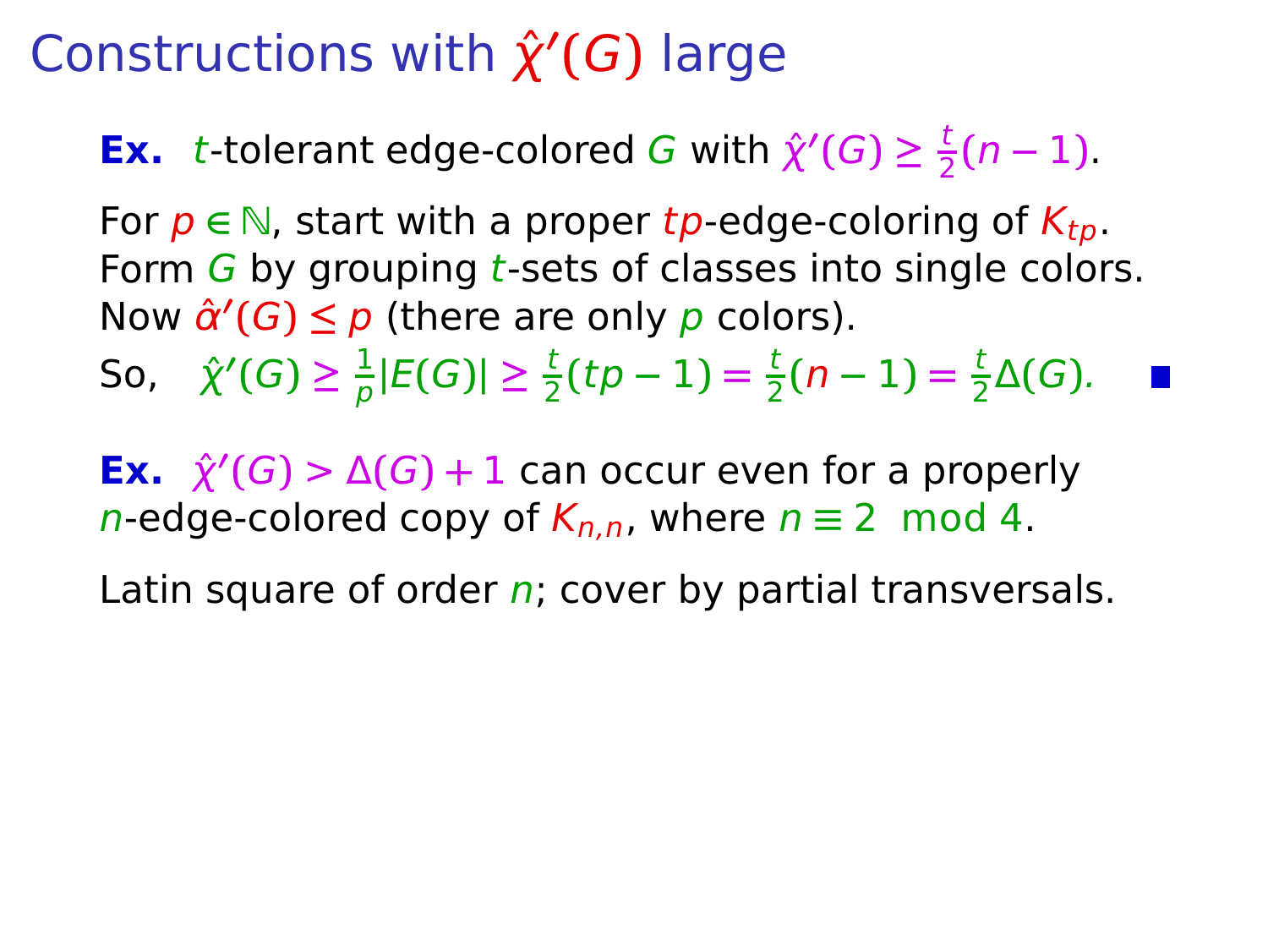**Ex.** t-tolerant edge-colored G with  $\hat{\chi}'(G) \geq \frac{t}{2}$  $\frac{1}{2}(n-1)$ .

For  $p \in \mathbb{N}$ , start with a proper tp-edge-coloring of  $K_{tp}$ . Form  $G$  by grouping t-sets of classes into single colors. Now  $\hat{\alpha}'(G) \leq p$  (there are only p colors).

So,  $\hat{\chi}'(G) \geq \frac{1}{2}$  $\frac{1}{p}|E(G)| \geq \frac{t}{2}$  $\frac{t}{2}(tp-1) = \frac{t}{2}$  $\frac{t}{2}(n-1) = \frac{t}{2}$  $\frac{1}{2}\Delta(G)$ .

**Ex.**  $\hat{\chi}'(G) > \Delta(G) + 1$  can occur even for a properly n-edge-colored copy of  $K_{n,n}$ , where  $n \equiv 2 \mod 4$ .

Latin square of order  $n$ ; cover by partial transversals.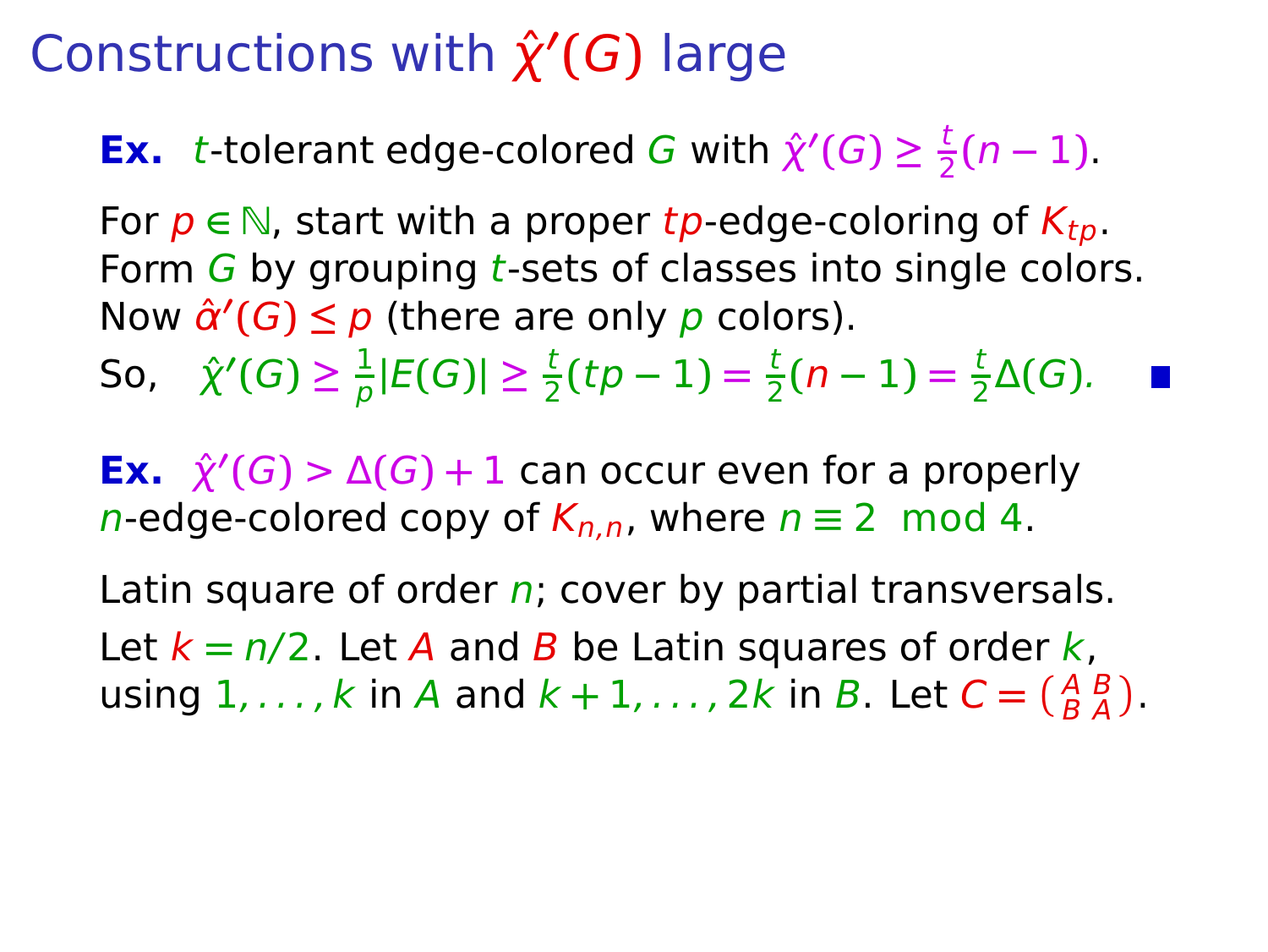**Ex.** t-tolerant edge-colored G with  $\hat{\chi}'(G) \geq \frac{t}{2}$  $\frac{1}{2}(n-1)$ .

For  $p \in \mathbb{N}$ , start with a proper tp-edge-coloring of  $K_{tn}$ . Form  $G$  by grouping t-sets of classes into single colors. Now  $\hat{\alpha}'(G) \leq p$  (there are only p colors).

So,  $\hat{\chi}'(G) \geq \frac{1}{2}$  $\frac{1}{p}|E(G)| \geq \frac{t}{2}$  $\frac{t}{2}(tp-1) = \frac{t}{2}$  $\frac{t}{2}(n-1) = \frac{t}{2}$  $\frac{1}{2}\Delta(G)$ .

**Ex.**  $\hat{\chi}'(G) > \Delta(G) + 1$  can occur even for a properly n-edge-colored copy of  $K_{n,n}$ , where  $n \equiv 2 \mod 4$ .

Latin square of order  $n$ ; cover by partial transversals. Let  $k = n/2$ . Let A and B be Latin squares of order k, using  $1, \ldots, k$  in A and  $k + 1, \ldots, 2k$  in B. Let  $C = \begin{pmatrix} A & B \\ B & A \end{pmatrix}$ .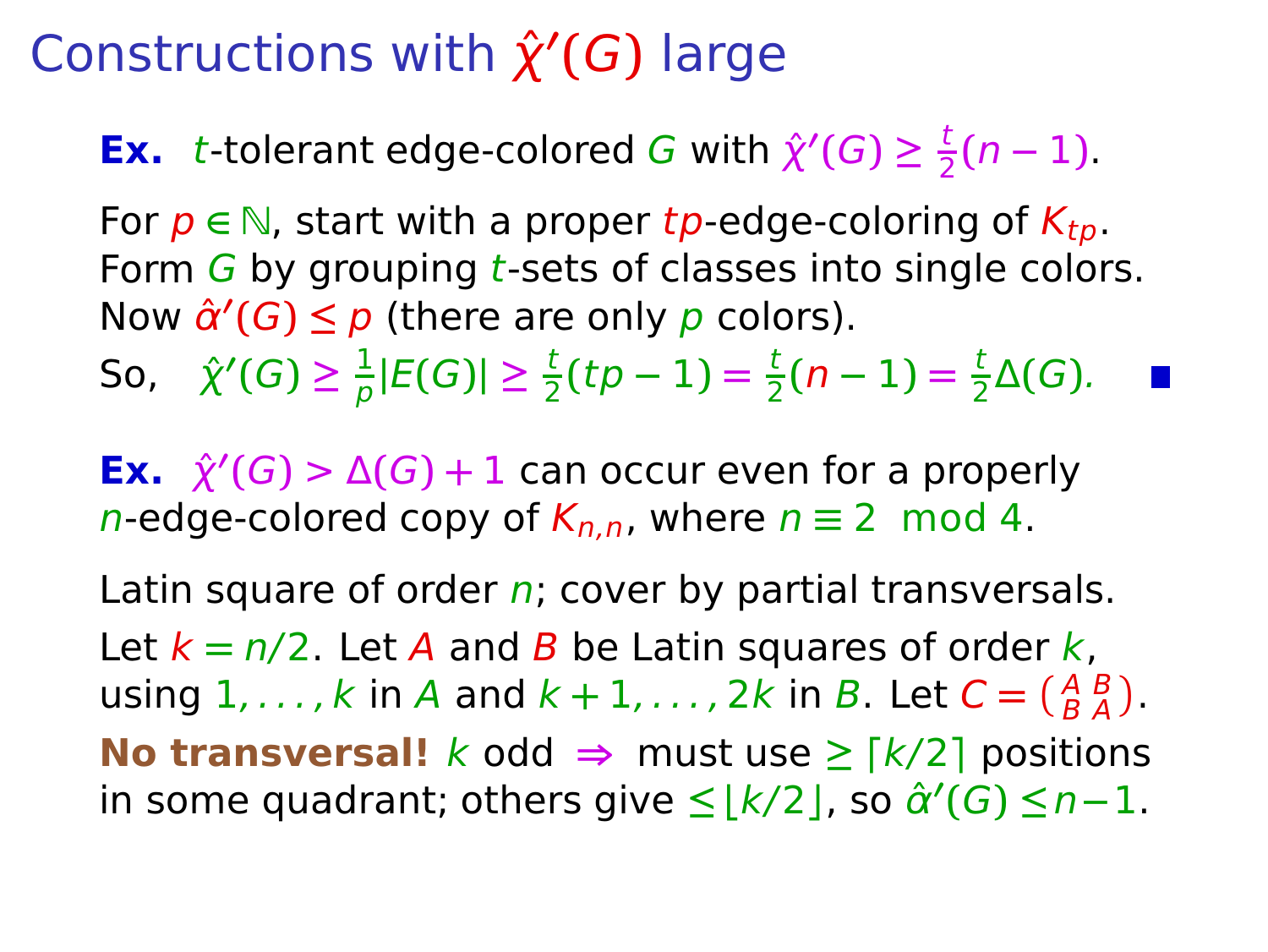**Ex.** t-tolerant edge-colored G with  $\hat{\chi}'(G) \geq \frac{t}{2}$  $\frac{1}{2}(n-1)$ .

For  $p \in \mathbb{N}$ , start with a proper tp-edge-coloring of  $K_{tn}$ . Form  $G$  by grouping *t*-sets of classes into single colors. Now  $\hat{\alpha}'(G) \leq p$  (there are only p colors).

So,  $\hat{\chi}'(G) \geq \frac{1}{2}$  $\frac{1}{p}|E(G)| \geq \frac{t}{2}$  $\frac{t}{2}(tp-1) = \frac{t}{2}$  $\frac{t}{2}(n-1) = \frac{t}{2}$  $\frac{1}{2}\Delta(G)$ .

**Ex.**  $\hat{\chi}'(G) > \Delta(G) + 1$  can occur even for a properly n-edge-colored copy of  $K_{n,n}$ , where  $n \equiv 2 \mod 4$ .

Latin square of order  $n$ ; cover by partial transversals. Let  $k = n/2$ . Let A and B be Latin squares of order k, using  $1, \ldots, k$  in A and  $k + 1, \ldots, 2k$  in B. Let  $C = \begin{pmatrix} A & B \\ B & A \end{pmatrix}$ . **No transversal!**  $k$  odd  $\Rightarrow$  must use  $\geq \lceil k/2 \rceil$  positions in some quadrant; others give **≤ ⌊**k/2**⌋**, so αˆ **′ (**G**) ≤**n**−**1.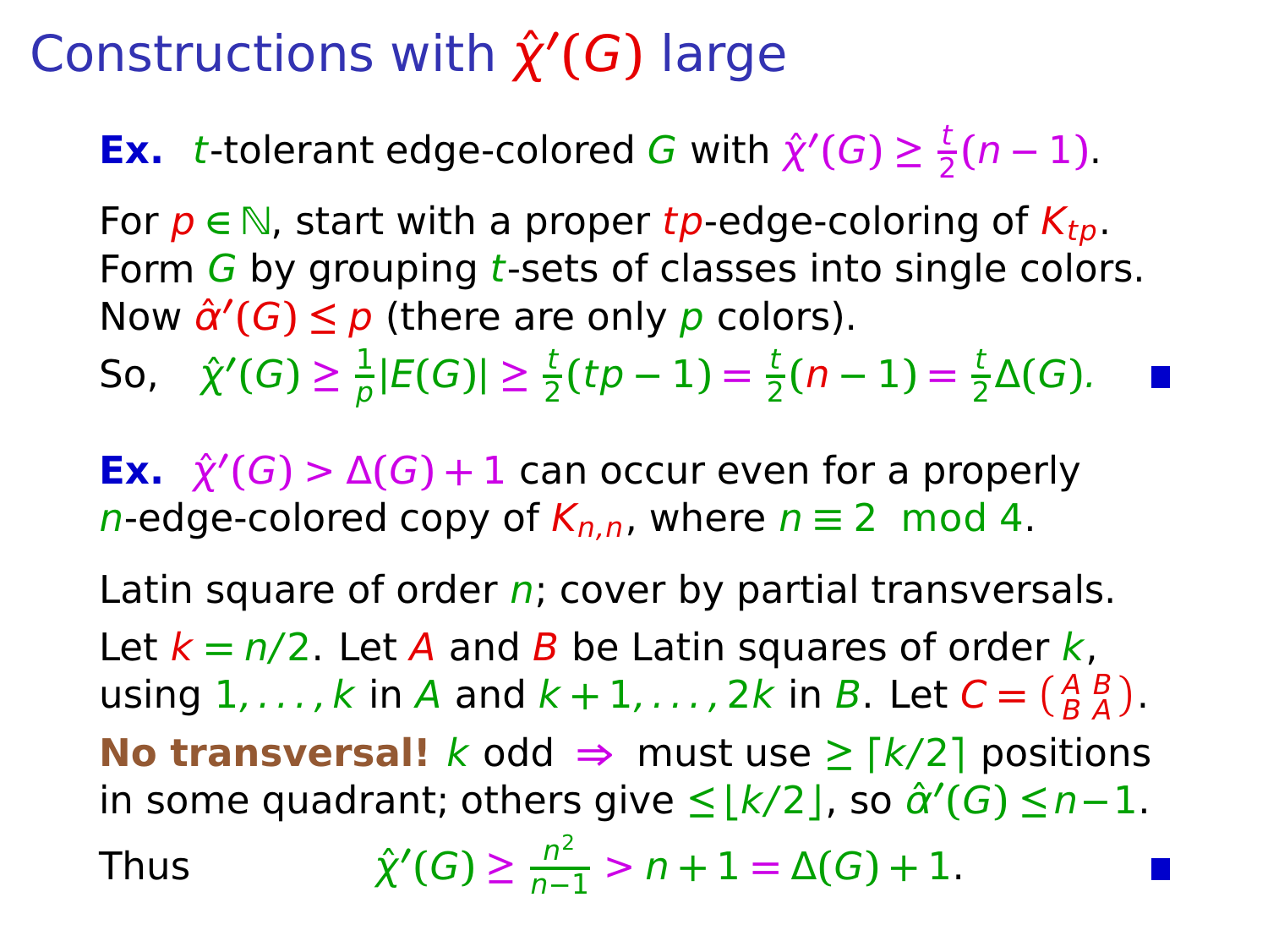**Ex.** t-tolerant edge-colored G with  $\hat{\chi}'(G) \geq \frac{t}{2}$  $\frac{1}{2}(n-1)$ .

For  $p \in \mathbb{N}$ , start with a proper tp-edge-coloring of  $K_{tp}$ . Form  $G$  by grouping *t*-sets of classes into single colors. Now  $\hat{\alpha}'(G) \leq p$  (there are only p colors).

So,  $\hat{\chi}'(G) \geq \frac{1}{2}$  $\frac{1}{p}|E(G)| \geq \frac{t}{2}$  $\frac{t}{2}(tp-1) = \frac{t}{2}$  $\frac{t}{2}(n-1) = \frac{t}{2}$  $\frac{1}{2}\Delta(G)$ .

**Ex.**  $\hat{\chi}'(G) > \Delta(G) + 1$  can occur even for a properly n-edge-colored copy of  $K_{n,n}$ , where  $n \equiv 2 \mod 4$ .

Latin square of order  $n$ ; cover by partial transversals. Let  $k = n/2$ . Let A and B be Latin squares of order k, using  $1, \ldots, k$  in A and  $k + 1, \ldots, 2k$  in B. Let  $C = \begin{pmatrix} A & B \\ B & A \end{pmatrix}$ . **No transversal!**  $k$  odd  $\Rightarrow$  must use  $\geq \lceil k/2 \rceil$  positions in some quadrant; others give **≤ ⌊**k/2**⌋**, so αˆ **′ (**G**) ≤**n**−**1.

Thus

$$
\gamma'(G) \ge \frac{n^2}{n-1} > n+1 = \Delta(G) + 1.
$$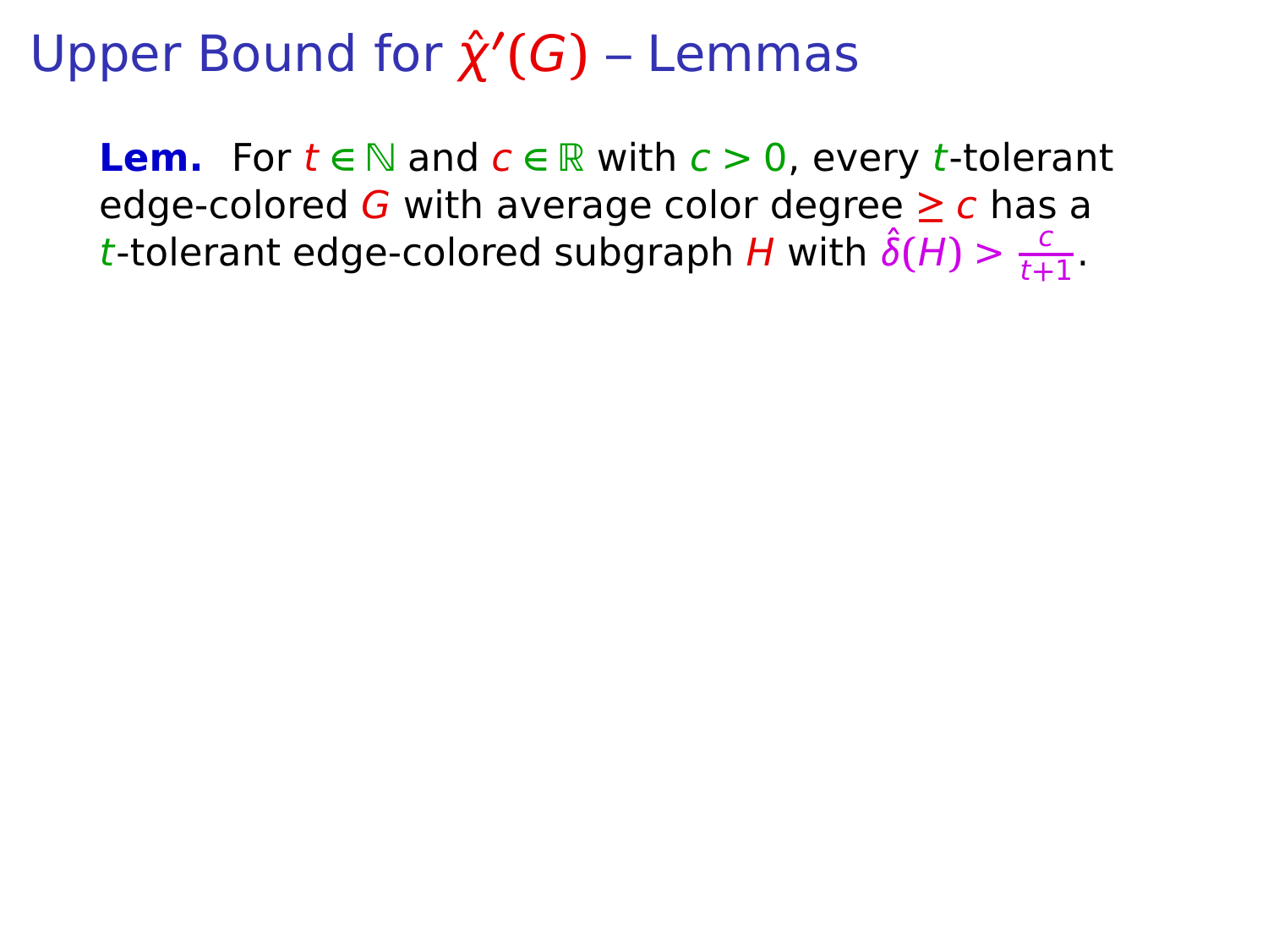**Lem.** For  $t \in \mathbb{N}$  and  $c \in \mathbb{R}$  with  $c > 0$ , every t-tolerant edge-colored G with average color degree **≥** c has a t-tolerant edge-colored subgraph H with  $\hat{\delta}(H) > \frac{c}{t+1}$  $\frac{c}{t+1}$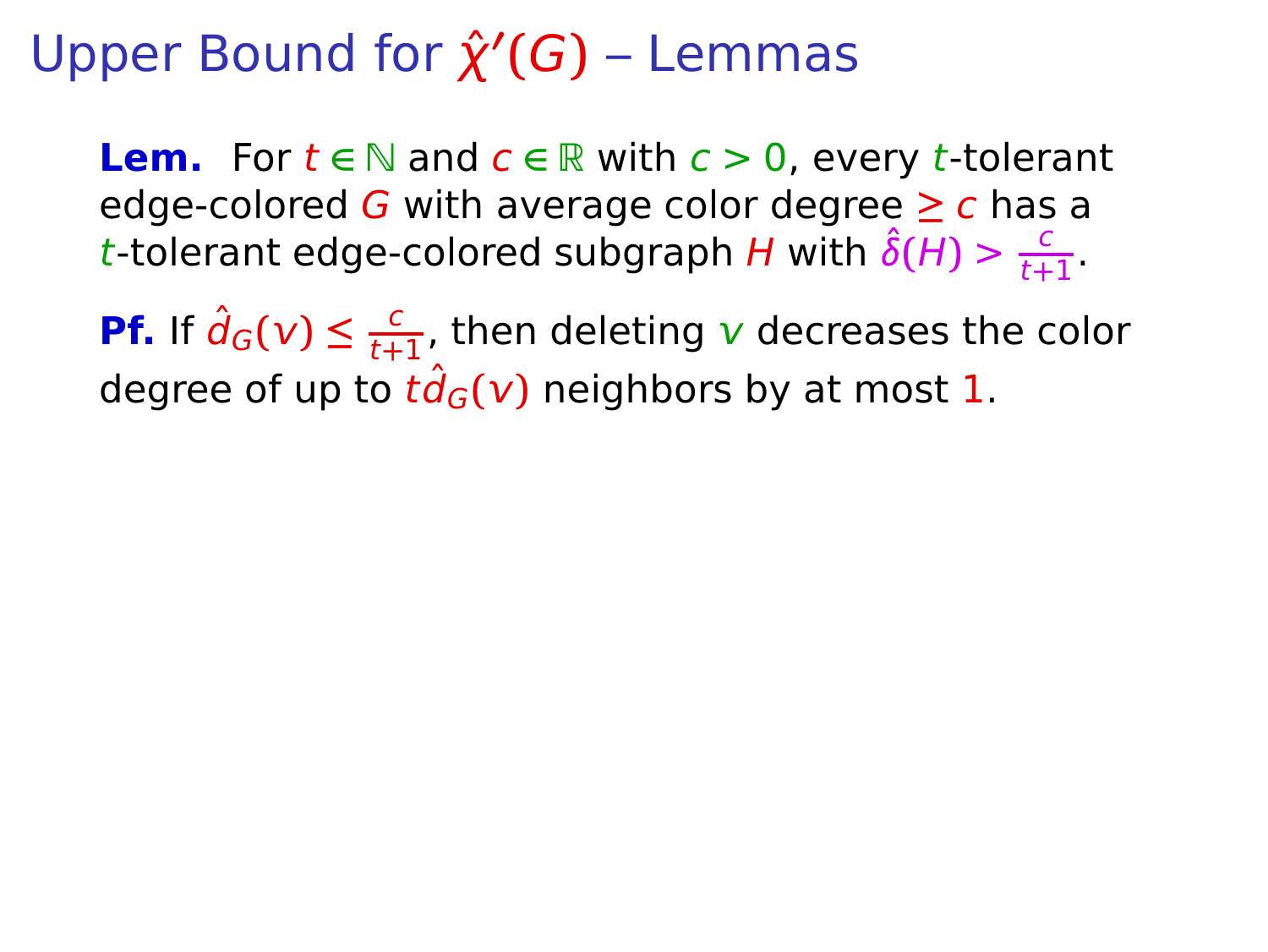**Lem.** For  $t \in \mathbb{N}$  and  $c \in \mathbb{R}$  with  $c > 0$ , every t-tolerant edge-colored G with average color degree **≥** c has a t-tolerant edge-colored subgraph H with  $\hat{\delta}(H) > \frac{c}{t+1}$  $\frac{c}{t+1}$ 

**Pf.** If  $\hat{d}_G(v) \leq \frac{c}{t+1}$  $\frac{c}{t+1}$ , then deleting v decreases the color degree of up to  $t\hat{d}_G(v)$  neighbors by at most 1.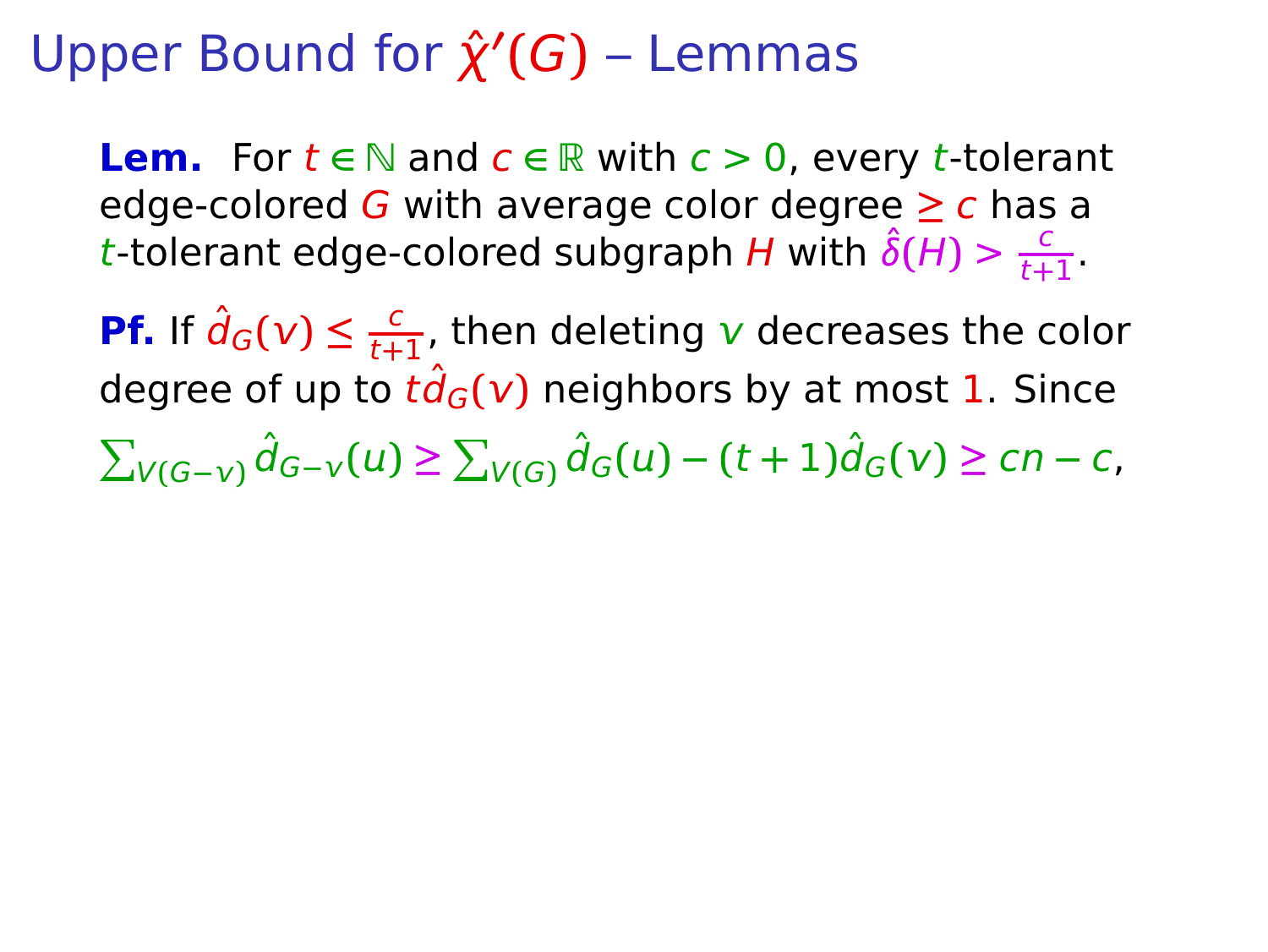**Lem.** For  $t \in \mathbb{N}$  and  $c \in \mathbb{R}$  with  $c > 0$ , every t-tolerant edge-colored G with average color degree **≥** c has a t-tolerant edge-colored subgraph H with  $\hat{\delta}(H) > \frac{c}{t+1}$  $\frac{c}{t+1}$ 

**Pf.** If  $\hat{d}_G(v) \leq \frac{c}{t+1}$  $\frac{c}{t+1}$ , then deleting v decreases the color degree of up to  $t\hat{d}_G(v)$  neighbors by at most 1. Since  $\sum_{V(G - V)} \hat{d}_{G - V}(u) \ge \sum_{V(G)} \hat{d}_{G}(u) - (t + 1)\hat{d}_{G}(v) \ge cn - c,$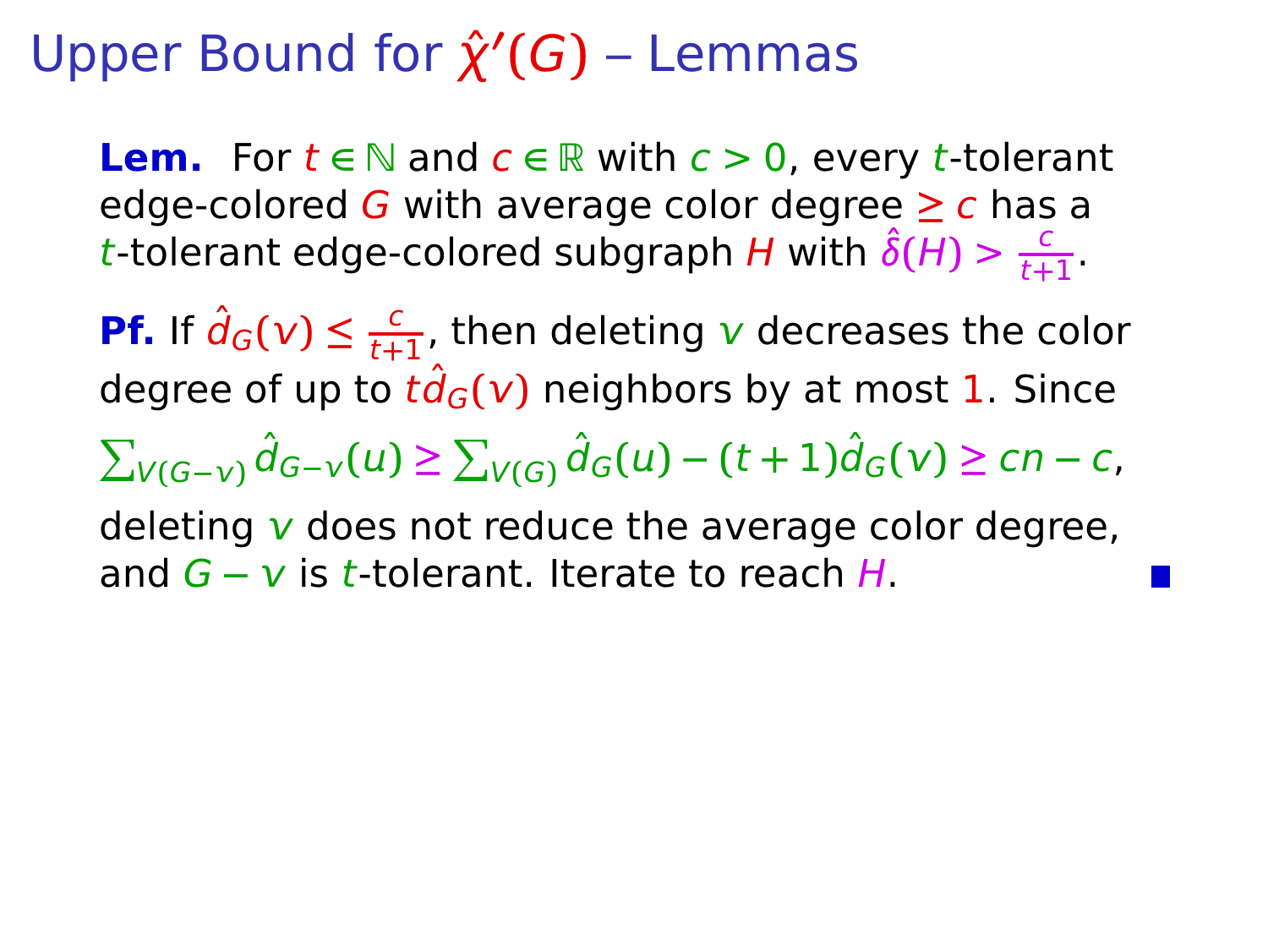**Lem.** For  $t \in \mathbb{N}$  and  $c \in \mathbb{R}$  with  $c > 0$ , every t-tolerant edge-colored G with average color degree **≥** c has a t-tolerant edge-colored subgraph H with  $\hat{\delta}(H) > \frac{c}{t+1}$  $\frac{c}{t+1}$ 

**Pf.** If  $\hat{d}_G(v) \leq \frac{c}{t+1}$  $\frac{c}{t+1}$ , then deleting v decreases the color degree of up to  $t\ddot{d}_G(v)$  neighbors by at most 1. Since  $\sum_{V(G - V)} \hat{d}_{G - V}(u) \ge \sum_{V(G)} \hat{d}_{G}(u) - (t + 1)\hat{d}_{G}(v) \ge cn - c,$ deleting  $\bf{v}$  does not reduce the average color degree, and G **−** is t-tolerant. Iterate to reach H.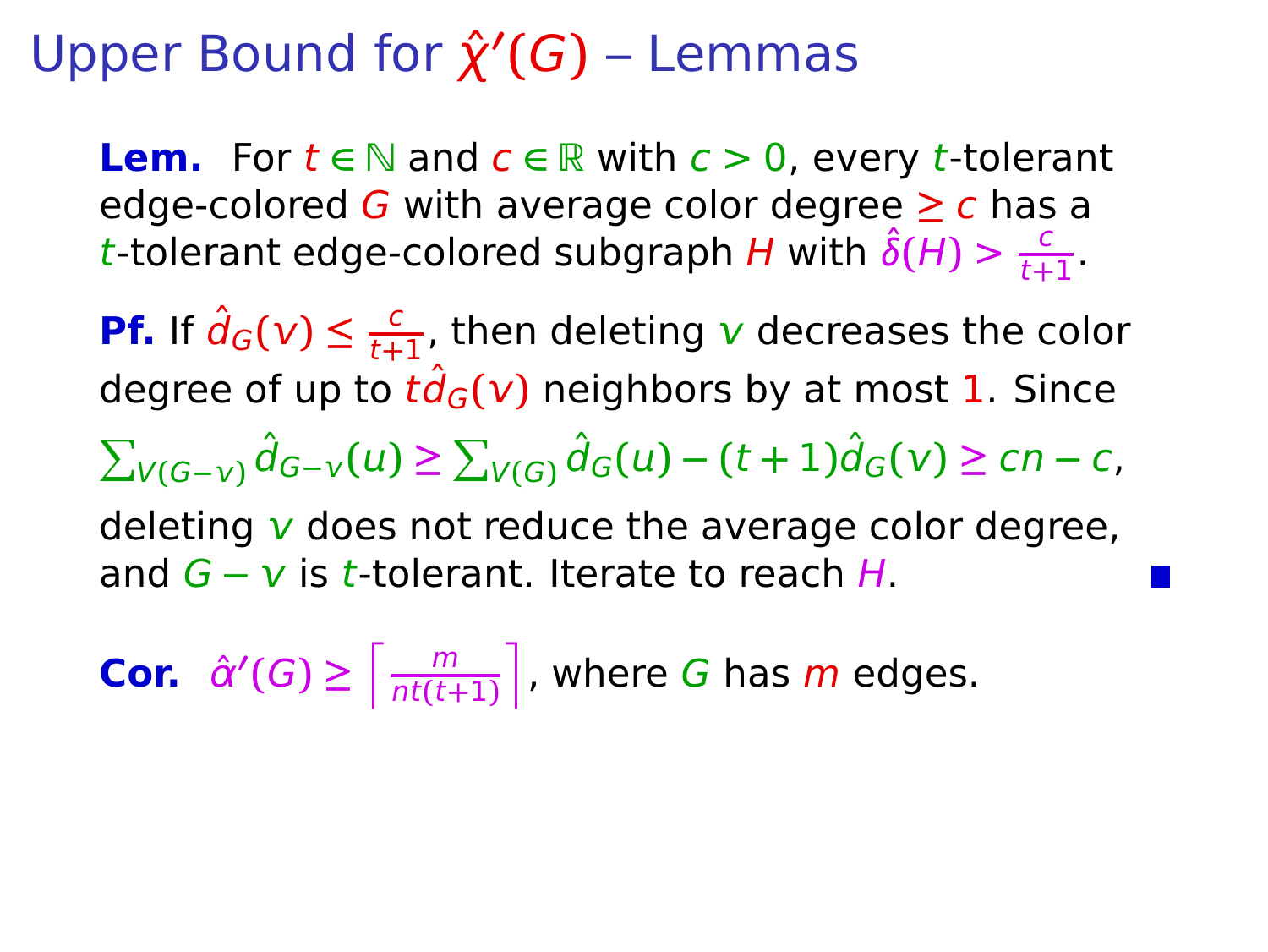**Lem.** For  $t \in \mathbb{N}$  and  $c \in \mathbb{R}$  with  $c > 0$ , every t-tolerant edge-colored G with average color degree **≥** c has a t-tolerant edge-colored subgraph H with  $\hat{\delta}(H) > \frac{c}{t+1}$  $\frac{c}{t+1}$ 

**Pf.** If  $\hat{d}_G(v) \leq \frac{c}{t+1}$  $\frac{c}{t+1}$ , then deleting v decreases the color degree of up to  $t\ddot{d}_G(v)$  neighbors by at most 1. Since  $\sum_{V(G - V)} \hat{d}_{G - V}(u) \ge \sum_{V(G)} \hat{d}_{G}(u) - (t + 1)\hat{d}_{G}(v) \ge cn - c,$ deleting  $\bf{v}$  does not reduce the average color degree,

and G **−** is t-tolerant. Iterate to reach H.

**Cor.**  $\hat{\alpha}'(G) \ge \left[\frac{m}{n!(t+1)}\right]$  $\left\lceil \frac{m}{n t (t+1)} \right\rceil$ , where G has m edges.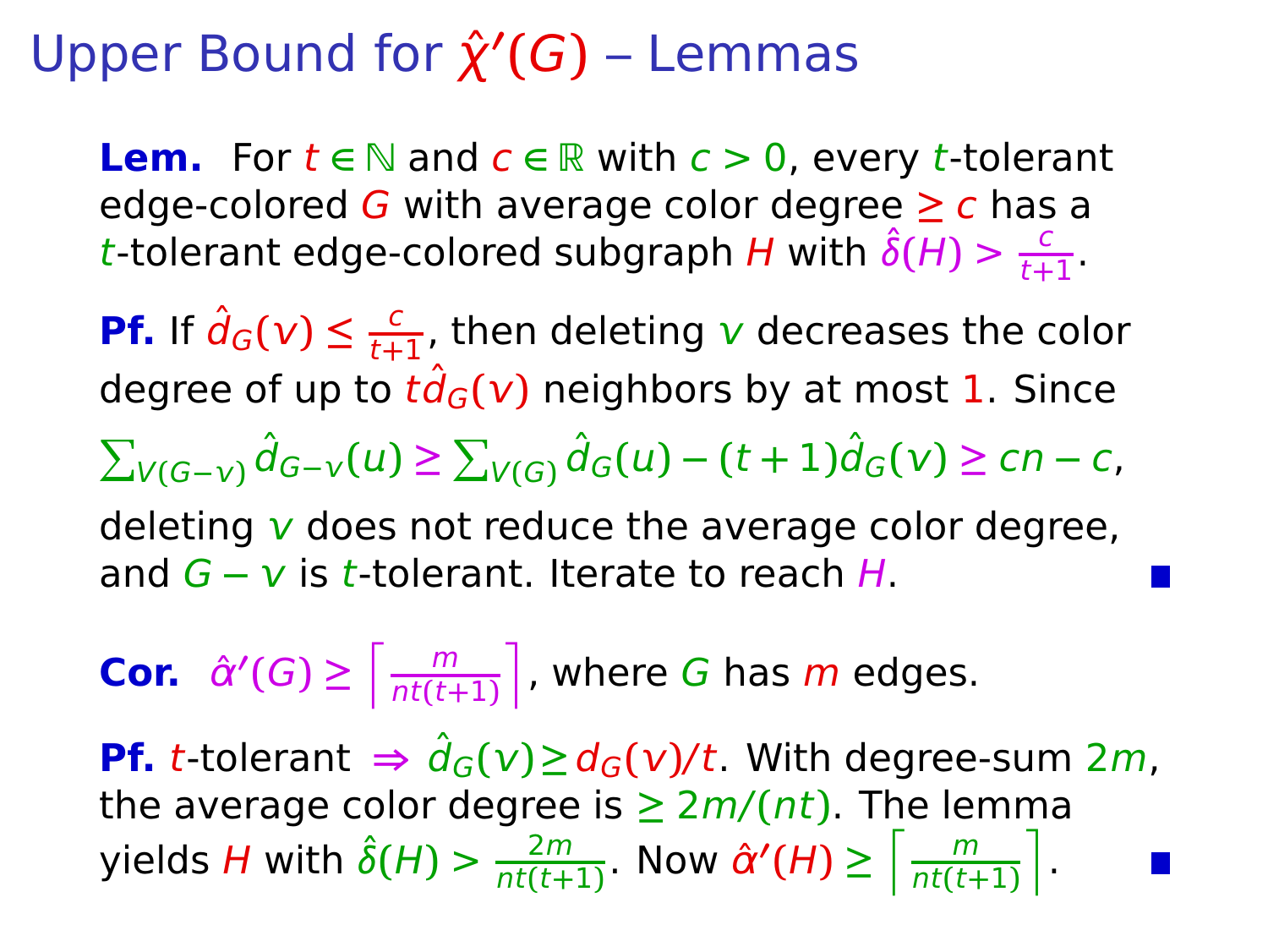**Lem.** For  $t \in \mathbb{N}$  and  $c \in \mathbb{R}$  with  $c > 0$ , every t-tolerant edge-colored G with average color degree **≥** c has a t-tolerant edge-colored subgraph H with  $\hat{\delta}(H) > \frac{c}{t+1}$  $\frac{c}{t+1}$ 

**Pf.** If  $\hat{d}_G(v) \leq \frac{c}{t+1}$  $\frac{c}{t+1}$ , then deleting v decreases the color degree of up to  $t\hat{d}_G(v)$  neighbors by at most 1. Since  $\sum_{V(G - V)} \hat{d}_{G - V}(u) \ge \sum_{V(G)} \hat{d}_{G}(u) - (t + 1)\hat{d}_{G}(v) \ge cn - c,$ deleting  $\bf{v}$  does not reduce the average color degree,

and *G* − *v* is *t*-tolerant. Iterate to reach *H*.

**Cor.**  $\hat{\alpha}'(G) \ge \left[\frac{m}{n!(t+1)}\right]$  $\left\lceil \frac{m}{n t (t+1)} \right\rceil$ , where G has m edges. **Pf.** t-tolerant  $\Rightarrow \hat{d}_G(v) \geq d_G(v)/t$ . With degree-sum 2*m*, the average color degree is  $\geq 2m/(nt)$ . The lemma yields H with  $\hat{\delta}(H) > \frac{2m}{n^2}$  $\frac{2m}{nt(t+1)}$ . Now  $\hat{\alpha}'(H) \ge \left\lceil \frac{m}{nt(t+1)} \right\rceil$  $\left[\frac{m}{nt(t+1)}\right]$ .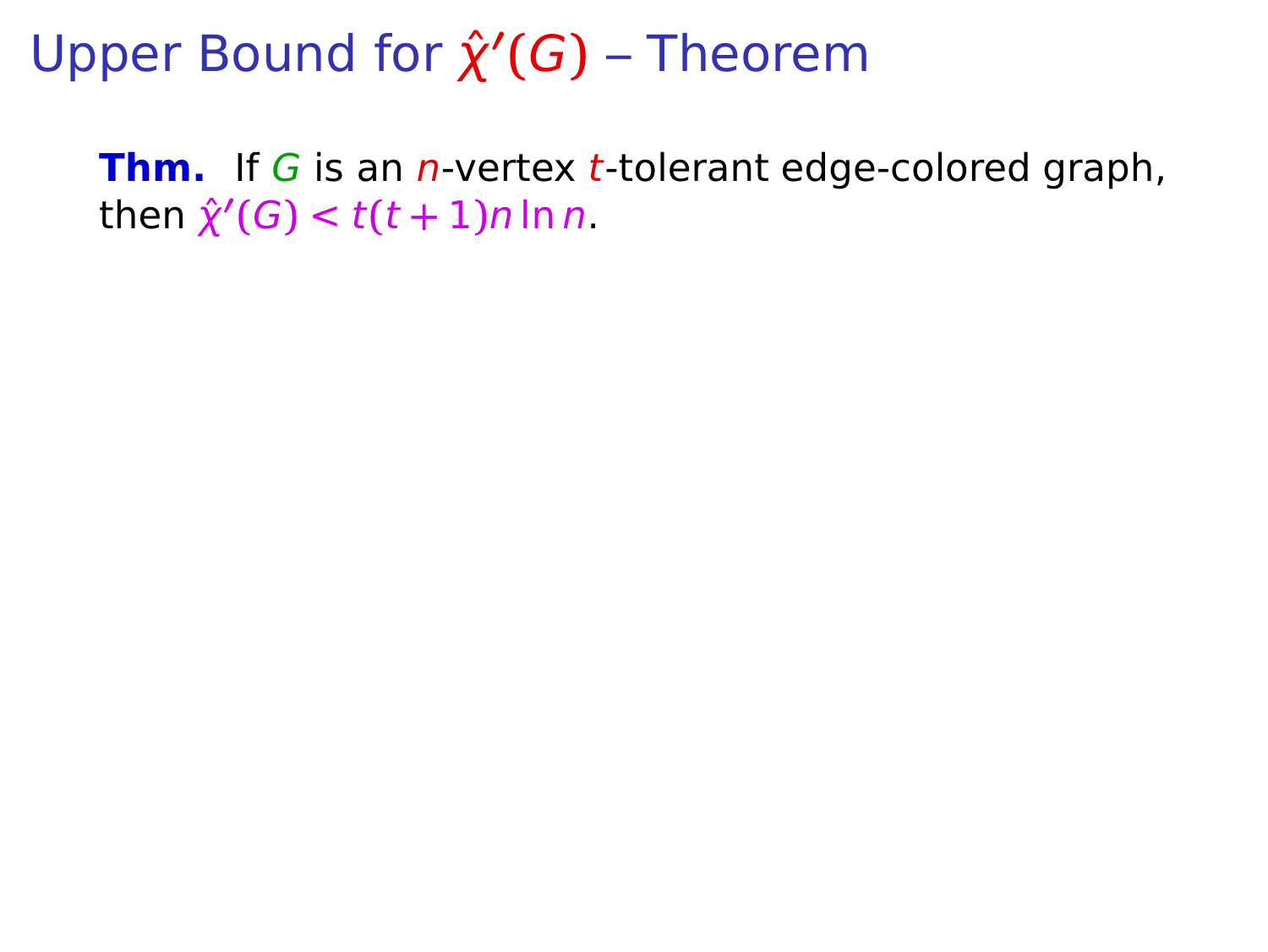Upper Bound for  $\hat{\chi}'(G)$  – Theorem

**Thm.** If G is an *n*-vertex *t*-tolerant edge-colored graph,  $\hat{\chi}'(G) < t(t+1)n \ln n$ .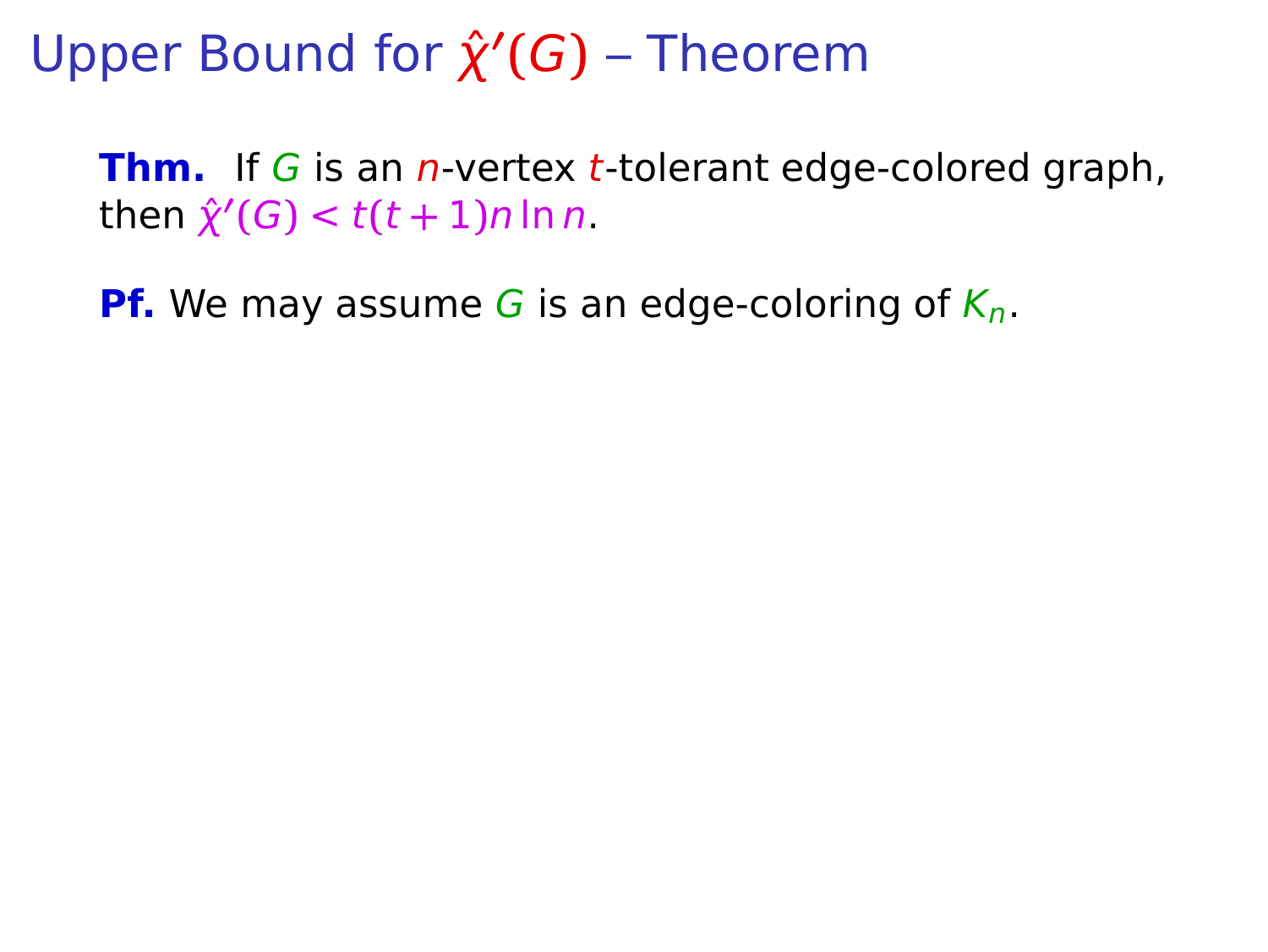**Thm.** If G is an *n*-vertex *t*-tolerant edge-colored graph,  $\hat{\chi}'(G) < t(t+1)n \ln n$ .

**Pf.** We may assume G is an edge-coloring of  $K_n$ .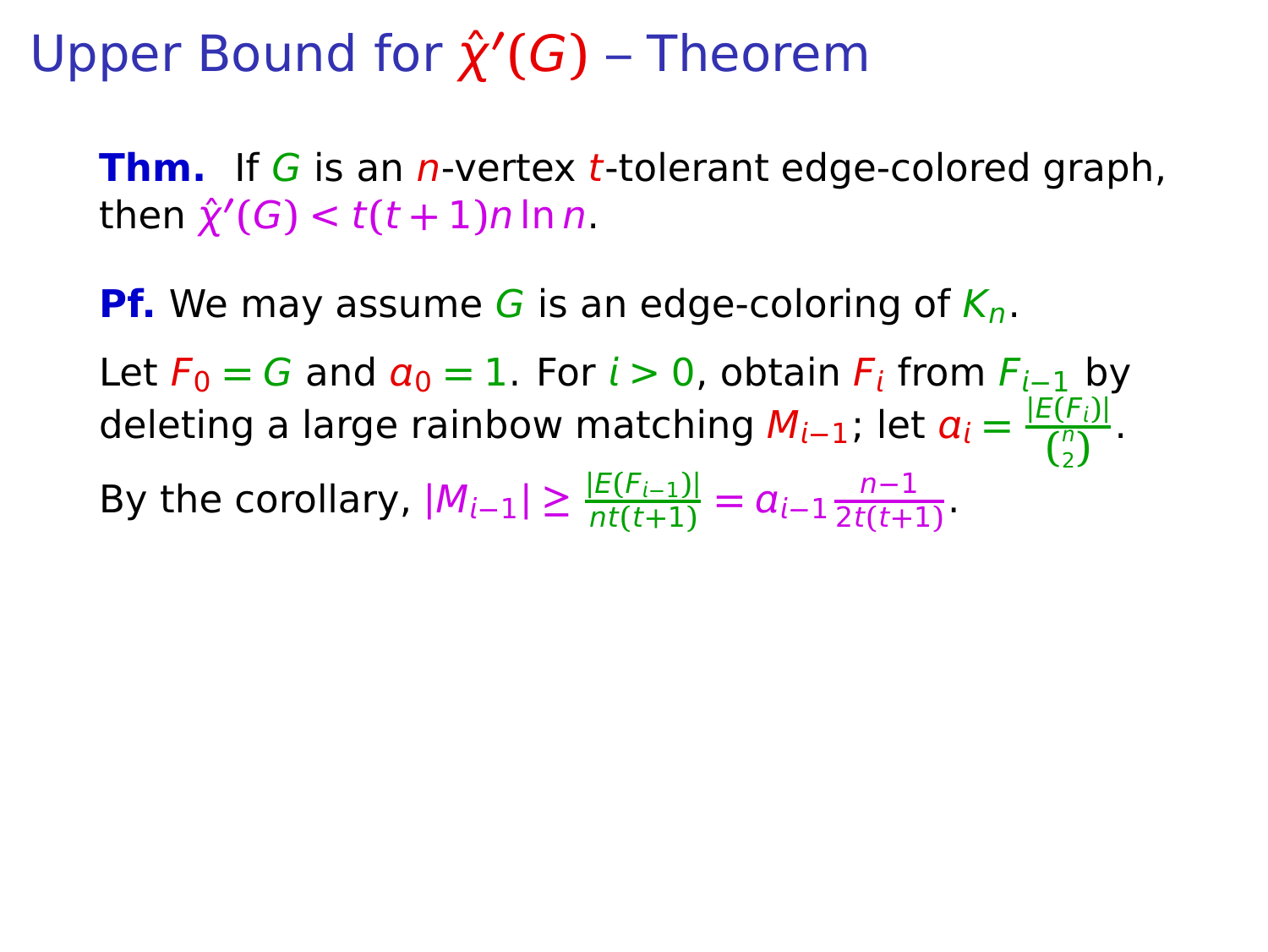**Thm.** If G is an *n*-vertex *t*-tolerant edge-colored graph,  $\hat{\chi}'(G) < t(t+1)n \ln n$ .

**Pf.** We may assume G is an edge-coloring of  $K_n$ .

Let  $F_0 = G$  and  $a_0 = 1$ . For  $i > 0$ , obtain  $F_i$  from  $F_{i-1}$  by  $\alpha$  deleting a large rainbow matching  $M_{i-1}$ ; let  $\alpha_i = \frac{|E(F_i)|}{\binom{n}{i}}$  $\frac{1}{\binom{n}{2}}$ . 2

By the corollary,  $|M_{i-1}| \geq \frac{|E(F_{i-1})|}{nt(t+1)} = a_{i-1} \frac{n-1}{2t(t+1)}$  $\frac{1}{2t(t+1)}$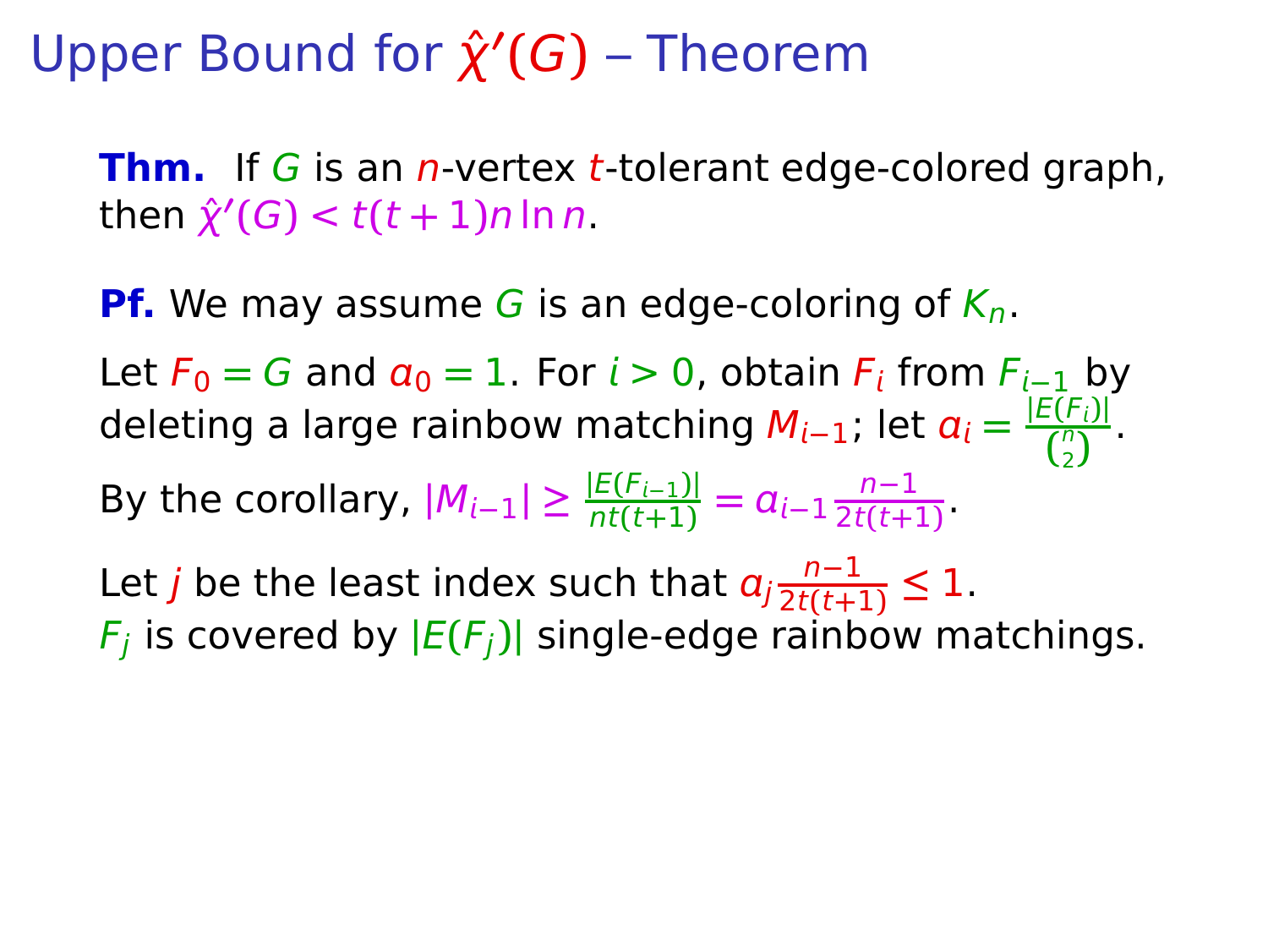**Thm.** If G is an *n*-vertex *t*-tolerant edge-colored graph,  $\hat{\chi}'(G) < t(t+1)n \ln n$ .

**Pf.** We may assume G is an edge-coloring of  $K_n$ .

Let  $F_0 = G$  and  $a_0 = 1$ . For  $i > 0$ , obtain  $F_i$  from  $F_{i-1}$  by  $\alpha$  deleting a large rainbow matching  $M_{i-1}$ ; let  $\alpha_i = \frac{|E(F_i)|}{\binom{n}{i}}$  $\frac{1}{\binom{n}{2}}$ . 2

By the corollary,  $|M_{i-1}| \geq \frac{|E(F_{i-1})|}{nt(t+1)} = a_{i-1} \frac{n-1}{2t(t+1)}$  $\frac{1}{2t(t+1)}$ 

Let *j* be the least index such that  $a_j \frac{n-1}{2t(t+1)}$  $\frac{n-1}{2t(t+1)} \leq 1$ .  $F_j$  is covered by  $|E(F_j)|$  single-edge rainbow matchings.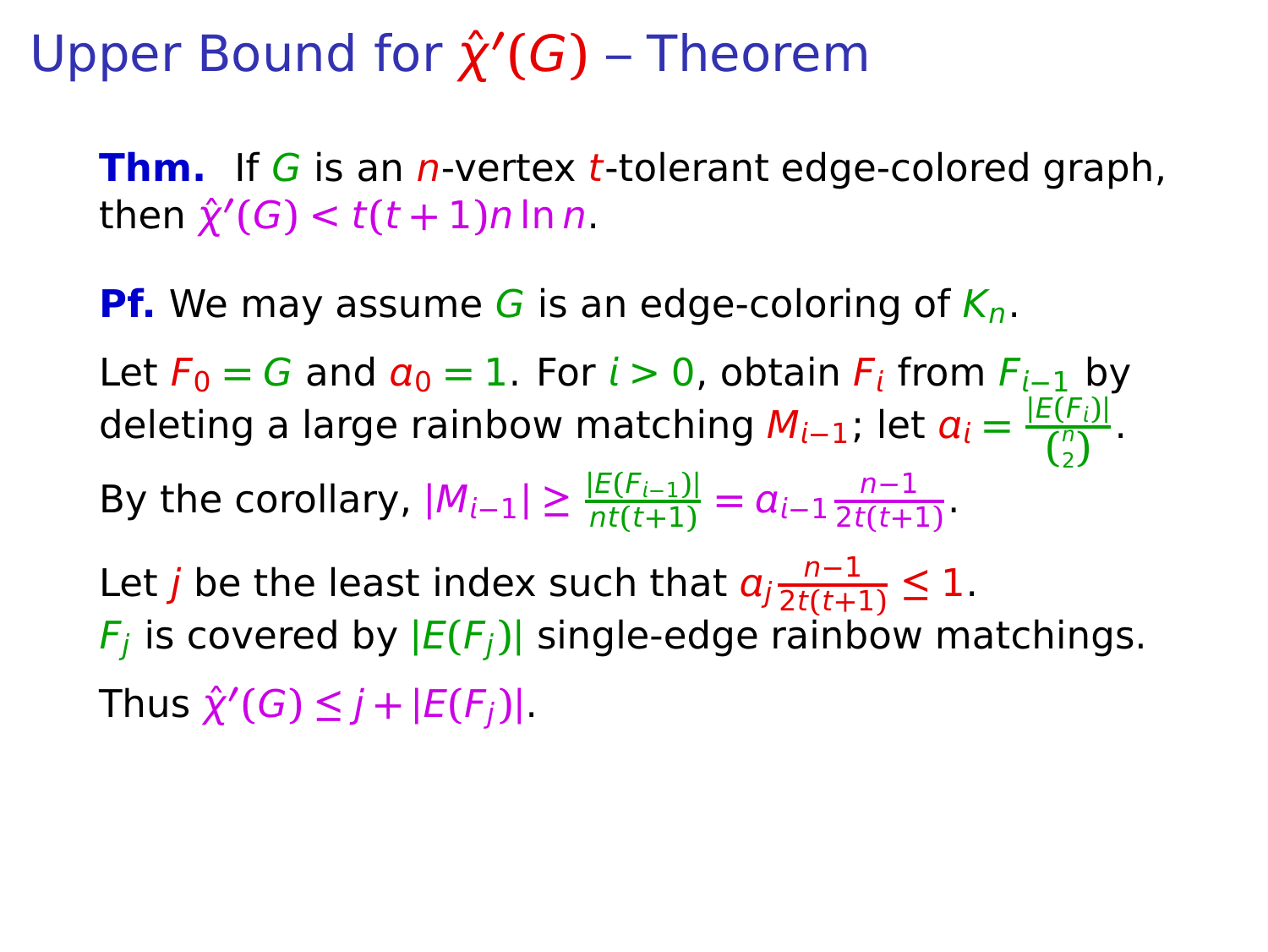**Thm.** If G is an *n*-vertex *t*-tolerant edge-colored graph,  $\hat{\chi}'(G) < t(t+1)n \ln n$ .

**Pf.** We may assume G is an edge-coloring of  $K_n$ .

Let  $F_0 = G$  and  $a_0 = 1$ . For  $i > 0$ , obtain  $F_i$  from  $F_{i-1}$  by  $\alpha$  deleting a large rainbow matching  $M_{i-1}$ ; let  $\alpha_i = \frac{|E(F_i)|}{\binom{n}{i}}$  $\frac{1}{\binom{n}{2}}$ . 2

By the corollary,  $|M_{i-1}| \geq \frac{|E(F_{i-1})|}{nt(t+1)} = a_{i-1} \frac{n-1}{2t(t+1)}$  $\frac{1}{2t(t+1)}$ 

Let *j* be the least index such that  $a_j \frac{n-1}{2t(t+1)}$  $\frac{n-1}{2t(t+1)} \leq 1$ .  $F_j$  is covered by  $|E(F_j)|$  single-edge rainbow matchings.  $\hat{\chi}'(G) \leq j + |E(F_j)|$ .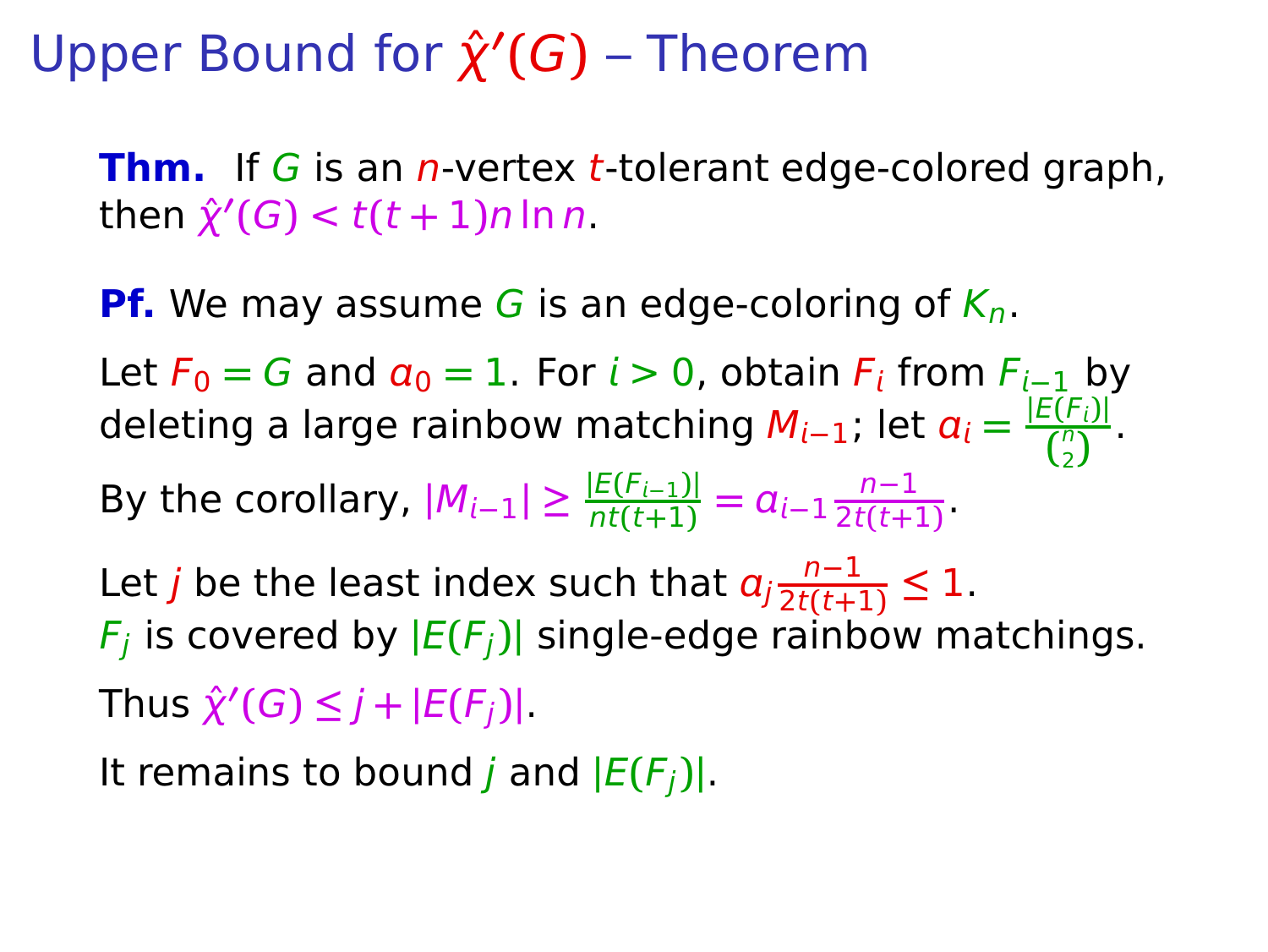**Thm.** If G is an *n*-vertex *t*-tolerant edge-colored graph,  $\hat{\chi}'(G) < t(t+1)n \ln n$ .

**Pf.** We may assume G is an edge-coloring of  $K_n$ .

Let  $F_0 = G$  and  $a_0 = 1$ . For  $i > 0$ , obtain  $F_i$  from  $F_{i-1}$  by  $\alpha$  deleting a large rainbow matching  $M_{i-1}$ ; let  $\alpha_i = \frac{|E(F_i)|}{\binom{n}{i}}$  $\frac{1}{\binom{n}{2}}$ . 2

By the corollary,  $|M_{i-1}| \geq \frac{|E(F_{i-1})|}{nt(t+1)} = a_{i-1} \frac{n-1}{2t(t+1)}$  $\frac{1}{2t(t+1)}$ 

Let *j* be the least index such that  $a_j \frac{n-1}{2t(t+1)}$  $\frac{n-1}{2t(t+1)} \leq 1$ .  $F_j$  is covered by  $|E(F_j)|$  single-edge rainbow matchings.  $\hat{\chi}'(G) \leq j + |E(F_j)|$ .

It remains to bound *j* and  $|E(F_i)|$ .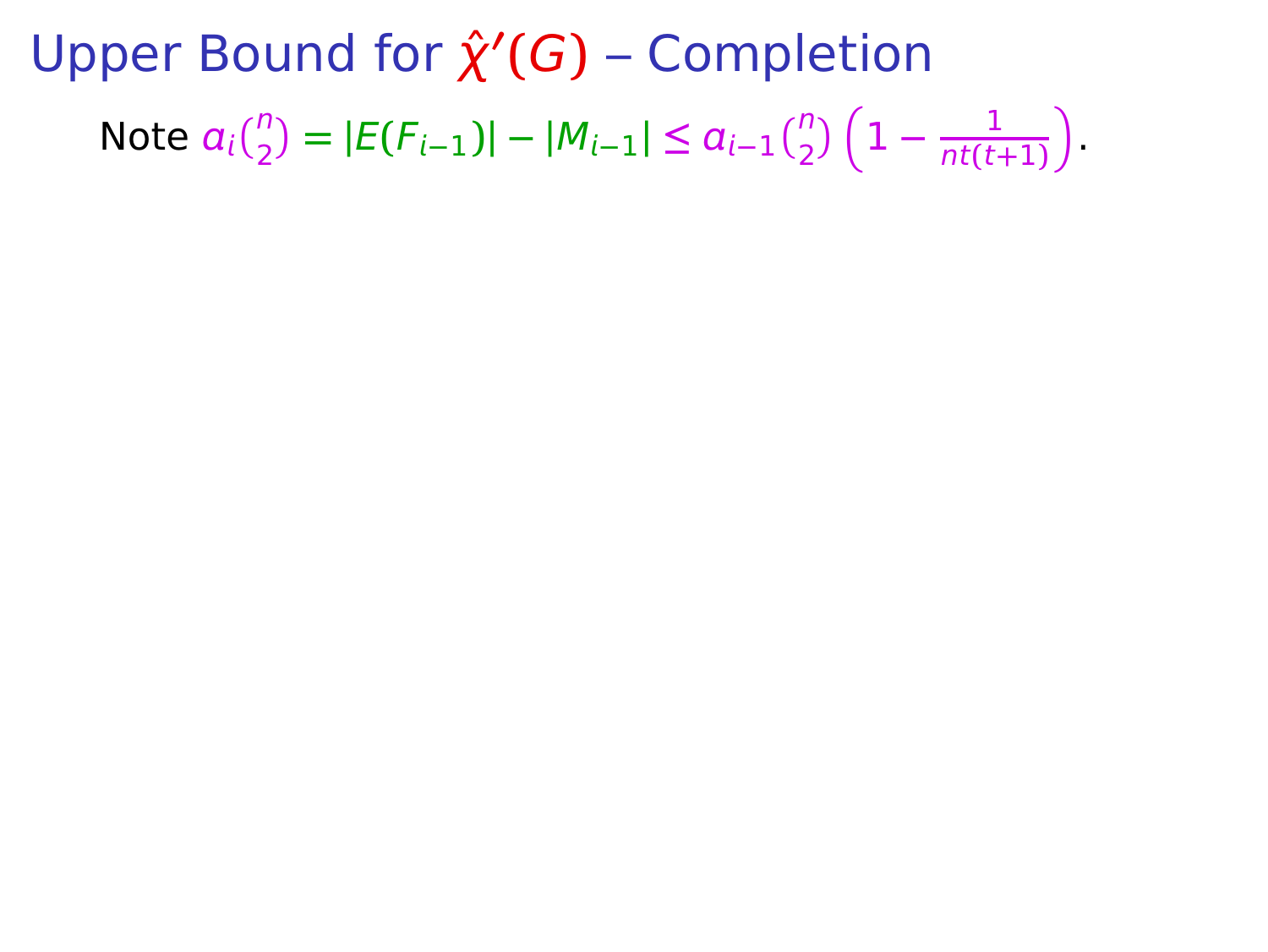**Upper Bound for**  $\hat{\chi}'(G)$  **– Completion** Note  $a_i\binom{n}{2} = |E(F_{i-1})| - |M_{i-1}| \le a_{i-1}\binom{n}{2}\left(1 - \frac{1}{n t (t-1)}\right)$  $\frac{1}{nt(t+1)}$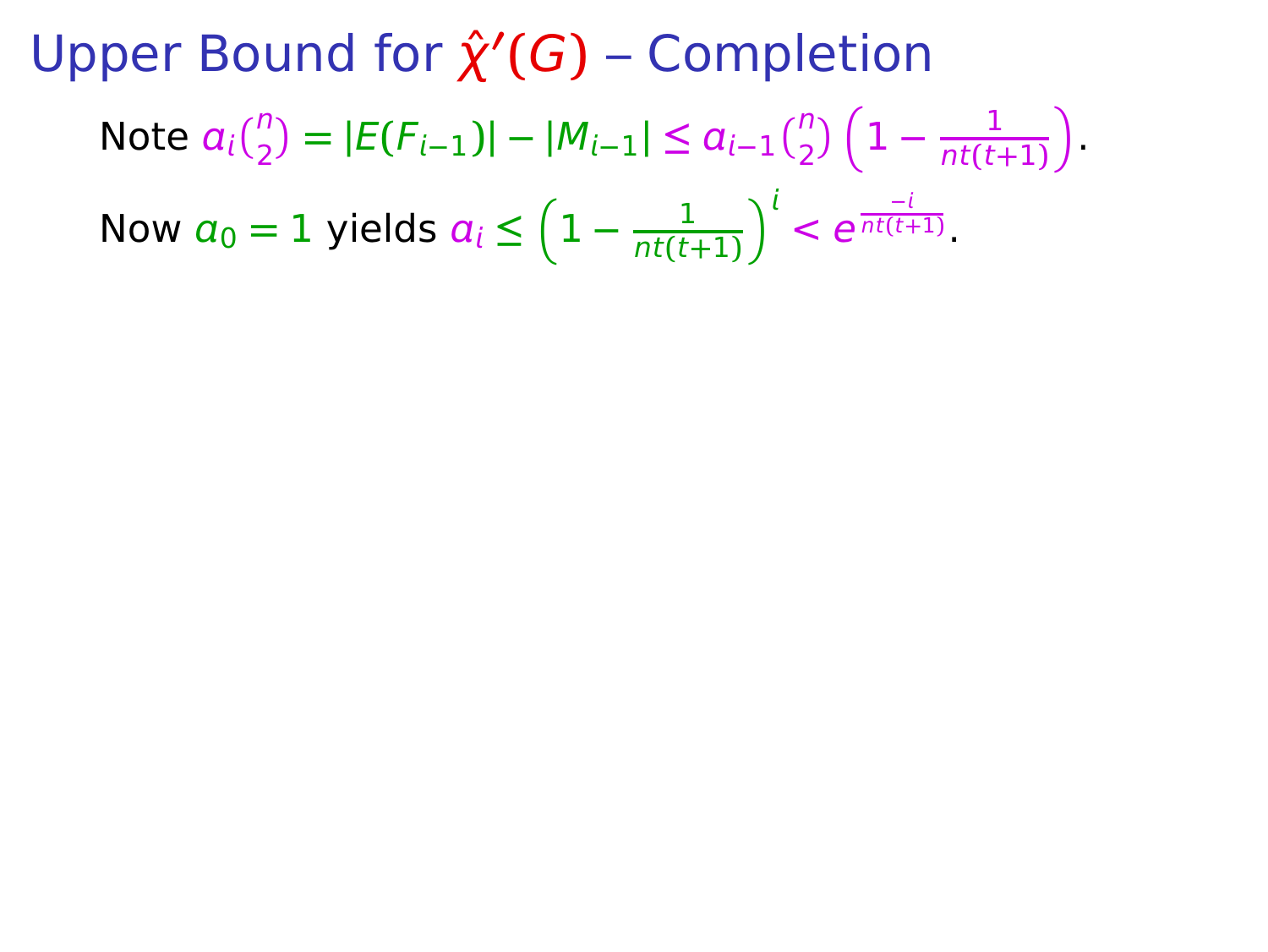**Upper Bound for**  $\hat{\chi}'(G)$  **– Completion** Note  $a_i\binom{n}{2} = |E(F_{i-1})| - |M_{i-1}| \le a_{i-1}\binom{n}{2}\left(1 - \frac{1}{n t (t-1)}\right)$  $\frac{1}{nt(t+1)}$ Now  $a_0 = 1$  yields  $a_i \leq \left(1 - \frac{1}{n t (t-1)}\right)$  $\frac{1}{nt(t+1)}$ <sup> $\int_0^t < e^{\frac{-t}{nt(t+1)}}$ .</sup>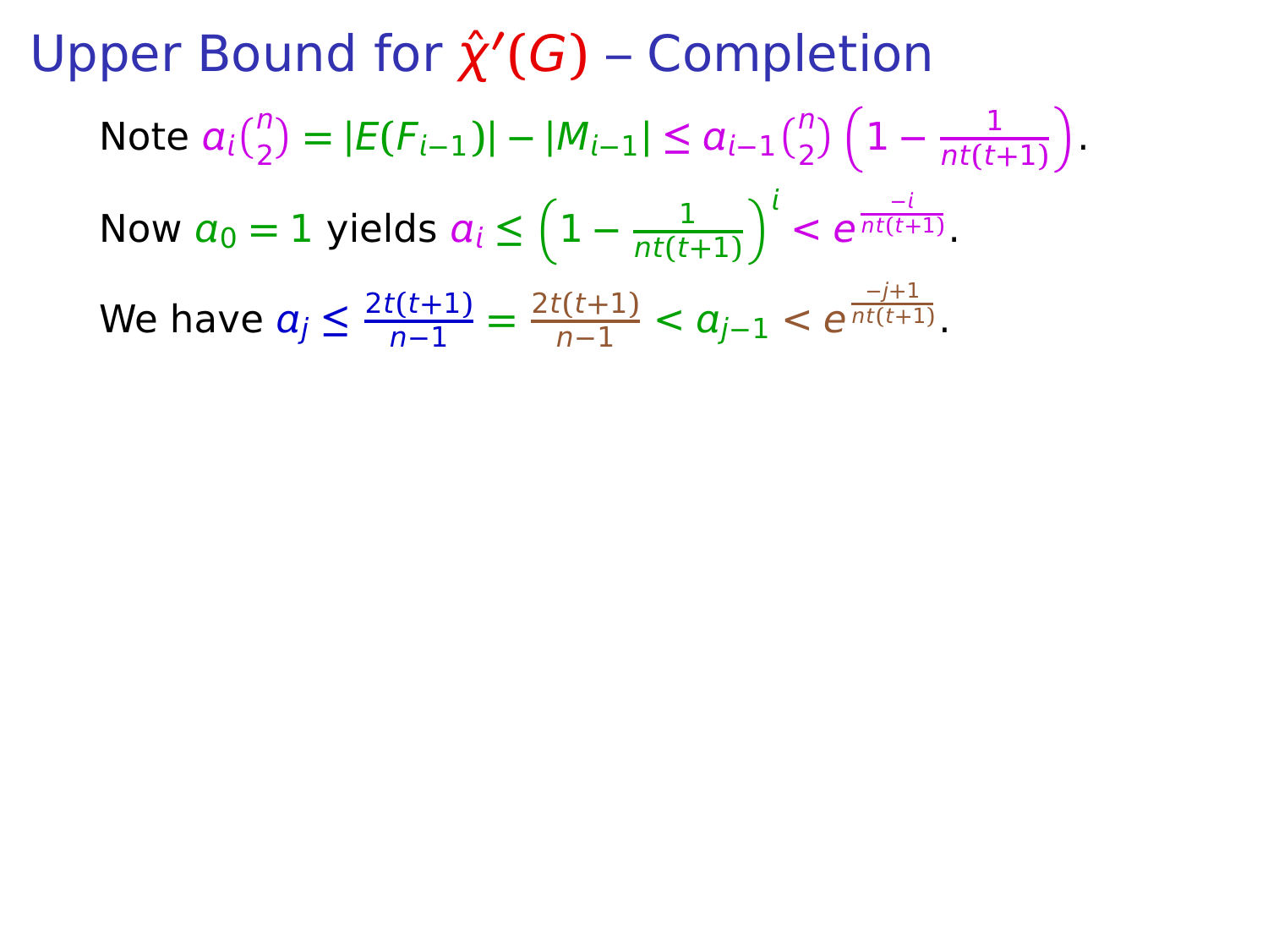**Upper Bound for**  $\hat{\chi}'(G)$  **– Completion** Note  $a_i\binom{n}{2} = |E(F_{i-1})| - |M_{i-1}| \le a_{i-1}\binom{n}{2}\left(1 - \frac{1}{n t (t-1)}\right)$  $\frac{1}{nt(t+1)}$ Now  $a_0 = 1$  yields  $a_i \leq \left(1 - \frac{1}{n t (t-1)}\right)$  $\frac{1}{nt(t+1)}$ <sup> $\int_0^t < e^{\frac{-t}{nt(t+1)}}$ .</sup> We have  $a_j \leq \frac{2t(t+1)}{n-1} = \frac{2t(t+1)}{n-1} < a_{j-1} < e^{\frac{-j+1}{nt(t+1)}}$ .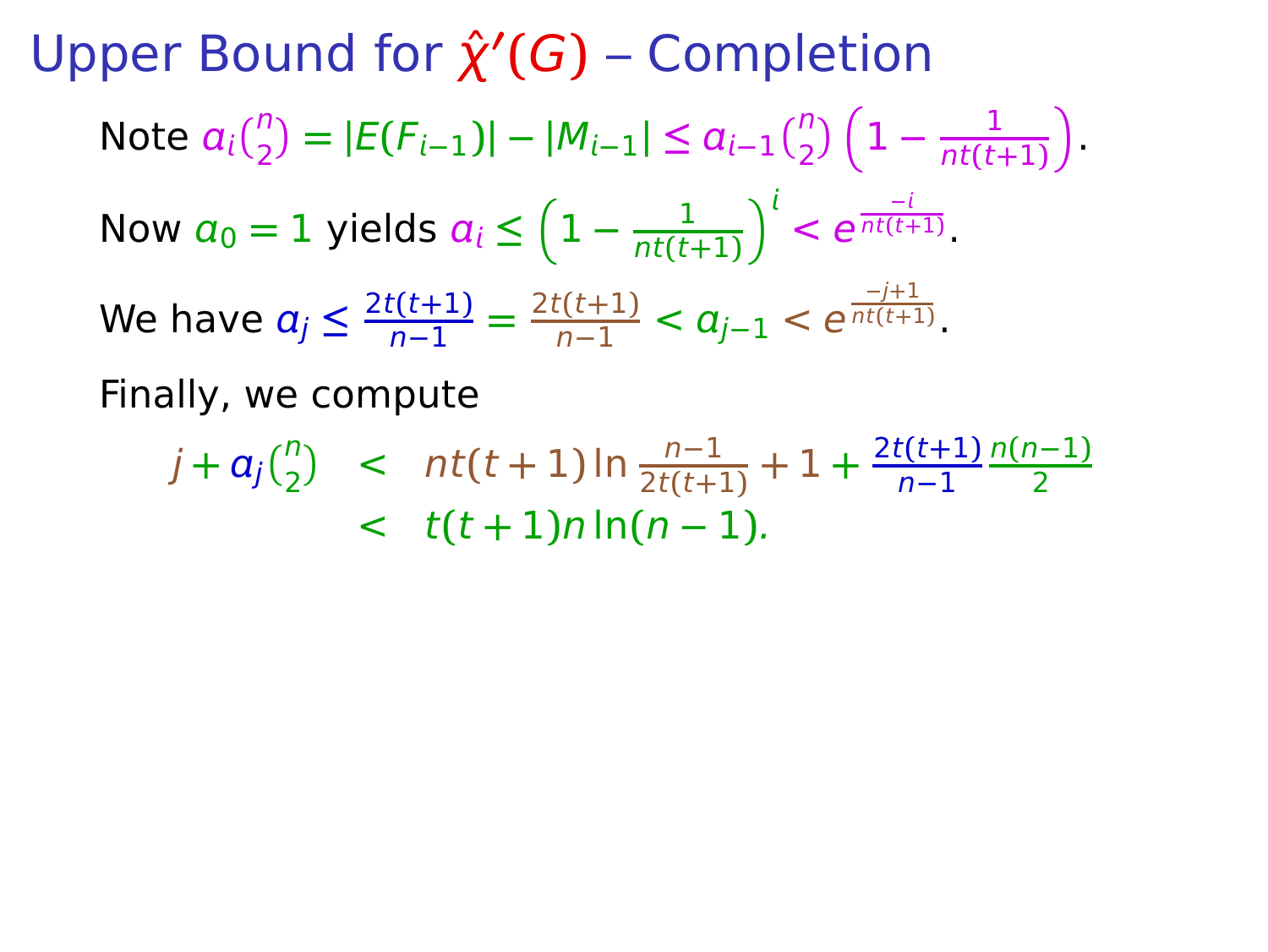**Upper Bound for**  $\hat{\chi}'(G)$  **– Completion** Note  $a_i\binom{n}{2} = |E(F_{i-1})| - |M_{i-1}| \le a_{i-1}\binom{n}{2}\left(1 - \frac{1}{n t (t-1)}\right)$  $\frac{1}{nt(t+1)}$ Now  $a_0 = 1$  yields  $a_i \leq \left(1 - \frac{1}{n t (t-1)}\right)$  $\frac{1}{nt(t+1)}$ <sup> $\int_0^t < e^{\frac{-t}{nt(t+1)}}$ .</sup> We have  $a_j \leq \frac{2t(t+1)}{n-1} = \frac{2t(t+1)}{n-1} < a_{j-1} < e^{\frac{-j+1}{nt(t+1)}}$ . Finally, we compute

$$
j + a_j {n \choose 2} < nt(t+1) \ln \frac{n-1}{2t(t+1)} + 1 + \frac{2t(t+1)}{n-1} \frac{n(n-1)}{2} \\ < t(t+1) n \ln(n-1).
$$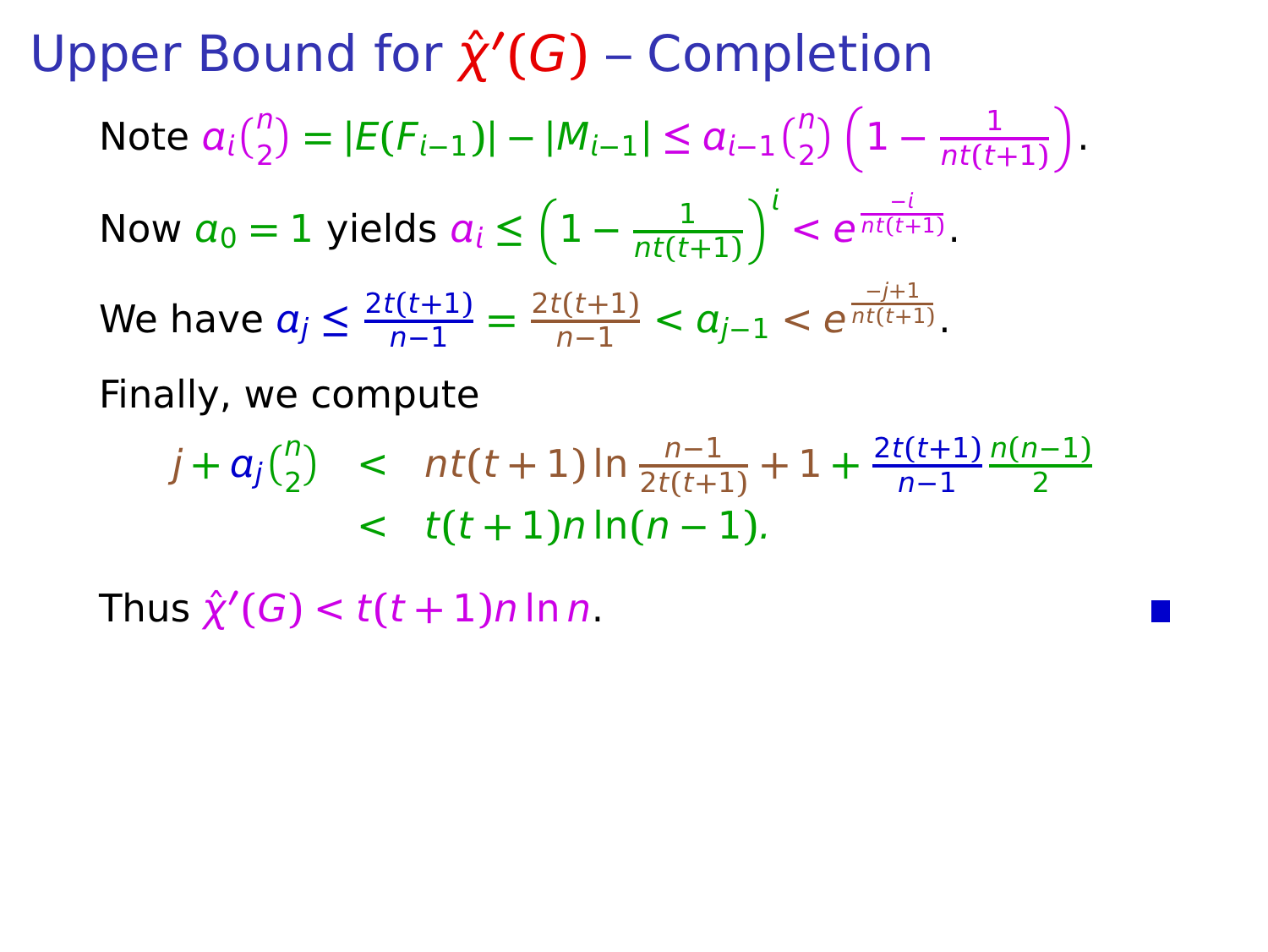**Upper Bound for**  $\hat{\chi}'(G)$  **– Completion** Note  $a_i\binom{n}{2} = |E(F_{i-1})| - |M_{i-1}| \le a_{i-1}\binom{n}{2}\left(1 - \frac{1}{n t (t-1)}\right)$  $\frac{1}{nt(t+1)}$ Now  $a_0 = 1$  yields  $a_i \leq \left(1 - \frac{1}{n t (t-1)}\right)$  $\frac{1}{nt(t+1)}$ <sup> $\int_0^t < e^{\frac{-t}{nt(t+1)}}$ .</sup> We have  $a_j \leq \frac{2t(t+1)}{n-1} = \frac{2t(t+1)}{n-1} < a_{j-1} < e^{\frac{-j+1}{nt(t+1)}}$ . Finally, we compute

$$
j + a_j {n \choose 2} < nt(t+1) \ln \frac{n-1}{2t(t+1)} + 1 + \frac{2t(t+1)}{n-1} \frac{n(n-1)}{2} \\ < t(t+1) n \ln(n-1).
$$

 $\hat{\chi}'(G) < t(t+1)n \ln n$ .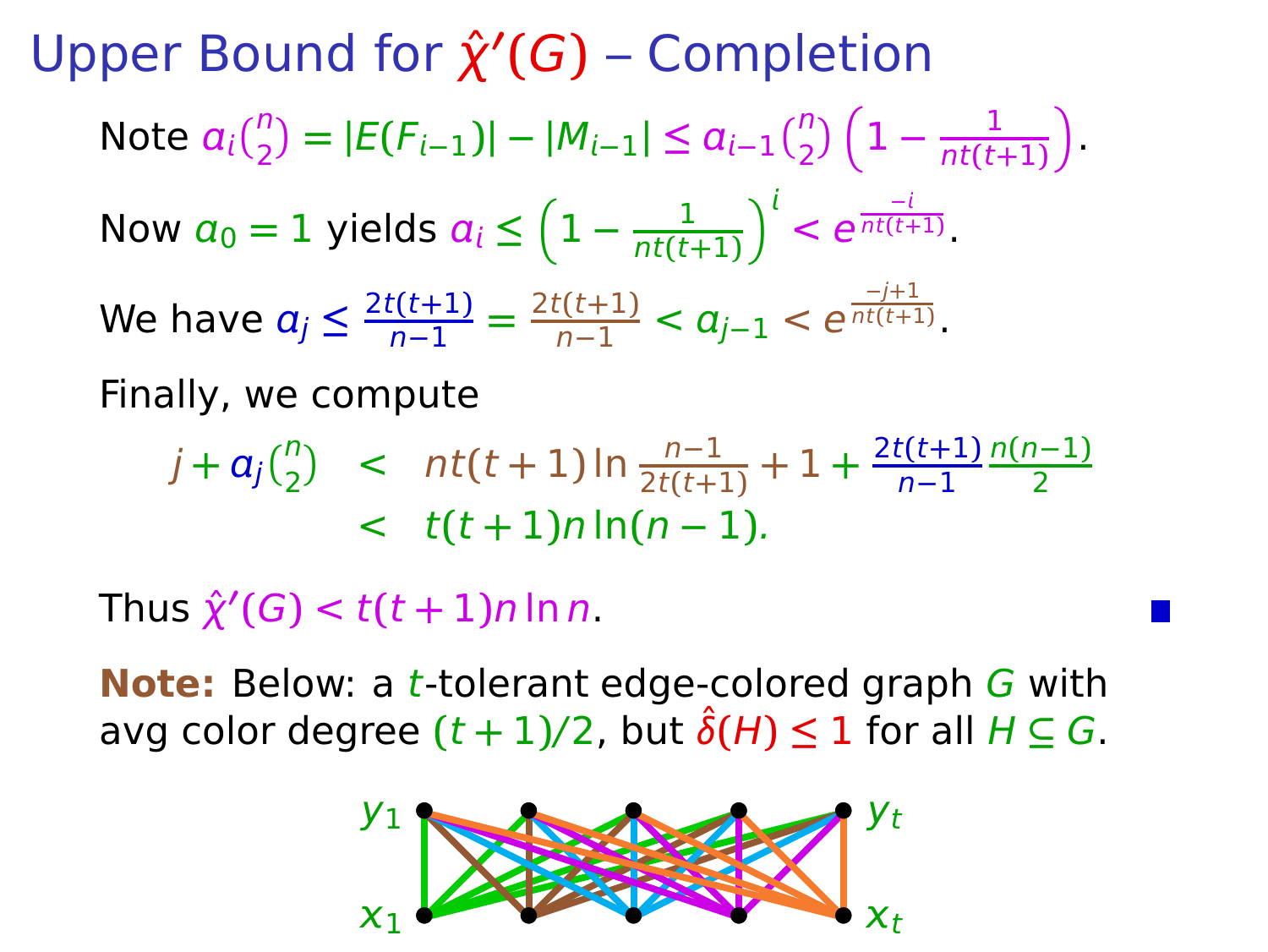**Upper Bound for**  $\hat{\chi}'(G)$  **– Completion** Note  $a_i\binom{n}{2} = |E(F_{i-1})| - |M_{i-1}| \le a_{i-1}\binom{n}{2}\left(1 - \frac{1}{n t (t-1)}\right)$  $\frac{1}{nt(t+1)}$ Now  $a_0 = 1$  yields  $a_i \leq \left(1 - \frac{1}{n t (t-1)}\right)$  $\frac{1}{nt(t+1)}$ <sup> $\int_0^t < e^{\frac{-t}{nt(t+1)}}$ .</sup> We have  $a_j \leq \frac{2t(t+1)}{n-1} = \frac{2t(t+1)}{n-1} < a_{j-1} < e^{\frac{-j+1}{nt(t+1)}}$ . Finally, we compute

$$
j + a_j {n \choose 2} < nt(t+1) \ln \frac{n-1}{2t(t+1)} + 1 + \frac{2t(t+1)}{n-1} \frac{n(n-1)}{2} \\ < t(t+1) n \ln(n-1).
$$

 $\hat{\chi}'(G) < t(t+1)n \ln n$ .

**Note:** Below: a t-tolerant edge-colored graph G with avg color degree  $(t + 1)/2$ , but  $\hat{\delta}(H) \leq 1$  for all  $H \subseteq G$ .

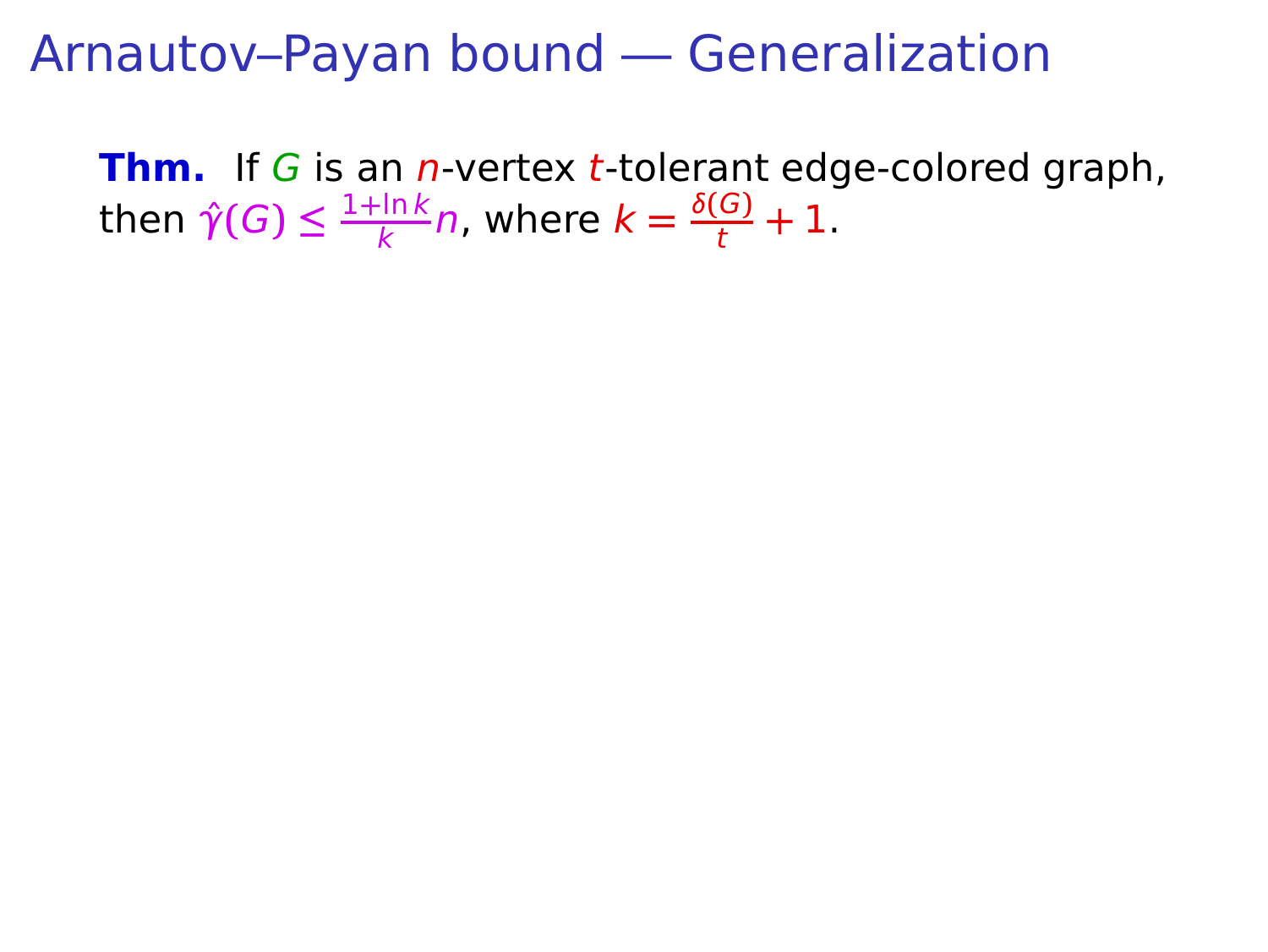**Thm.** If G is an *n*-vertex *t*-tolerant edge-colored graph, then  $\hat{\gamma}(G) \leq \frac{1 + \ln k}{k}$  $\frac{\ln k}{k}n$ , where  $k = \frac{\delta(G)}{t} + 1$ .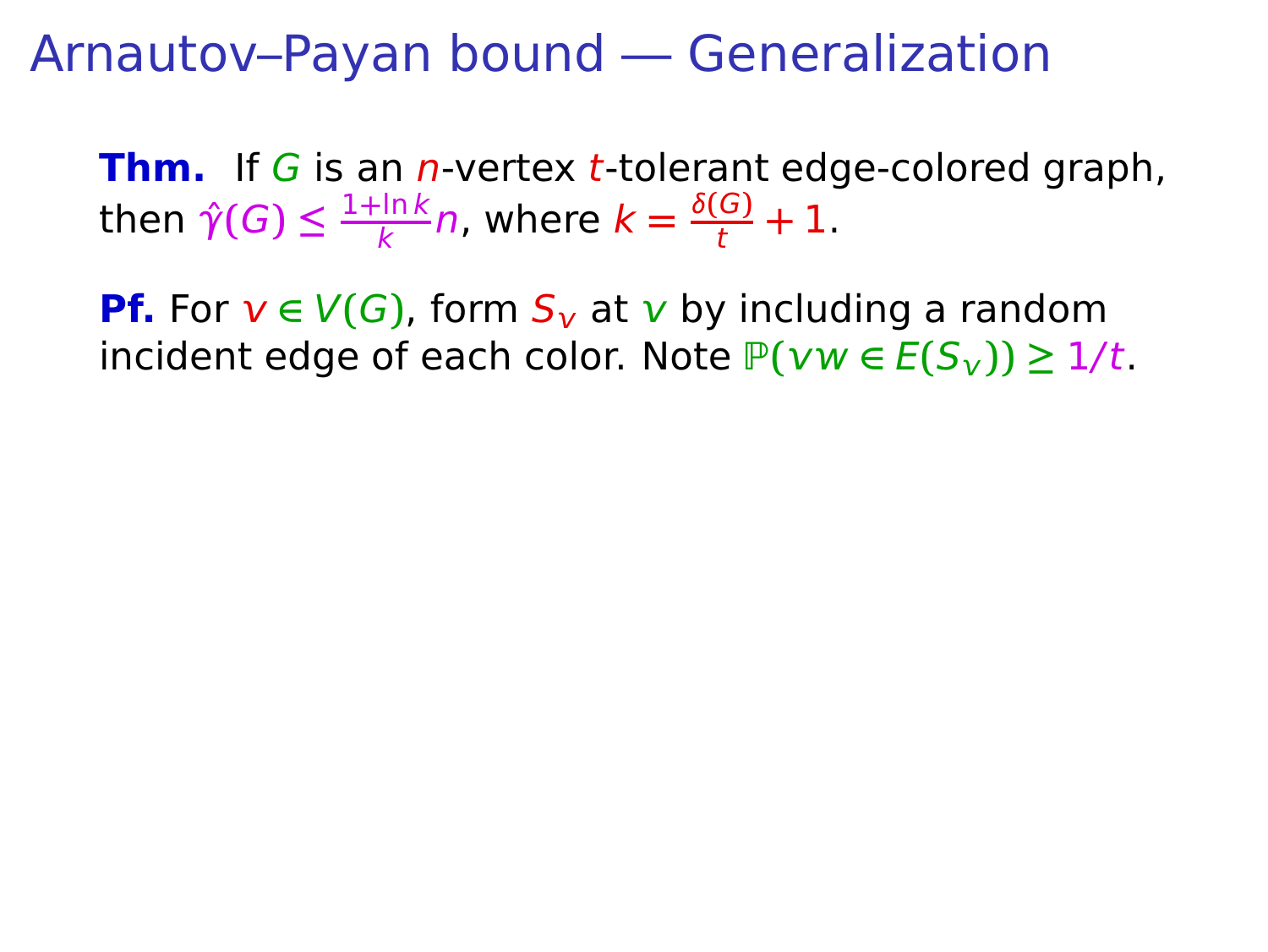**Thm.** If G is an *n*-vertex *t*-tolerant edge-colored graph, then  $\hat{\gamma}(G) \leq \frac{1 + \ln k}{k}$  $\frac{\ln k}{k}n$ , where  $k = \frac{\delta(G)}{t} + 1$ .

**Pf.** For  $v \in V(G)$ , form  $S_v$  at v by including a random  $i$  incident edge of each color. Note  $P(vw ∈ E(S_v)) ≥ 1/t$ .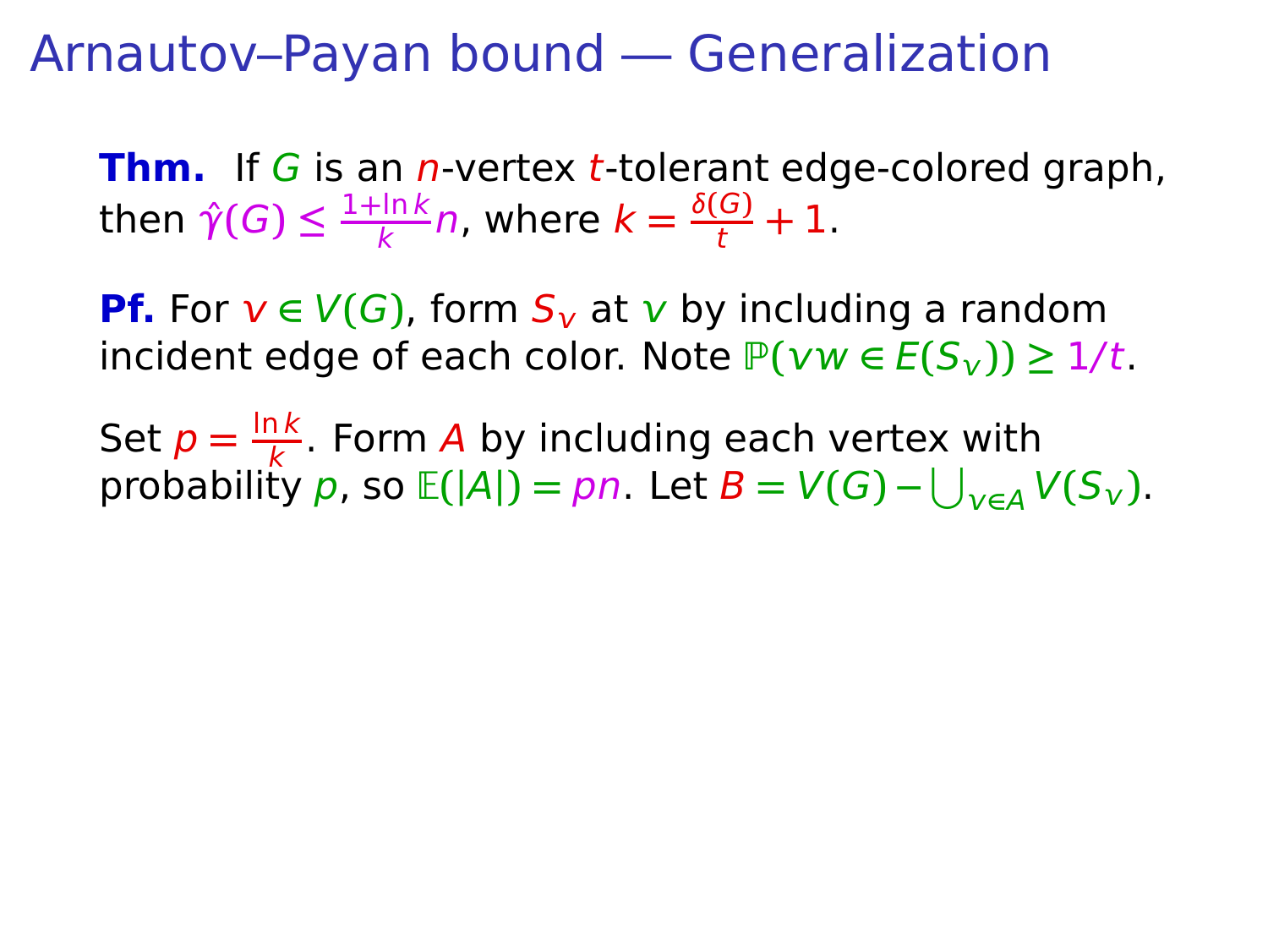**Thm.** If G is an *n*-vertex *t*-tolerant edge-colored graph, then  $\hat{\gamma}(G) \leq \frac{1 + \ln k}{k}$  $\frac{\ln k}{k}n$ , where  $k = \frac{\delta(G)}{t} + 1$ .

**Pf.** For  $v \in V(G)$ , form  $S_v$  at v by including a random  $i$  incident edge of each color. Note  $P(vw ∈ E(S_v)) ≥ 1/t$ .

Set  $p = \frac{\ln k}{k}$  $\frac{16}{k}$ . Form A by including each vertex with  $\text{probability } p \text{, so } \mathbb{E}(|A|) = pn.$  Let  $B = V(G) - \bigcup_{v \in A} V(S_v).$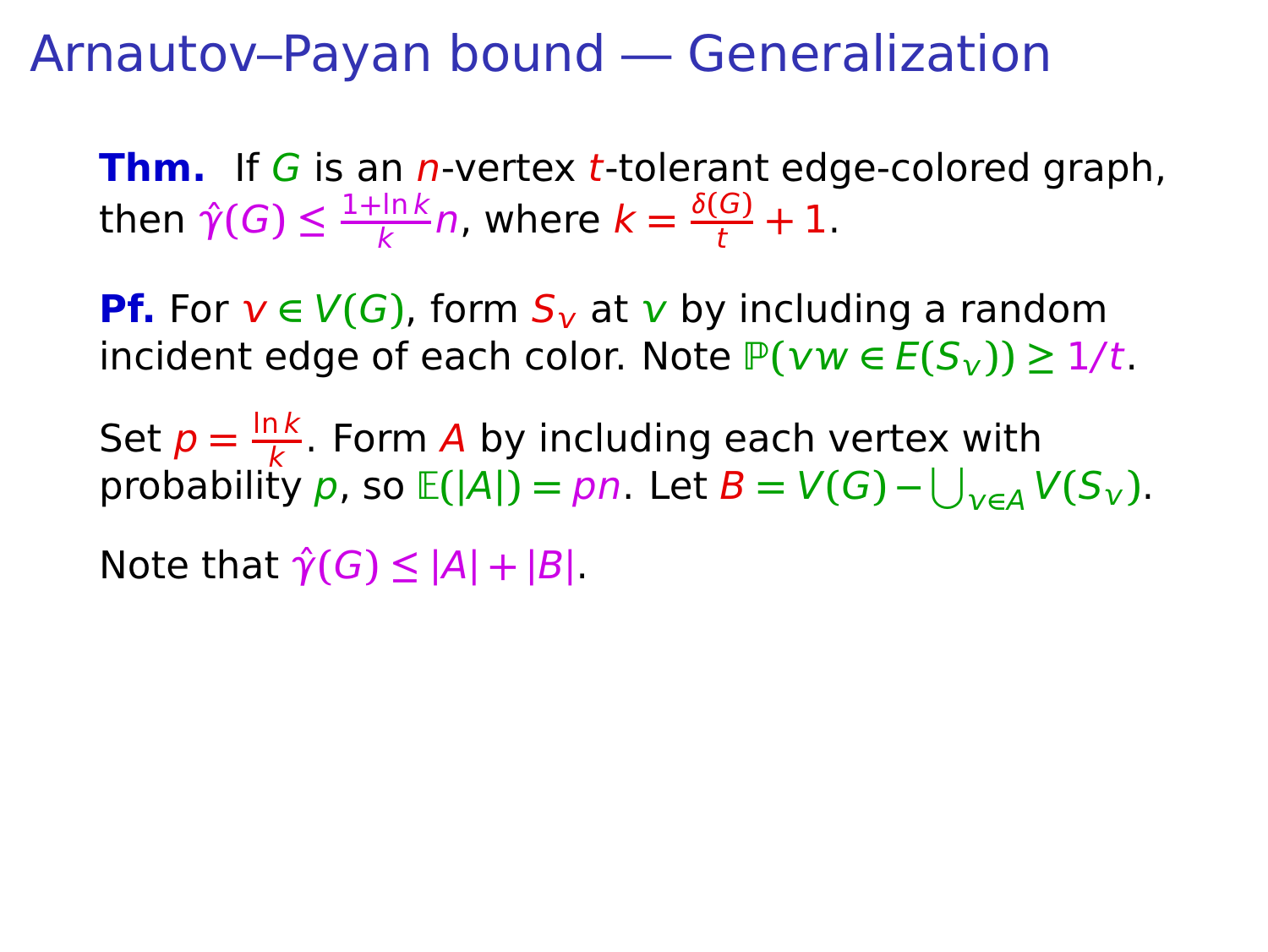**Thm.** If G is an *n*-vertex *t*-tolerant edge-colored graph, then  $\hat{\gamma}(G) \leq \frac{1 + \ln k}{k}$  $\frac{\ln k}{k}n$ , where  $k = \frac{\delta(G)}{t} + 1$ .

**Pf.** For  $v \in V(G)$ , form  $S_v$  at v by including a random  $i$ ncident edge of each color. Note  $P(vw ∈ E(S_v)) ≥ 1/t$ .

Set  $p = \frac{\ln k}{k}$  $\frac{16}{k}$ . Form A by including each vertex with  $\text{probability } p \text{, so } \mathbb{E}(|A|) = pn.$  Let  $B = V(G) - \bigcup_{v \in A} V(S_v).$ 

 $\mathsf{Note that } \hat{\gamma}(G) \leq |A| + |B|$ .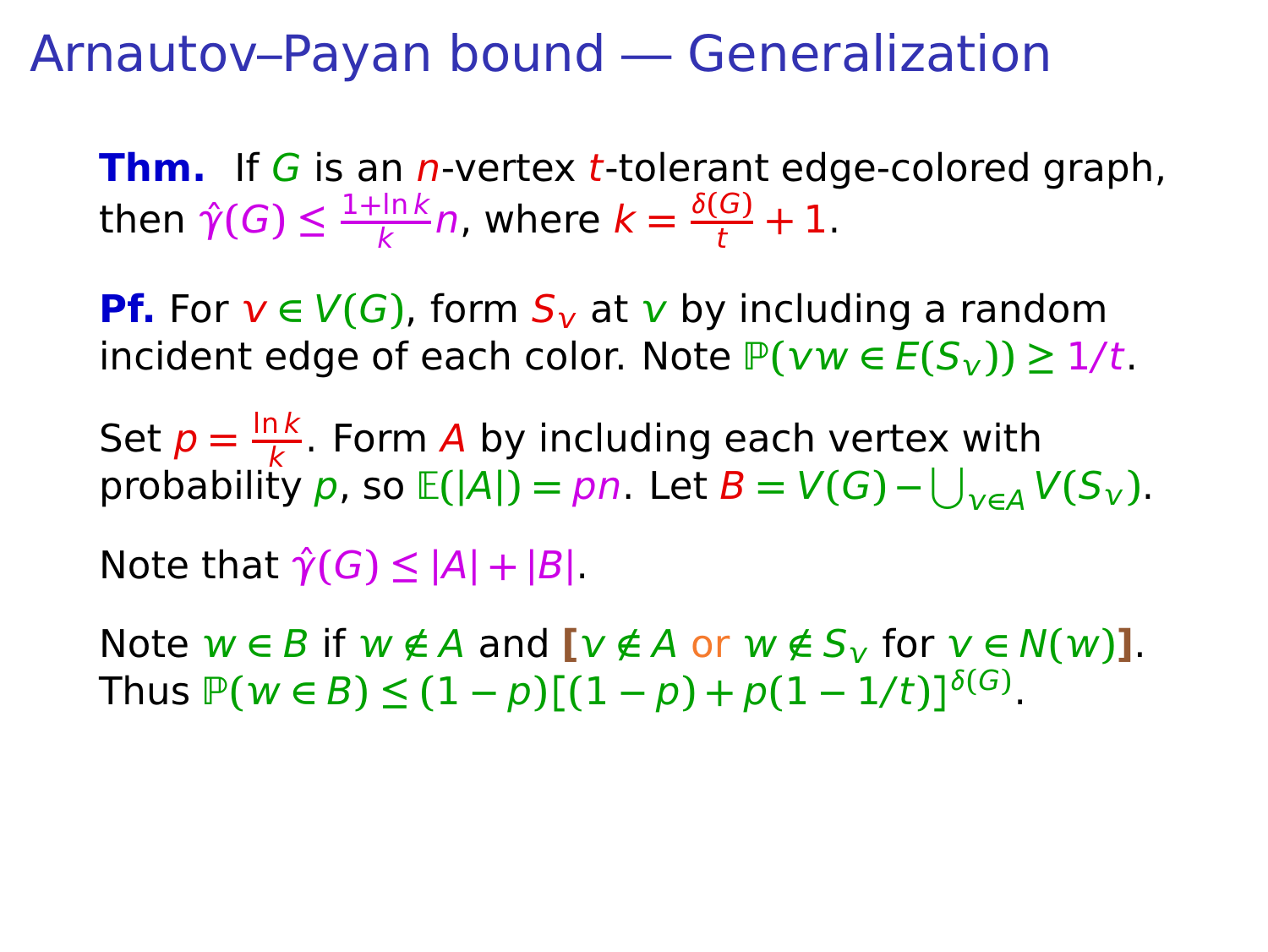**Thm.** If G is an *n*-vertex *t*-tolerant edge-colored graph, then  $\hat{\gamma}(G) \leq \frac{1 + \ln k}{k}$  $\frac{\ln k}{k}n$ , where  $k = \frac{\delta(G)}{t} + 1$ .

**Pf.** For  $v \in V(G)$ , form  $S_v$  at v by including a random  $i$  incident edge of each color. Note  $P(vw \in E(S_v)) \geq 1/t$ .

Set  $p = \frac{\ln k}{k}$  $\frac{16}{k}$ . Form A by including each vertex with  $\text{probability } p \text{, so } \mathbb{E}(|A|) = pn.$  Let  $B = V(G) - \bigcup_{v \in A} V(S_v).$ 

 $\mathsf{Note that } \hat{\gamma}(G) \leq |A| + |B|$ .

 $N$  ote  $w \in B$  if  $w \notin A$  and  $[v \notin A$  or  $w \notin S_v$  for  $v \in N(w)$ .  $\text{Thus } \mathbb{P}(w \in B) \leq (1-p)[(1-p) + p(1-1/t)]^{\delta(G)}.$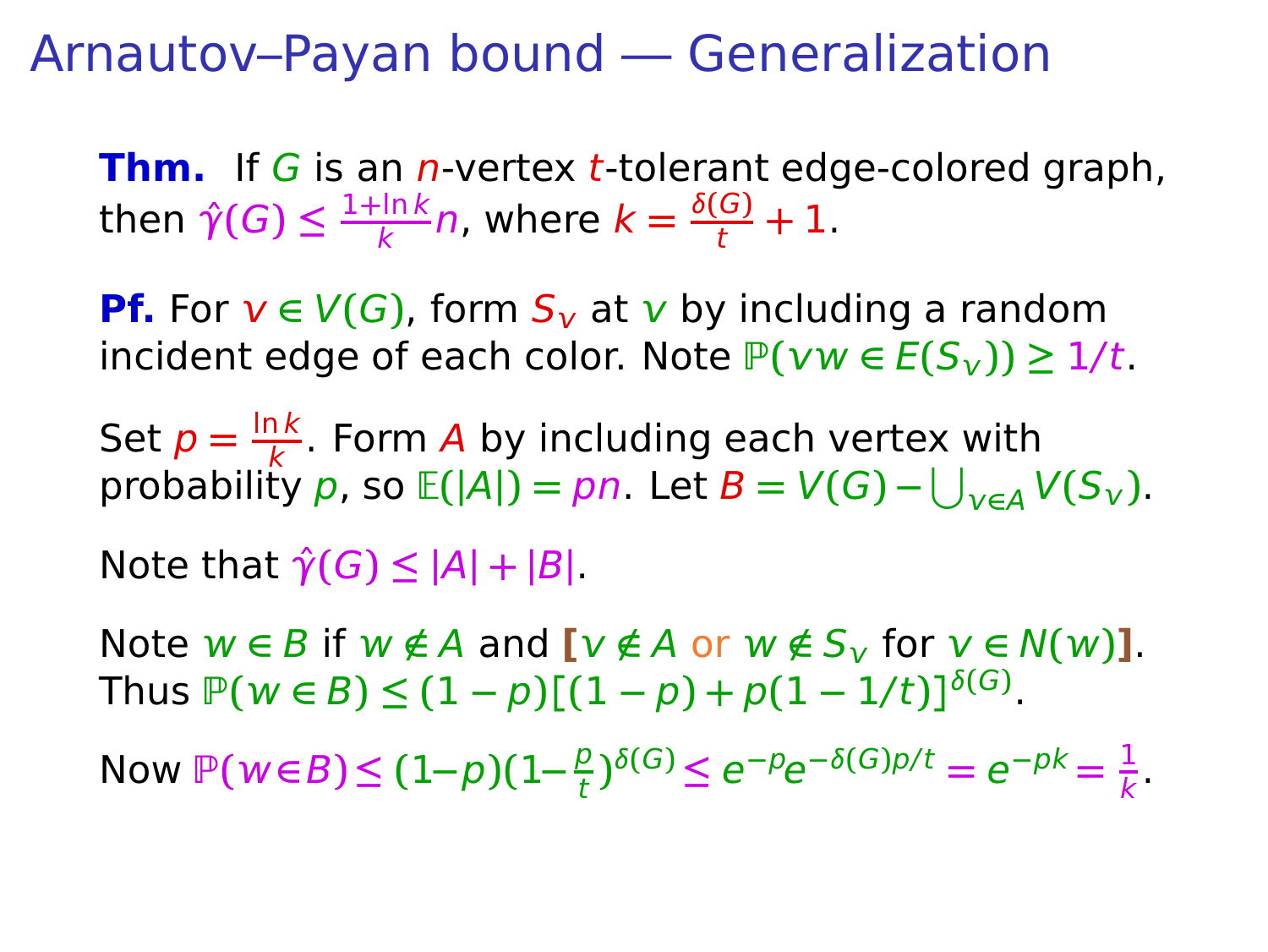**Thm.** If G is an *n*-vertex *t*-tolerant edge-colored graph, then  $\hat{\gamma}(G) \leq \frac{1 + \ln k}{k}$  $\frac{\ln k}{k}n$ , where  $k = \frac{\delta(G)}{t} + 1$ .

**Pf.** For  $v \in V(G)$ , form  $S_v$  at v by including a random  $i$ ncident edge of each color. Note  $P(vw ∈ E(S_v)) ≥ 1/t$ .

Set  $p = \frac{\ln k}{k}$  $\frac{16}{k}$ . Form A by including each vertex with  $\text{probability } p \text{, so } \mathbb{E}(|A|) = pn.$  Let  $B = V(G) - \bigcup_{v \in A} V(S_v).$ 

 $\mathsf{Note that } \hat{\gamma}(G) \leq |A| + |B|$ .

Note  $w \in B$  if  $w \notin A$  and  $[v \notin A$  or  $w \notin S_v$  for  $v \in N(w)$ ].  $\text{Thus } \mathbb{P}(w \in B) \leq (1-p)[(1-p) + p(1-1/t)]^{\delta(G)}.$ 

Now  $\mathbb{P}(w \in B)$  ≤  $(1-p)(1-\frac{p}{t})$  $\frac{p}{t}$ <sup>5(G</sup>)  $\le e^{-p}e^{-\delta(G)p/t} = e^{-pk} = \frac{1}{k}$  $\frac{1}{k}$ .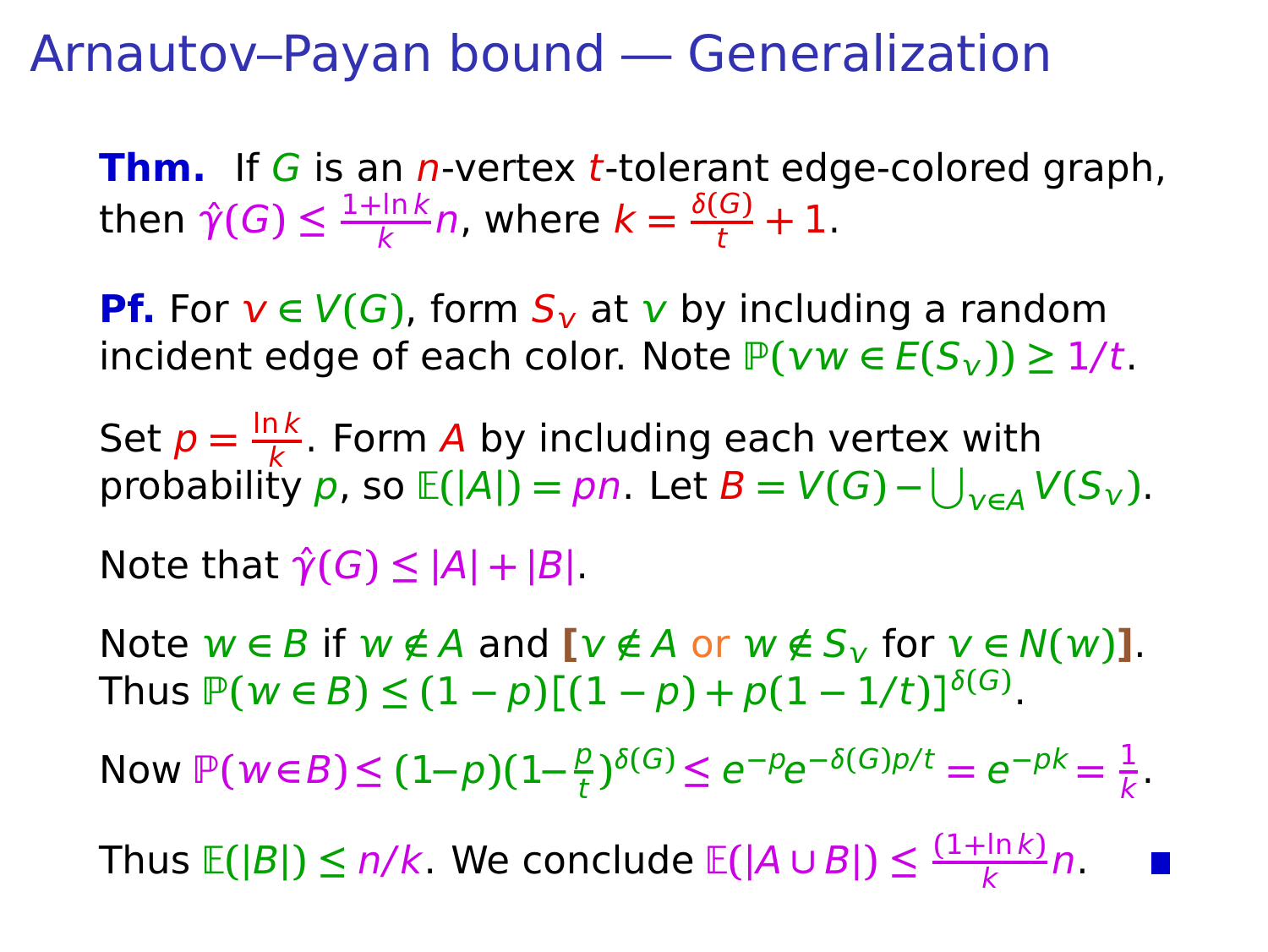**Thm.** If G is an *n*-vertex *t*-tolerant edge-colored graph, then  $\hat{\gamma}(G) \leq \frac{1 + \ln k}{k}$  $\frac{\ln k}{k}n$ , where  $k = \frac{\delta(G)}{t} + 1$ .

**Pf.** For  $v \in V(G)$ , form  $S_v$  at v by including a random  $i$ ncident edge of each color. Note  $P(vw ∈ E(S_v)) ≥ 1/t$ .

Set  $p = \frac{\ln k}{k}$  $\frac{16}{k}$ . Form A by including each vertex with  $\text{probability } p \text{, so } \mathbb{E}(|A|) = pn.$  Let  $B = V(G) - \bigcup_{v \in A} V(S_v).$ 

 $\text{Note that } \hat{\gamma}(G) \leq |A| + |B|$ .

Note  $w \in B$  if  $w \notin A$  and  $[v \notin A$  or  $w \notin S_v$  for  $v \in N(w)$ ].  $\text{Thus } \mathbb{P}(w \in B) \leq (1-p)[(1-p) + p(1-1/t)]^{\delta(G)}.$ 

Now  $\mathbb{P}(w \in B)$  ≤  $(1-p)(1-\frac{p}{t})$  $\frac{p}{t}$ <sup>5(G</sup>)  $\le e^{-p}e^{-\delta(G)p/t} = e^{-pk} = \frac{1}{k}$  $\frac{1}{k}$ .

 $\textsf{Thus}\ \mathbb{E}(|B|) \leq n/k.$  We conclude  $\mathbb{E}(|A \cup B|) \leq \frac{(1+\ln k)}{k}$  $\frac{n(K)}{K}n$ .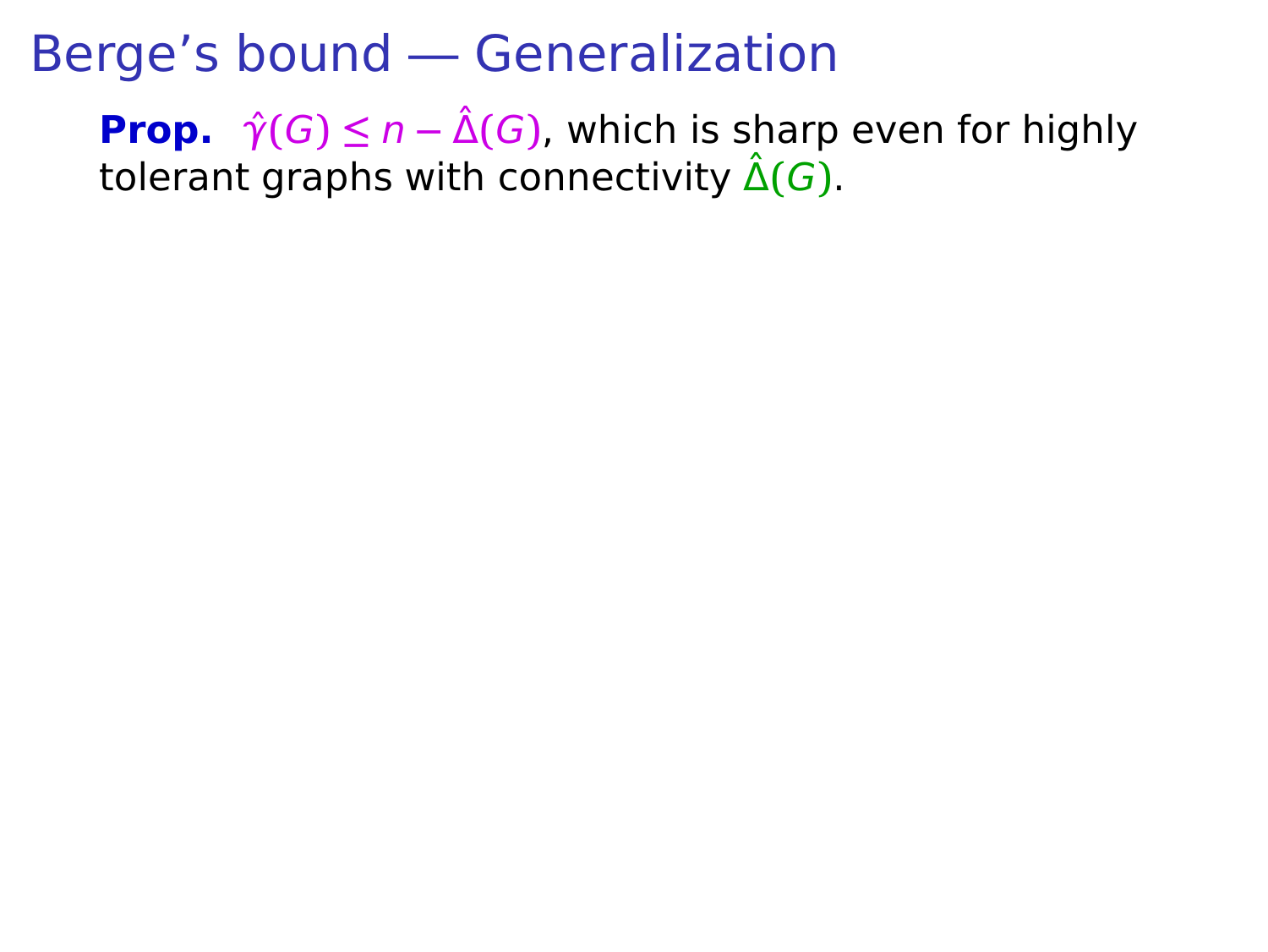**Prop.**  $\hat{\gamma}(G) \leq n - \hat{\Delta}(G)$ , which is sharp even for highly tolerant graphs with connectivity  $\hat{\Delta}(G)$ .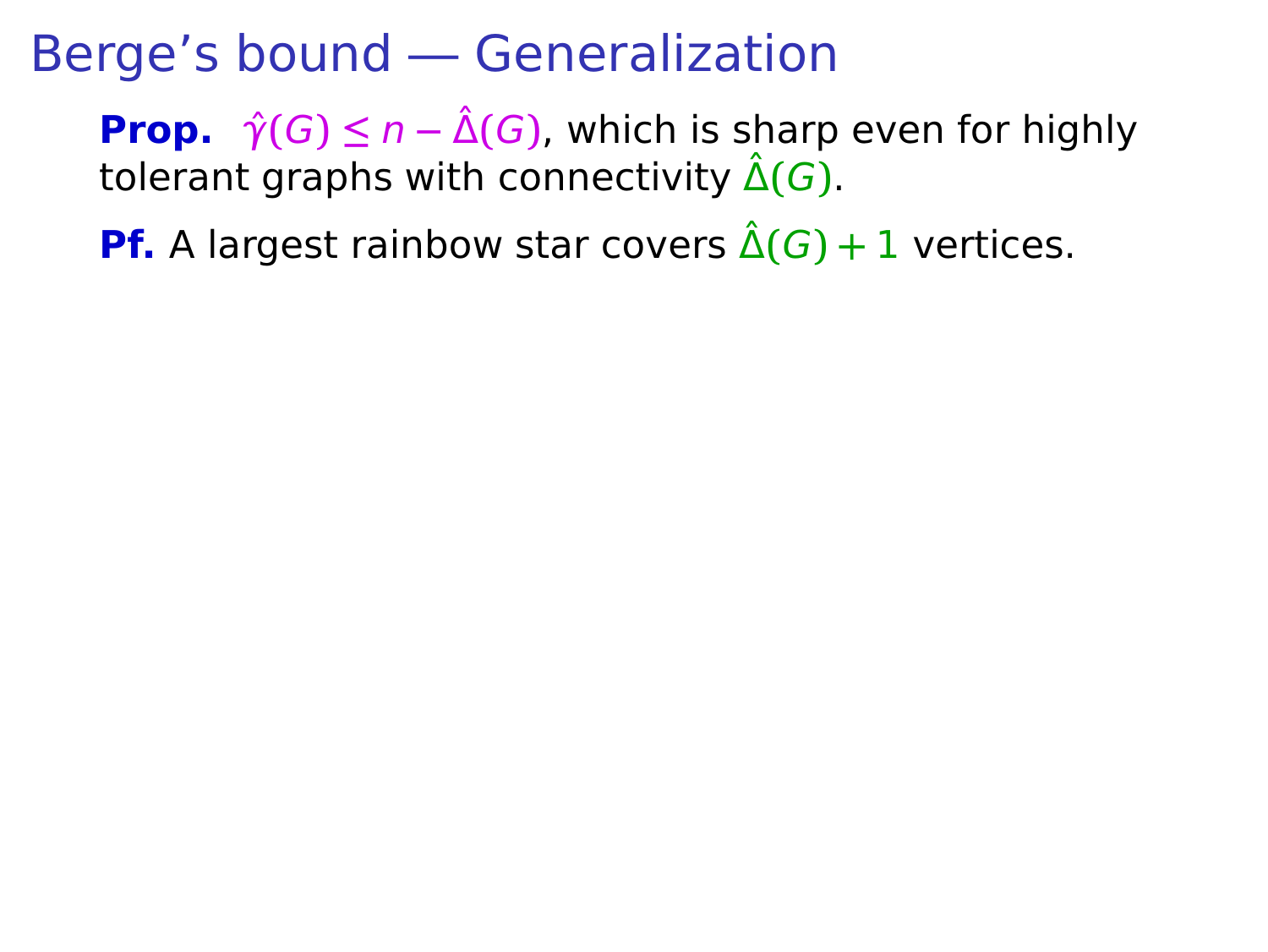**Prop.**  $\hat{\gamma}(G) \leq n - \hat{\Delta}(G)$ , which is sharp even for highly tolerant graphs with connectivity  $\hat{\Delta}(G)$ .

**Pf.** A largest rainbow star covers  $\hat{\Delta}(G) + 1$  vertices.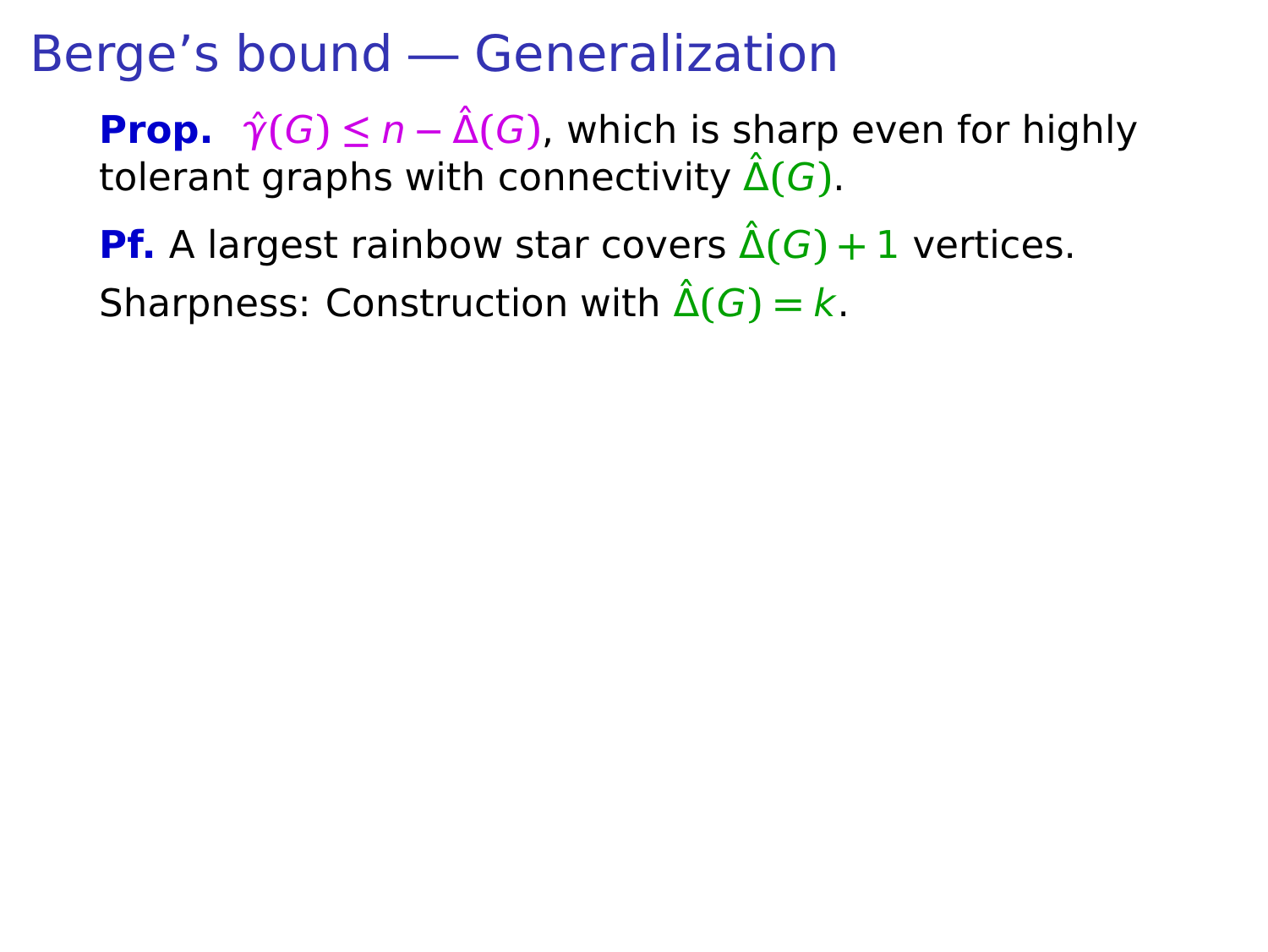**Prop.**  $\hat{\gamma}(G) \leq n - \hat{\Delta}(G)$ , which is sharp even for highly tolerant graphs with connectivity  $\hat{\Delta}(G)$ .

**Pf.** A largest rainbow star covers  $\hat{\Delta}(G) + 1$  vertices. Sharpness: Construction with  $\hat{\Delta}(G) = k$ .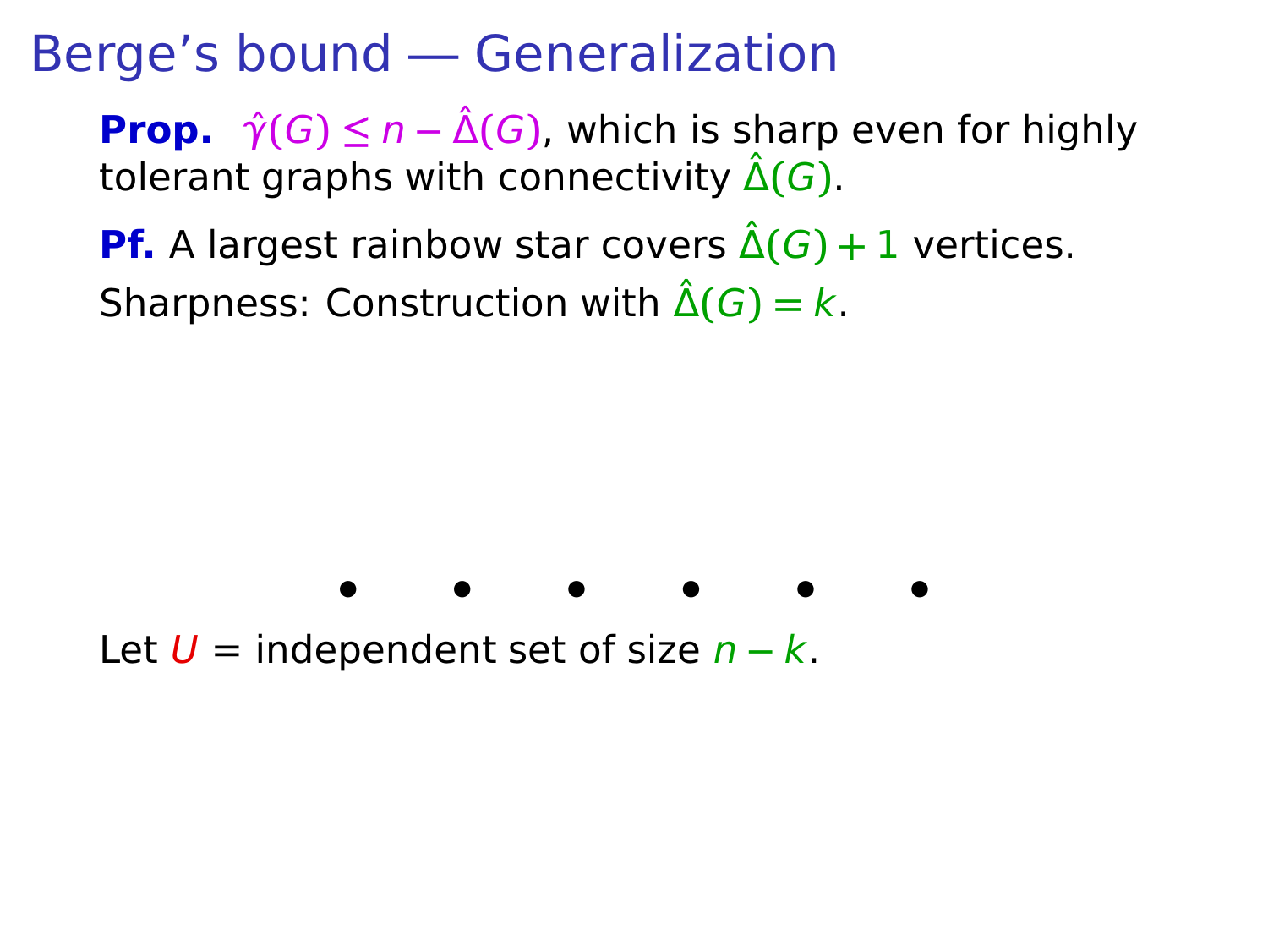**Prop.**  $\hat{\gamma}(G) \leq n - \hat{\Delta}(G)$ , which is sharp even for highly tolerant graphs with connectivity  $\hat{\Delta}(G)$ .

**Pf.** A largest rainbow star covers  $\hat{\Delta}(G) + 1$  vertices. Sharpness: Construction with  $\hat{\Delta}(G) = k$ .



Let U = independent set of size n **−** k.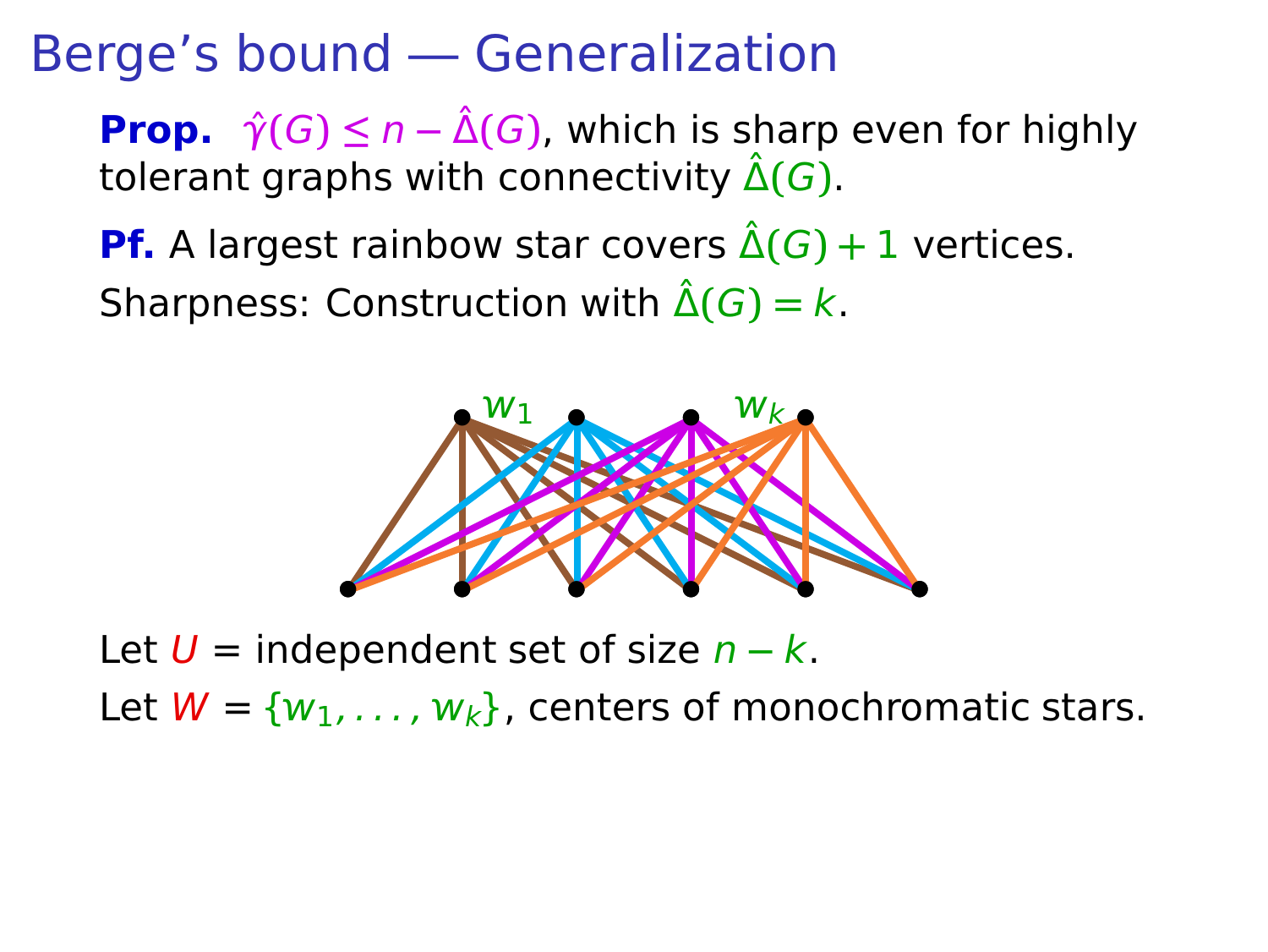**Prop.**  $\hat{\gamma}(G) \leq n - \hat{\Delta}(G)$ , which is sharp even for highly tolerant graphs with connectivity  $\hat{\Delta}(G)$ .

**Pf.** A largest rainbow star covers  $\hat{\Delta}(G) + 1$  vertices. Sharpness: Construction with  $\hat{\Delta}(G) = k$ .



Let U = independent set of size n **−** k. Let  $W = \{w_1, \ldots, w_k\}$ , centers of monochromatic stars.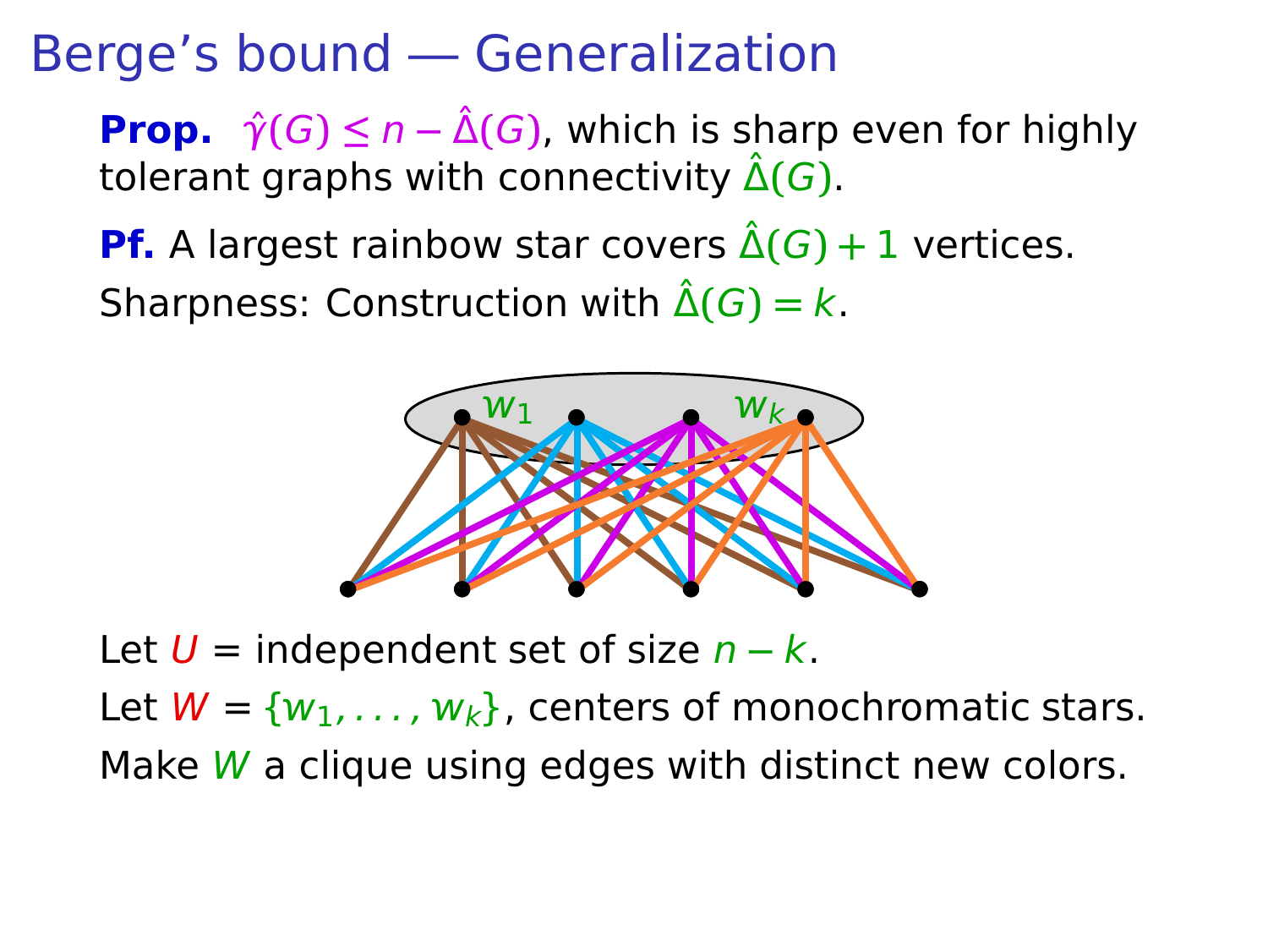**Prop.**  $\hat{\gamma}(G) \leq n - \hat{\Delta}(G)$ , which is sharp even for highly tolerant graphs with connectivity  $\hat{\Delta}(G)$ .

**Pf.** A largest rainbow star covers  $\hat{\Delta}(G) + 1$  vertices. Sharpness: Construction with  $\hat{\Delta}(G) = k$ .



Let U = independent set of size n **−** k. Let  $W = \{w_1, \ldots, w_k\}$ , centers of monochromatic stars. Make  $W$  a clique using edges with distinct new colors.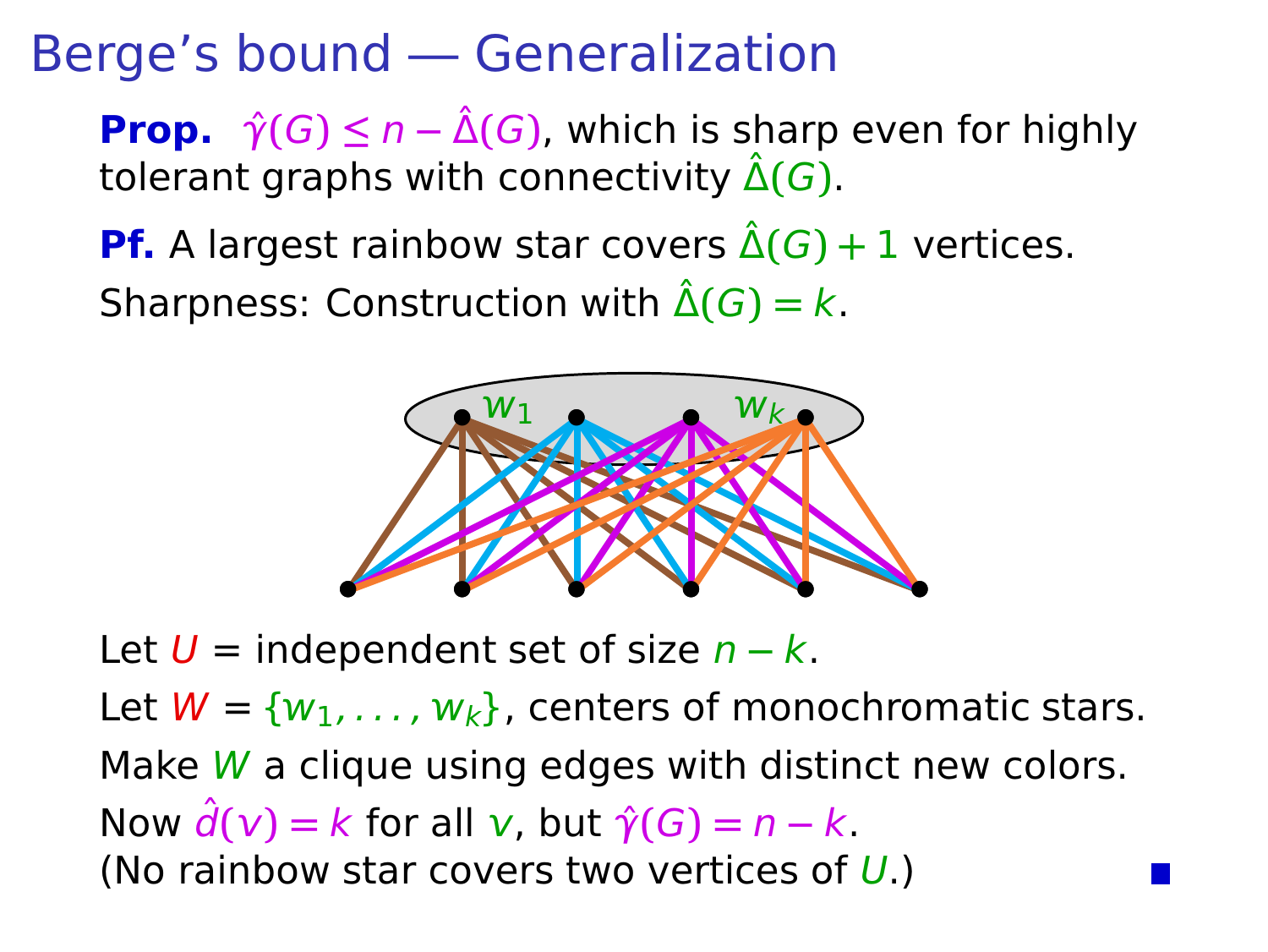**Prop.**  $\hat{\gamma}(G) \leq n - \hat{\Delta}(G)$ , which is sharp even for highly tolerant graphs with connectivity  $\hat{\Delta}(G)$ .

**Pf.** A largest rainbow star covers  $\hat{\Delta}(G) + 1$  vertices. Sharpness: Construction with  $\hat{\Delta}(G) = k$ .



Let U = independent set of size n **−** k. Let  $W = \{w_1, \ldots, w_k\}$ , centers of monochromatic stars. Make  $W$  a clique using edges with distinct new colors. Now  $\hat{d}(v) = k$  for all v, but  $\hat{\gamma}(G) = n - k$ . (No rainbow star covers two vertices of  $U$ .)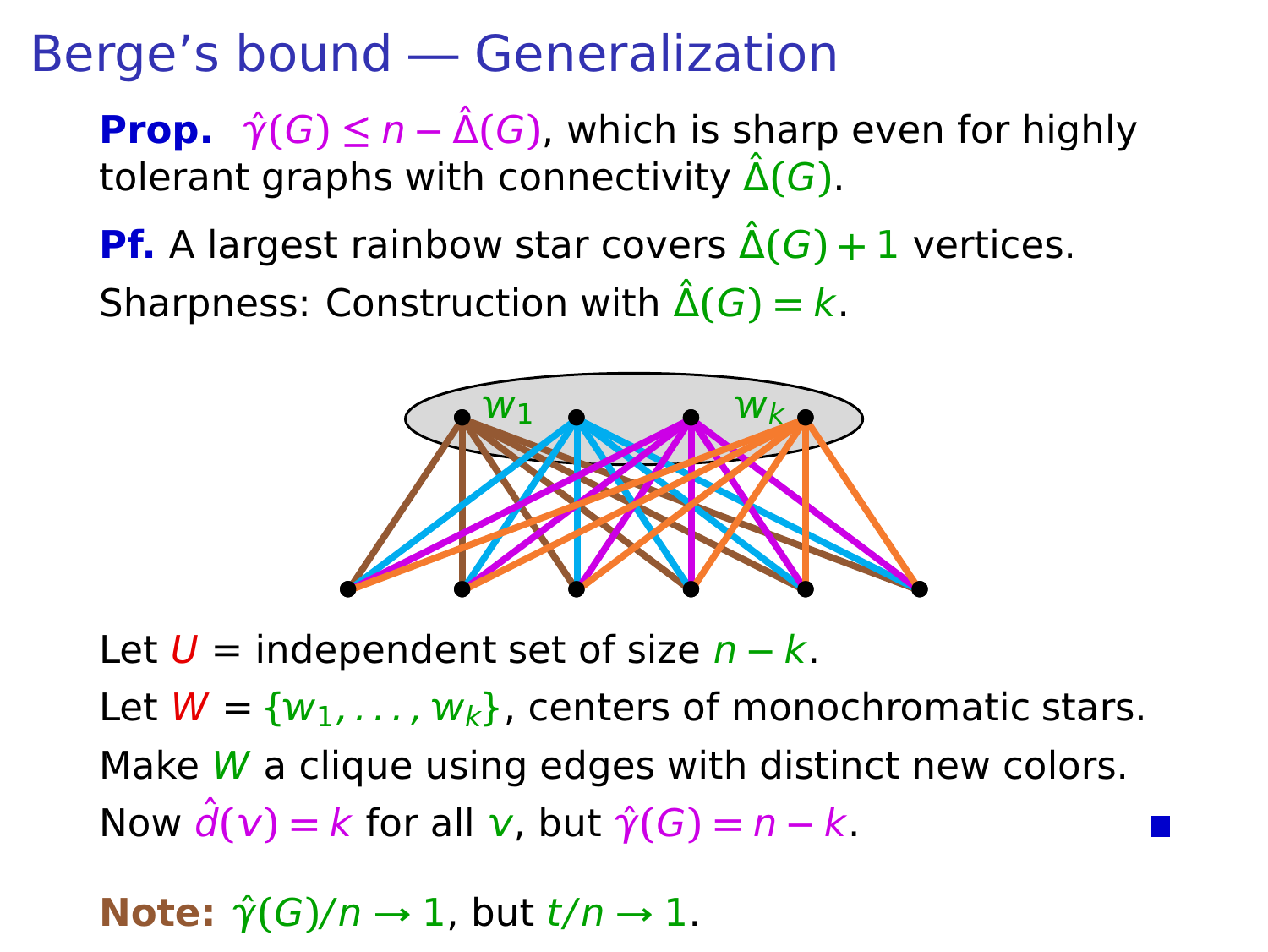**Prop.**  $\hat{\gamma}(G) \leq n - \hat{\Delta}(G)$ , which is sharp even for highly tolerant graphs with connectivity  $\hat{\Delta}(G)$ .

**Pf.** A largest rainbow star covers  $\hat{\Delta}(G) + 1$  vertices. Sharpness: Construction with  $\hat{\Delta}(G) = k$ .



Let U = independent set of size n **−** k. Let  $W = \{w_1, \ldots, w_k\}$ , centers of monochromatic stars. Make  $W$  a clique using edges with distinct new colors. Now  $\hat{d}(v) = k$  for all v, but  $\hat{\gamma}(G) = n - k$ .

**Note:**  $\hat{\gamma}(G)/n \rightarrow 1$ , but  $t/n \rightarrow 1$ .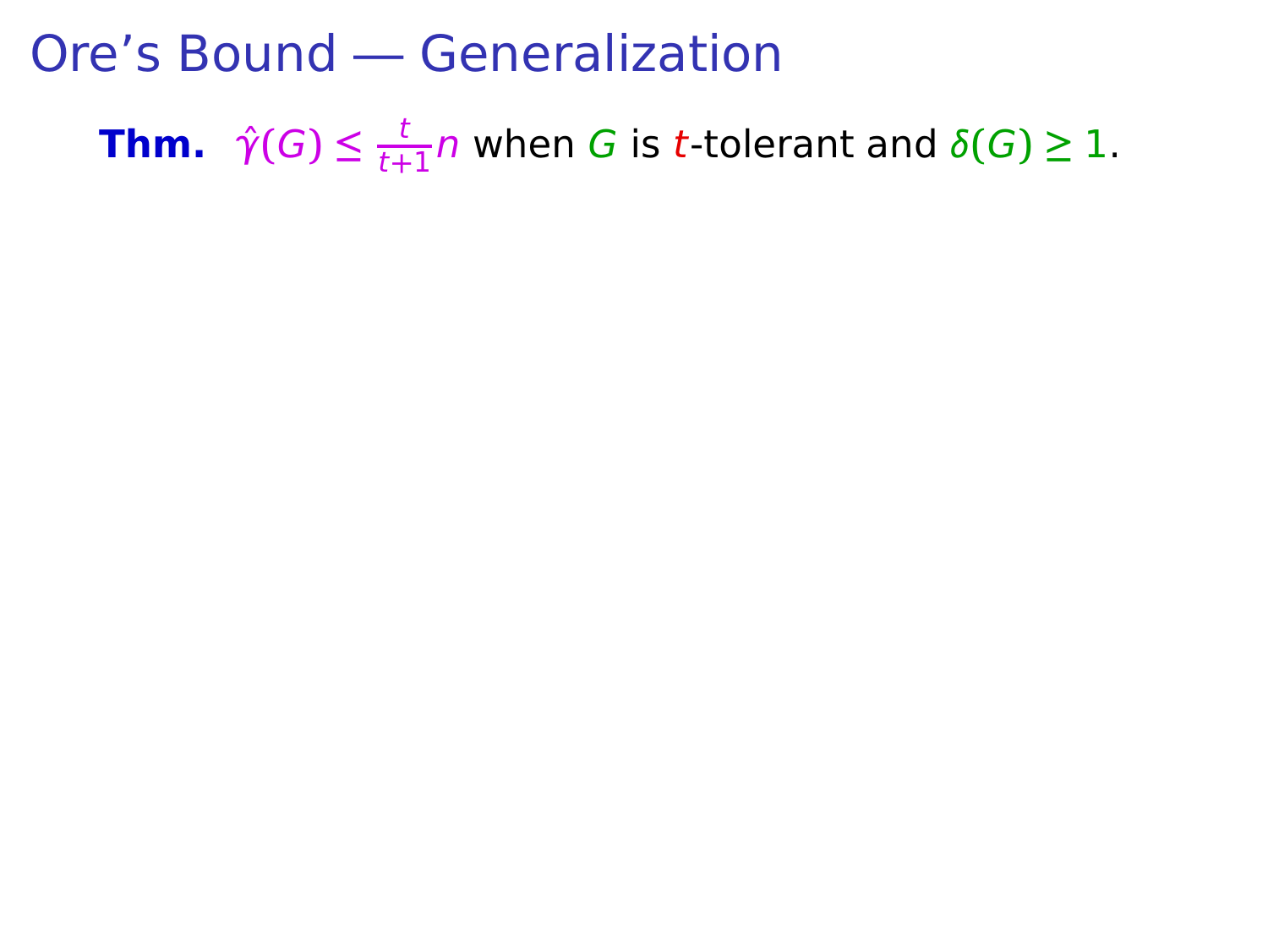**Thm.**  $\hat{\gamma}(G) \leq \frac{t}{t+1}$  $\frac{1}{t+1}$  when G is t-tolerant and  $\delta(G) \geq 1$ .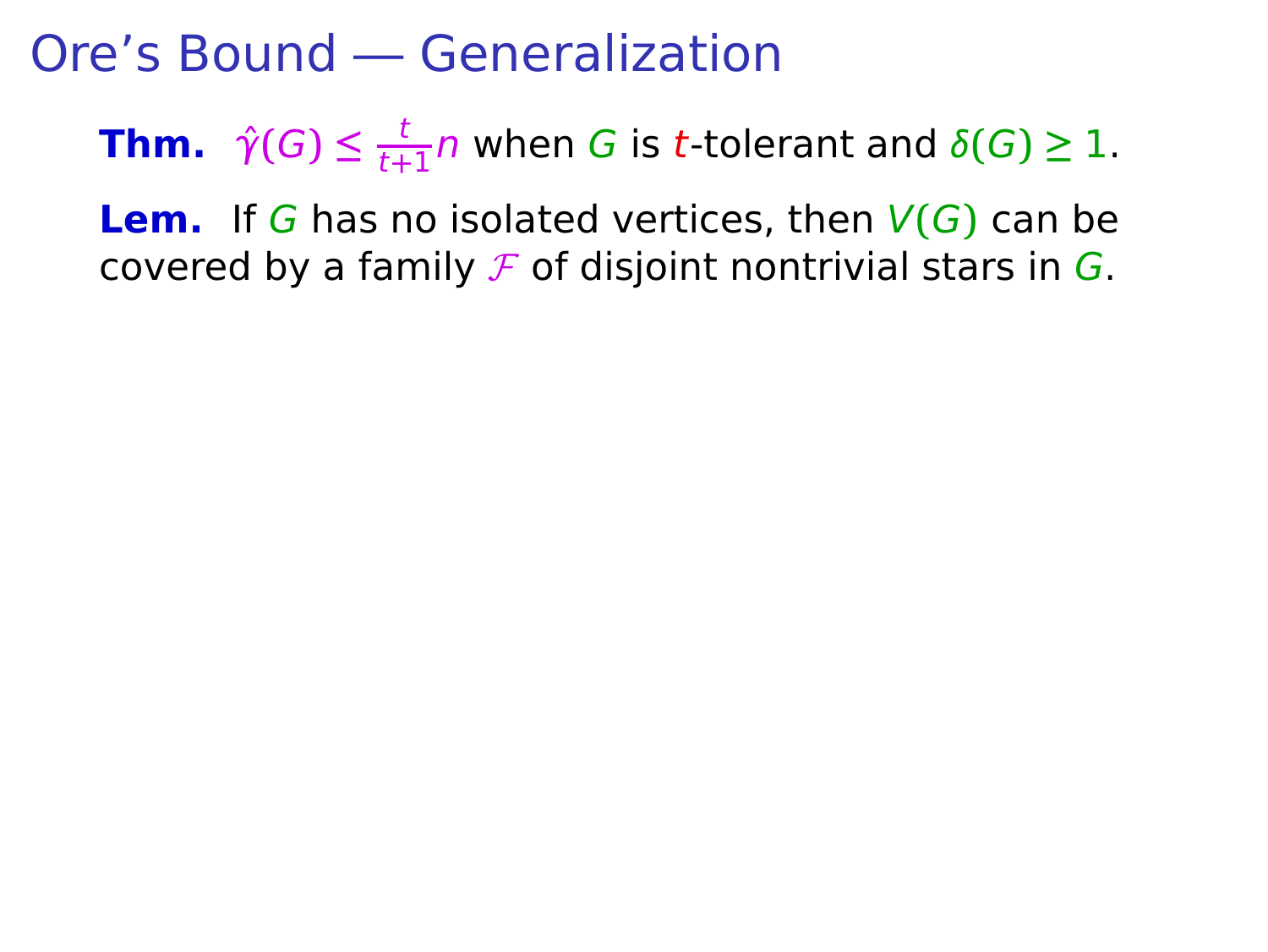**Thm.**  $\hat{\gamma}(G) \leq \frac{t}{t+1}$  $\frac{1}{t+1}$  when G is t-tolerant and  $\delta(G) \geq 1$ .

**Lem.** If G has no isolated vertices, then  $V(G)$  can be covered by a family  $\mathcal F$  of disjoint nontrivial stars in  $G$ .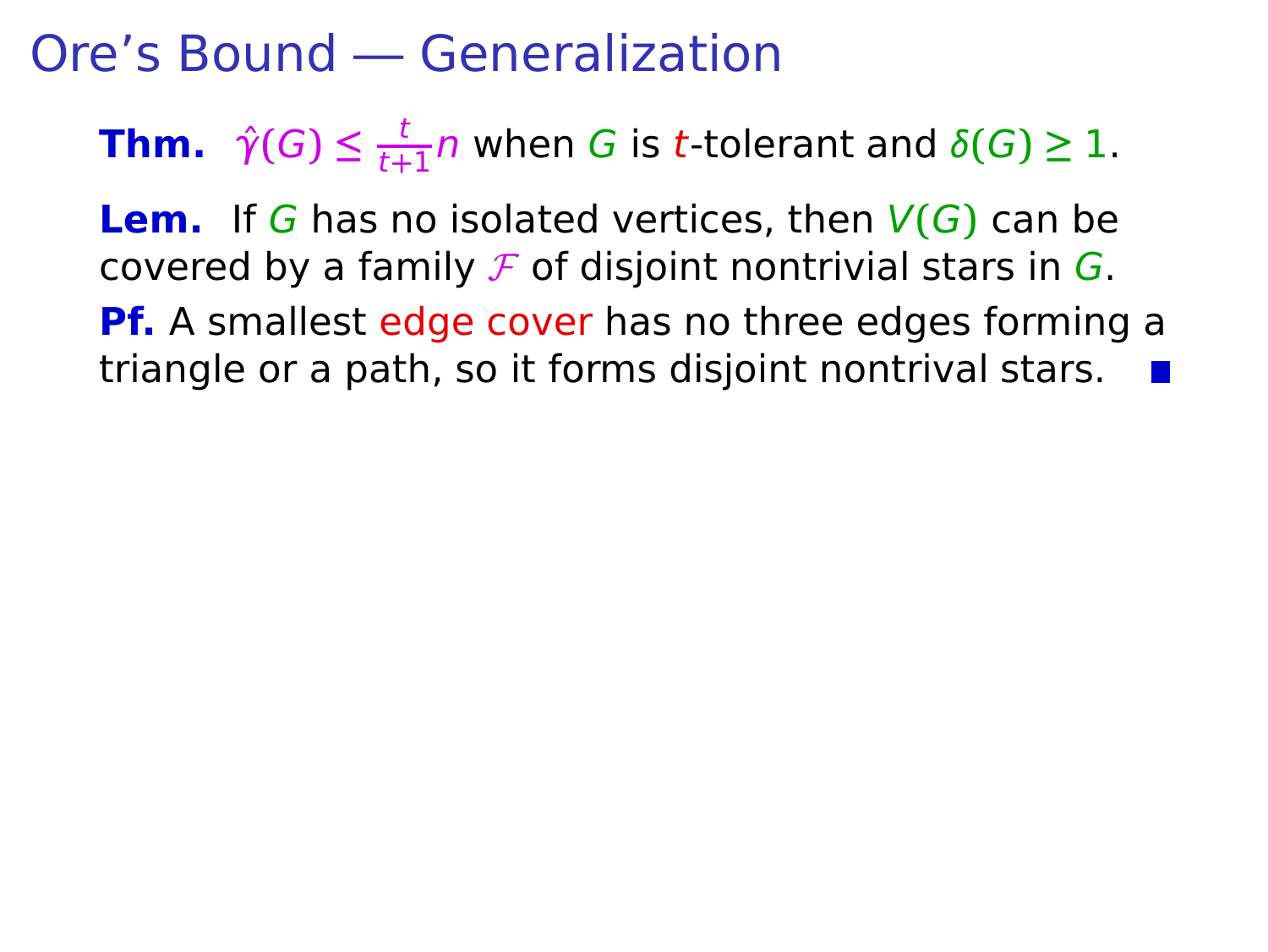**Thm.**  $\hat{\gamma}(G) \leq \frac{t}{t+1}$  $\frac{1}{t+1}$  when G is t-tolerant and  $\delta(G) \geq 1$ .

**Lem.** If G has no isolated vertices, then  $V(G)$  can be covered by a family  $\mathcal F$  of disjoint nontrivial stars in  $G$ . **Pf.** A smallest edge cover has no three edges forming a

triangle or a path, so it forms disjoint nontrival stars.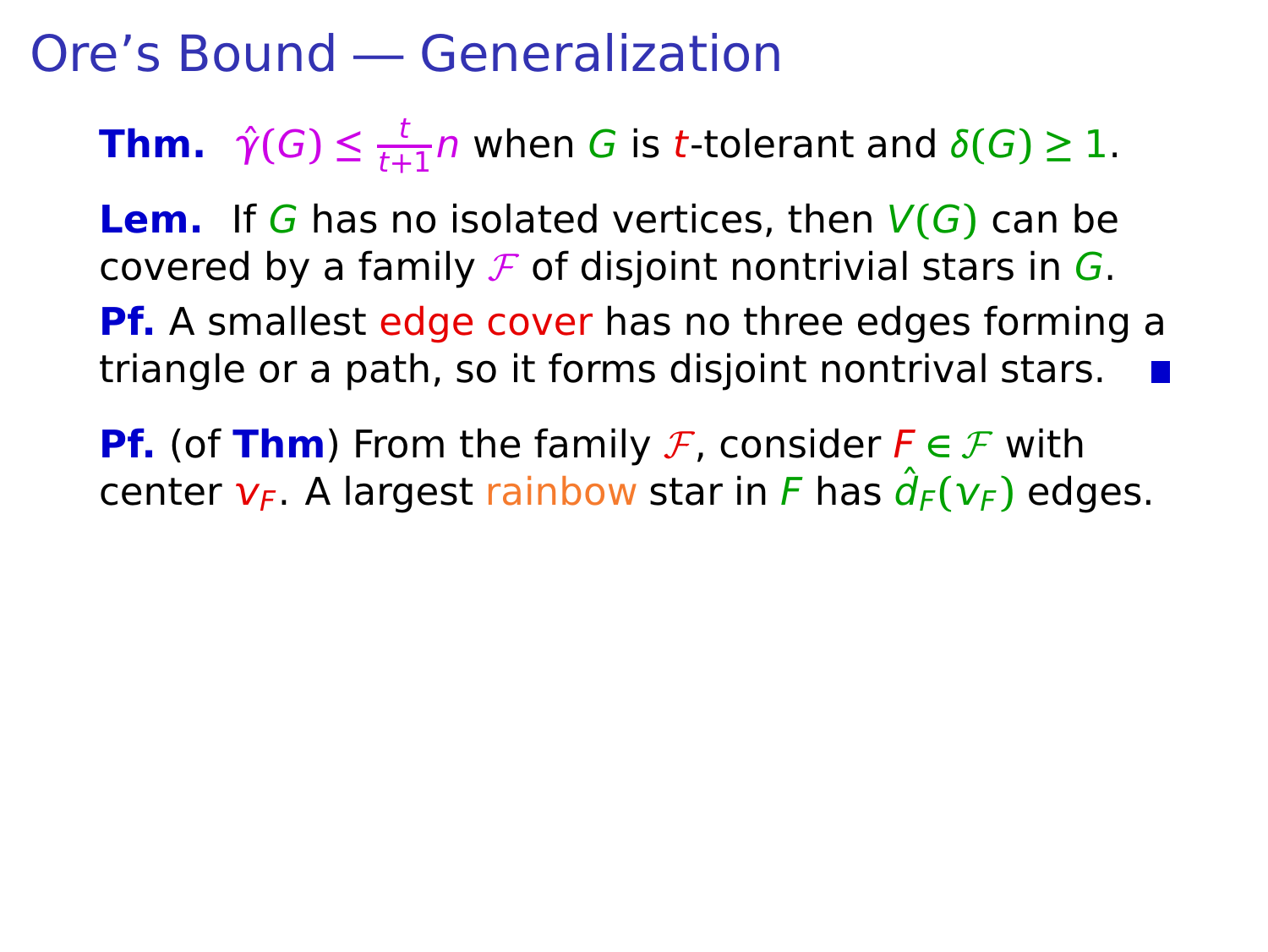**Thm.**  $\hat{\gamma}(G) \leq \frac{t}{t+1}$  $\frac{1}{t+1}$  when G is t-tolerant and  $\delta(G) \geq 1$ .

**Lem.** If G has no isolated vertices, then  $V(G)$  can be covered by a family  $\mathcal F$  of disjoint nontrivial stars in  $G$ . **Pf.** A smallest edge cover has no three edges forming a triangle or a path, so it forms disjoint nontrival stars.

**Pf.** (of **Thm**) From the family F, consider  $F \in \mathcal{F}$  with center  $v_F$ . A largest rainbow star in F has  $\hat{d}_F(v_F)$  edges.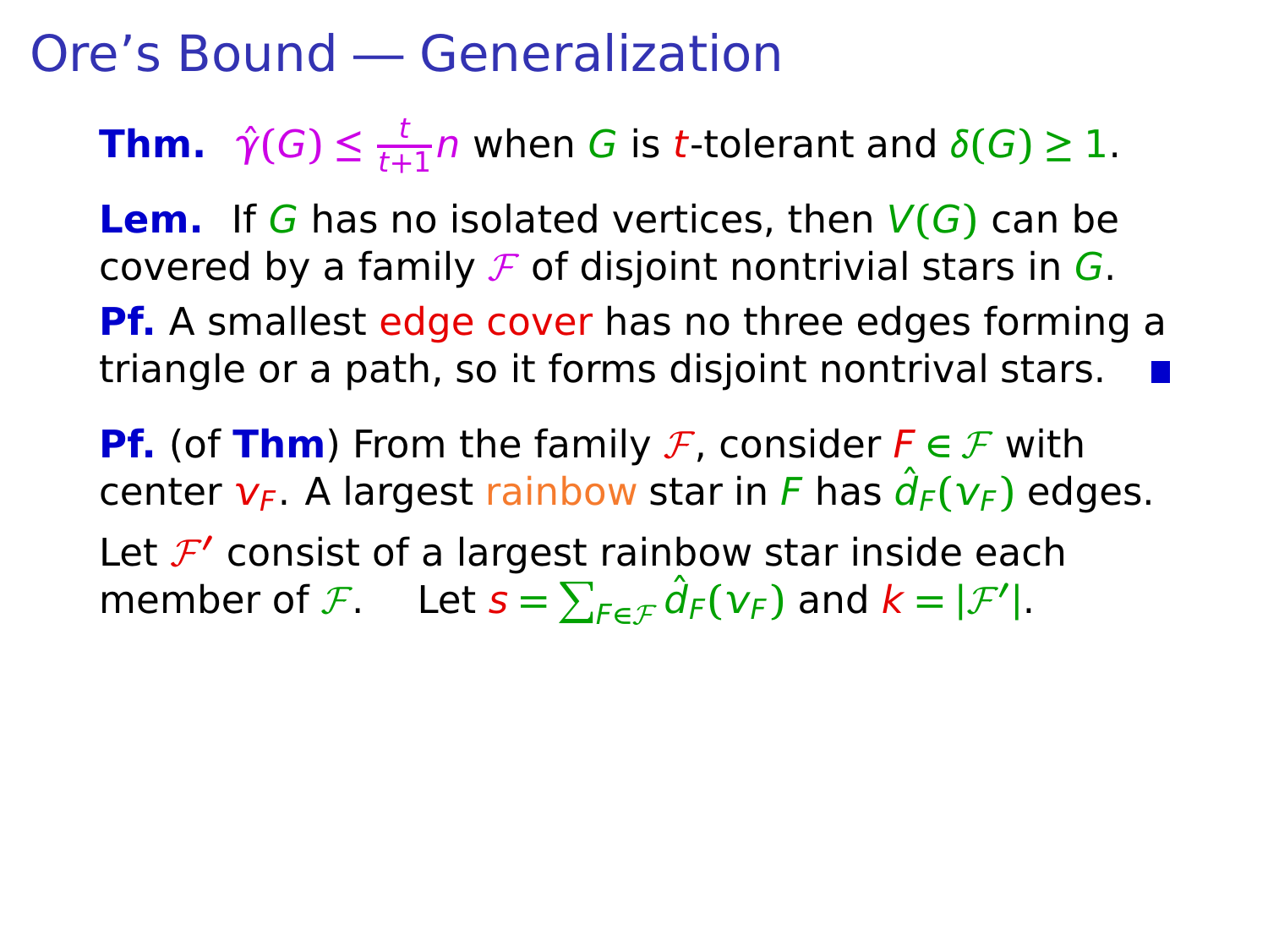**Thm.**  $\hat{\gamma}(G) \leq \frac{t}{t+1}$  $\frac{1}{t+1}$  when G is t-tolerant and  $\delta(G) \geq 1$ .

**Lem.** If G has no isolated vertices, then  $V(G)$  can be covered by a family  $\mathcal F$  of disjoint nontrivial stars in  $G$ . **Pf.** A smallest edge cover has no three edges forming a triangle or a path, so it forms disjoint nontrival stars.

**Pf.** (of **Thm**) From the family F, consider  $F \in \mathcal{F}$  with center  $v_F$ . A largest rainbow star in F has  $\hat{d}_F(v_F)$  edges. Let  $\mathcal{F}'$  consist of a largest rainbow star inside each member of F. Let  $s = \sum_{F \in \mathcal{F}} \hat{d}_F(v_F)$  and  $k = |\mathcal{F}'|$ .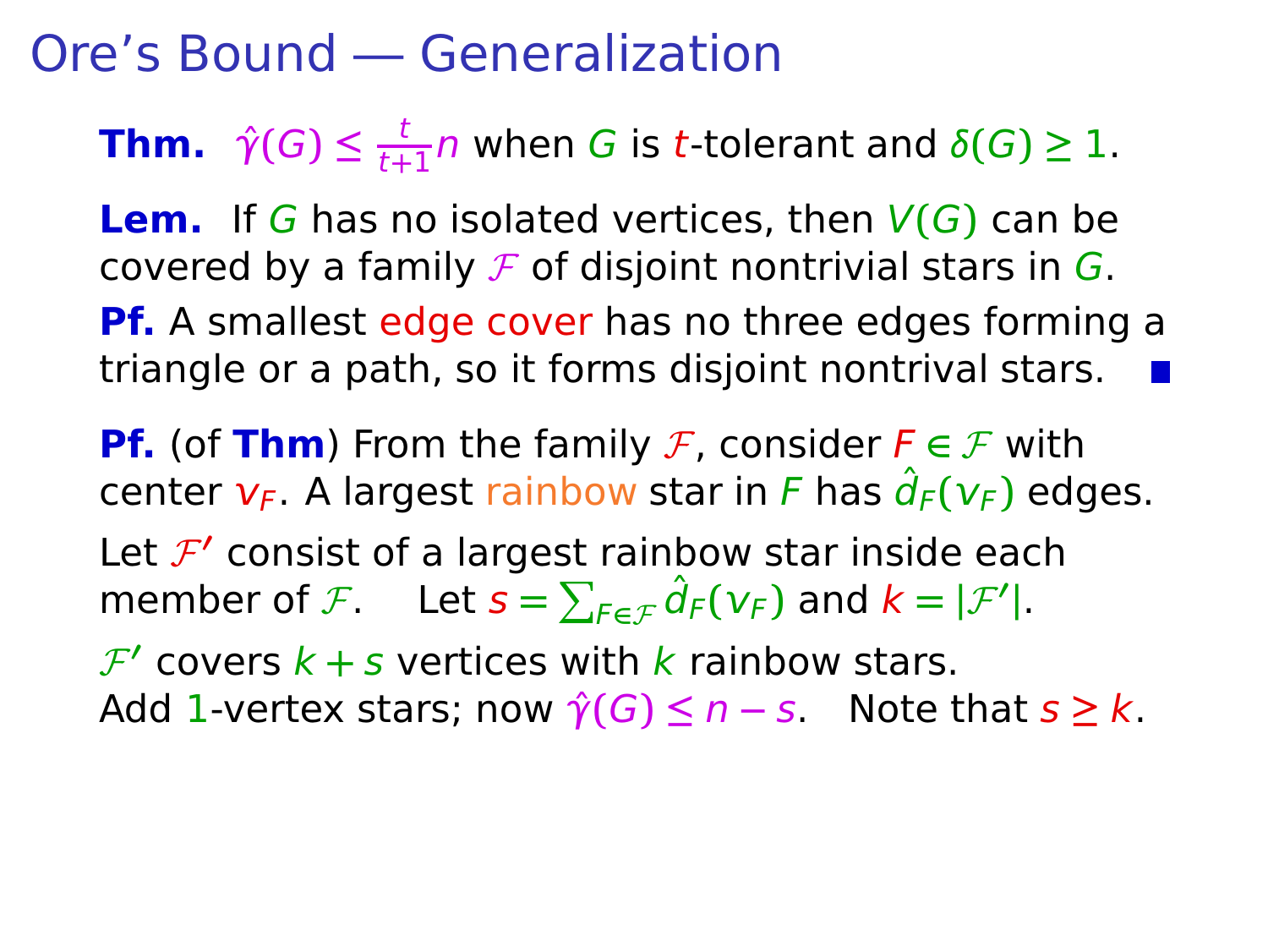**Thm.**  $\hat{\gamma}(G) \leq \frac{t}{t+1}$  $\frac{1}{t+1}$  when G is t-tolerant and  $\delta(G) \geq 1$ .

**Lem.** If G has no isolated vertices, then  $V(G)$  can be covered by a family  $\mathcal F$  of disjoint nontrivial stars in  $G$ . **Pf.** A smallest edge cover has no three edges forming a triangle or a path, so it forms disjoint nontrival stars.

**Pf.** (of **Thm**) From the family F, consider  $F \in \mathcal{F}$  with center  $v_F$ . A largest rainbow star in F has  $\hat{d}_F(v_F)$  edges. Let  $\mathcal{F}'$  consist of a largest rainbow star inside each member of F. Let  $s = \sum_{F \in \mathcal{F}} \hat{d}_F(v_F)$  and  $k = |\mathcal{F}'|$ .  $\mathcal{F}'$  covers  $k + s$  vertices with  $k$  rainbow stars. Add 1-vertex stars; now  $\hat{\gamma}(G) \leq n - s$ . Note that  $s \geq k$ .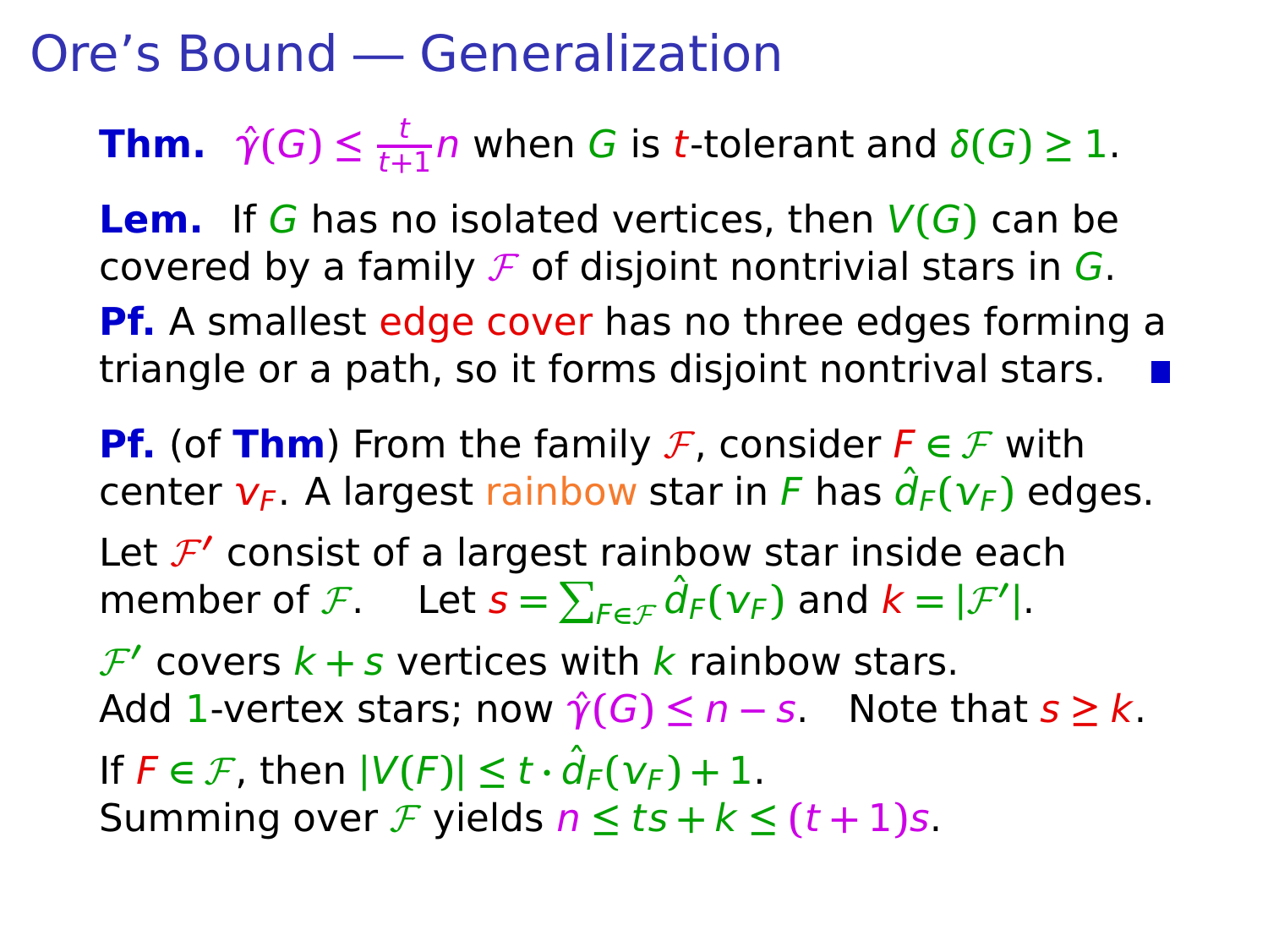**Thm.**  $\hat{\gamma}(G) \leq \frac{t}{t+1}$  $\frac{1}{t+1}$  when G is t-tolerant and  $\delta(G) \geq 1$ .

**Lem.** If G has no isolated vertices, then  $V(G)$  can be covered by a family  $\mathcal F$  of disjoint nontrivial stars in  $G$ . **Pf.** A smallest edge cover has no three edges forming a triangle or a path, so it forms disjoint nontrival stars.

**Pf.** (of **Thm**) From the family F, consider  $F \in \mathcal{F}$  with center  $v_F$ . A largest rainbow star in F has  $\hat{d}_F(v_F)$  edges. Let  $\mathcal{F}'$  consist of a largest rainbow star inside each member of F. Let  $s = \sum_{F \in \mathcal{F}} \hat{d}_F(v_F)$  and  $k = |\mathcal{F}'|$ .  $\mathcal{F}'$  covers  $k + s$  vertices with  $k$  rainbow stars. Add 1-vertex stars; now  $\hat{\gamma}(G) \leq n - s$ . Note that  $s \geq k$ . If  $F \in \mathcal{F}$ , then  $|V(F)| \le t \cdot \hat{d}_F(V_F) + 1$ . Summing over *F* yields  $n \le ts + k \le (t + 1)s$ .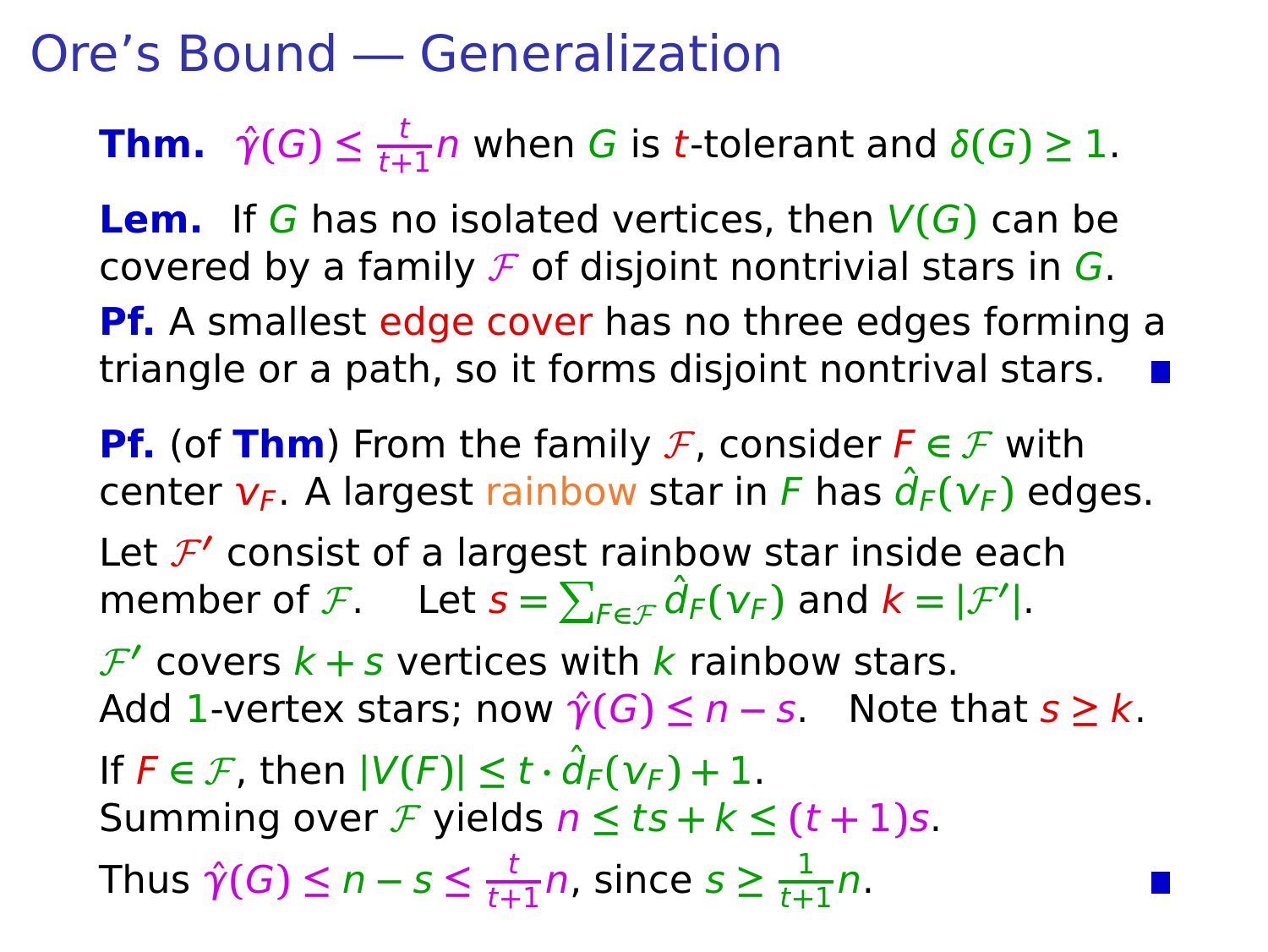**Thm.**  $\hat{\gamma}(G) \leq \frac{t}{t+1}$  $\frac{1}{t+1}$  when G is t-tolerant and  $\delta(G) \geq 1$ .

**Lem.** If G has no isolated vertices, then  $V(G)$  can be covered by a family  $\mathcal F$  of disjoint nontrivial stars in  $G$ . **Pf.** A smallest edge cover has no three edges forming a triangle or a path, so it forms disjoint nontrival stars.

**Pf.** (of **Thm**) From the family F, consider  $F \in \mathcal{F}$  with center  $v_F$ . A largest rainbow star in F has  $\hat{d}_F(v_F)$  edges. Let  $\mathcal{F}'$  consist of a largest rainbow star inside each member of F. Let  $s = \sum_{F \in \mathcal{F}} \hat{d}_F(v_F)$  and  $k = |\mathcal{F}'|$ .  $\mathcal{F}'$  covers  $k + s$  vertices with  $k$  rainbow stars. Add 1-vertex stars; now  $\hat{\gamma}(G) \leq n - s$ . Note that  $s \geq k$ . If  $F \in \mathcal{F}$ , then  $|V(F)| \le t \cdot \hat{d}_F(V_F) + 1$ . Summing over F yields  $n \le ts + k \le (t + 1)s$ . Thus  $\hat{\gamma}(G) \leq n - s \leq \frac{t}{t+1}$  $\frac{t}{t+1}$ *n*, since  $s \geq \frac{1}{t+1}$  $\frac{1}{t+1}n$ .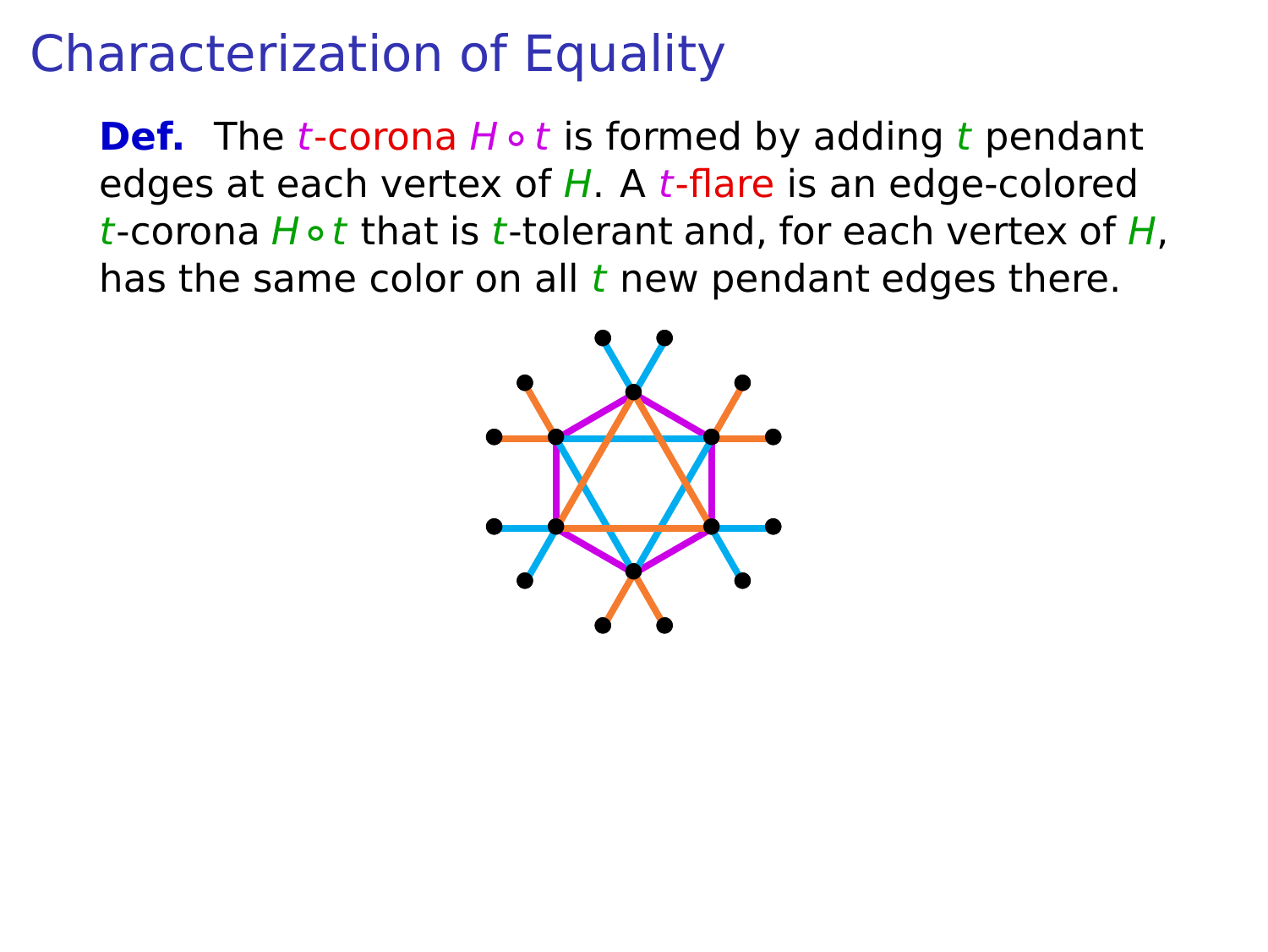## Characterization of Equality

**Def.** The *t*-corona *H* ∘ *t* is formed by adding *t* pendant edges at each vertex of  $H$ . A t-flare is an edge-colored t-corona H ∘ t that is t-tolerant and, for each vertex of H, has the same color on all  $t$  new pendant edges there.

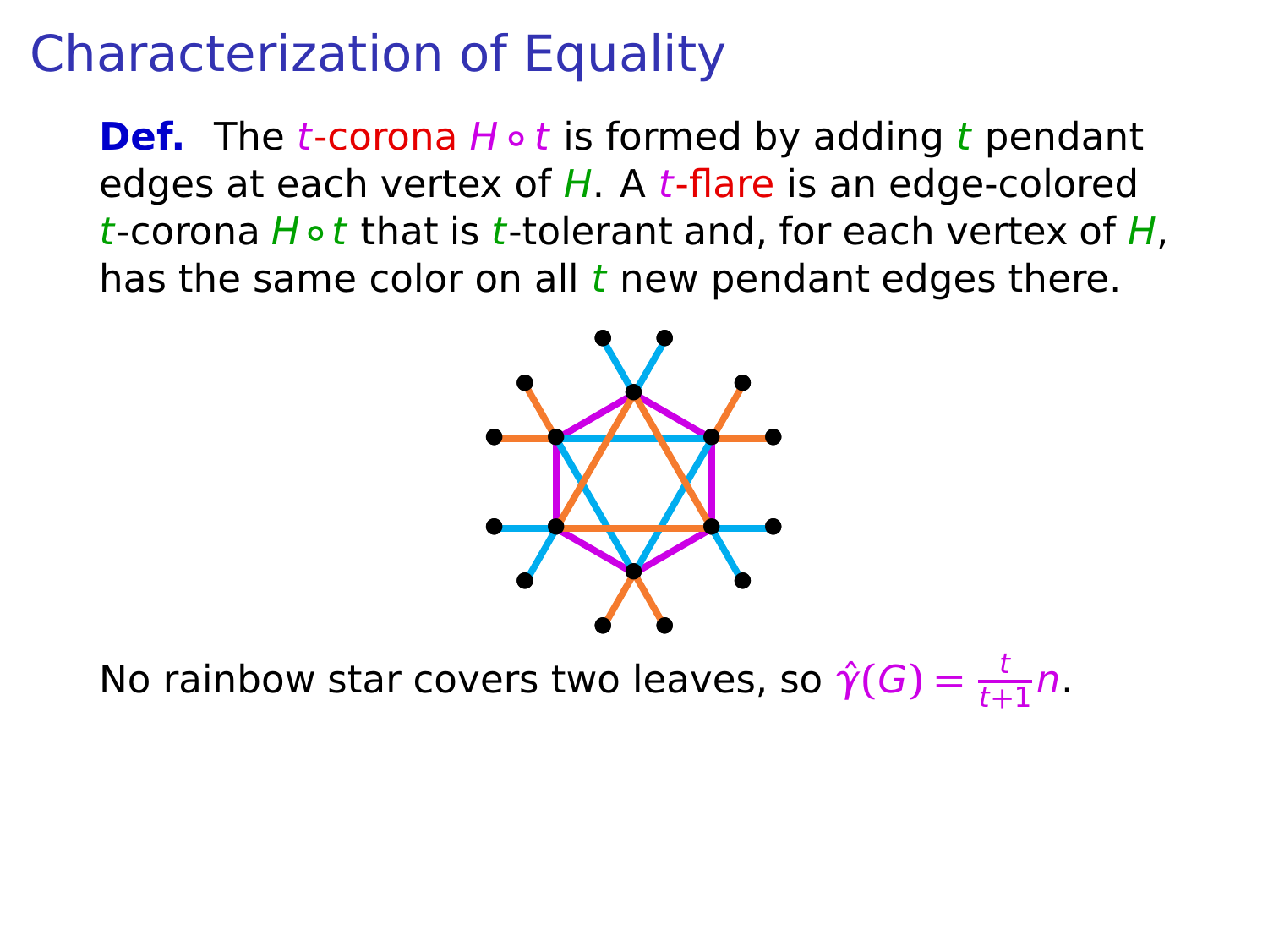## Characterization of Equality

**Def.** The *t*-corona *H* ∘ *t* is formed by adding *t* pendant edges at each vertex of  $H$ . A t-flare is an edge-colored t-corona H ∘ t that is t-tolerant and, for each vertex of H, has the same color on all  $t$  new pendant edges there.



No rainbow star covers two leaves, so  $\hat{\gamma}(G) = \frac{t}{t+1}n$ .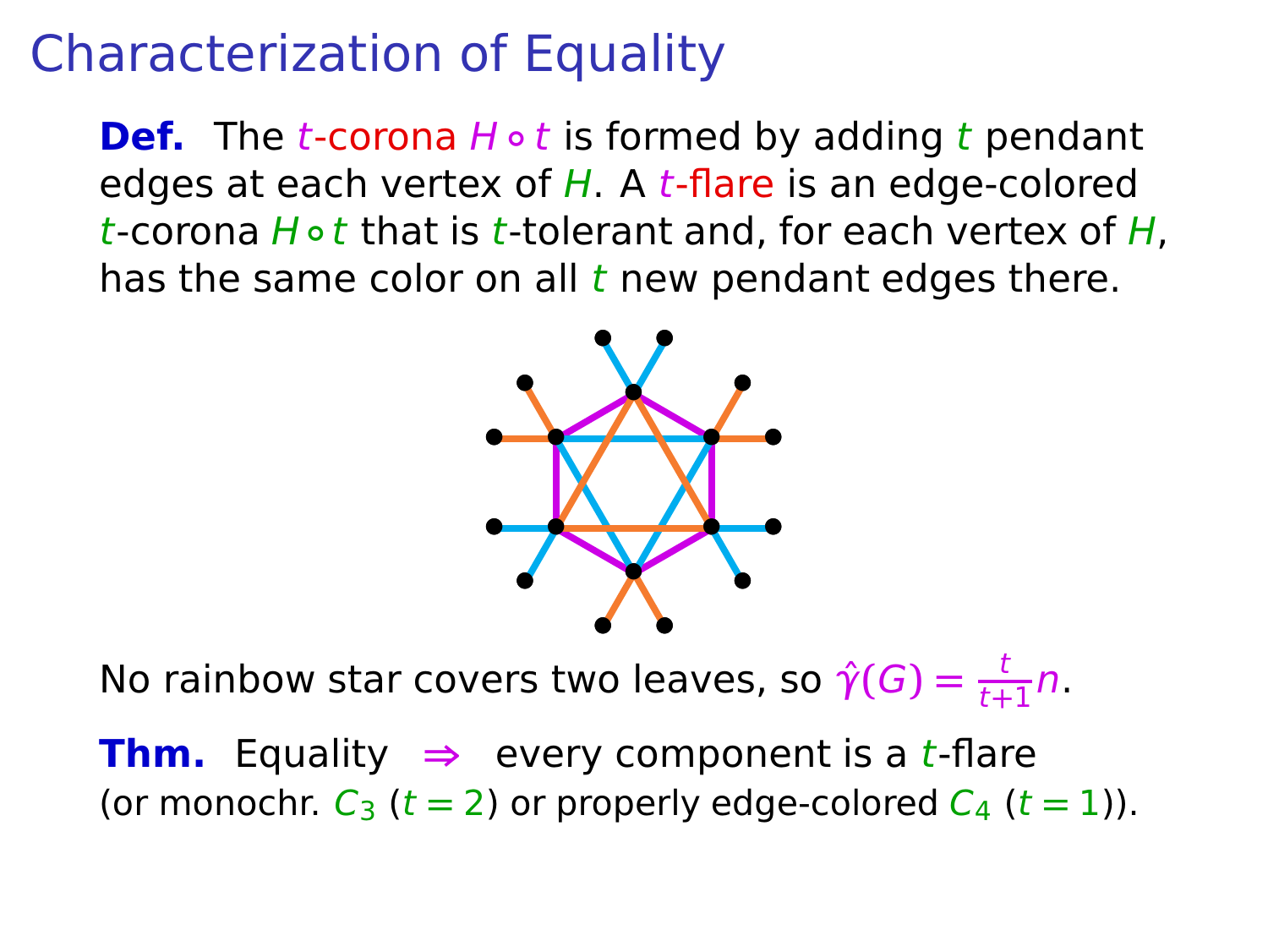# Characterization of Equality

**Def.** The *t*-corona *H* ∘ *t* is formed by adding *t* pendant edges at each vertex of  $H$ . A t-flare is an edge-colored t-corona H ∘ t that is t-tolerant and, for each vertex of H, has the same color on all  $t$  new pendant edges there.



No rainbow star covers two leaves, so  $\hat{\gamma}(G) = \frac{t}{t+1}n$ .

**Thm.** Equality  $\Rightarrow$  every component is a *t*-flare (or monochr.  $C_3$  ( $t = 2$ ) or properly edge-colored  $C_4$  ( $t = 1$ )).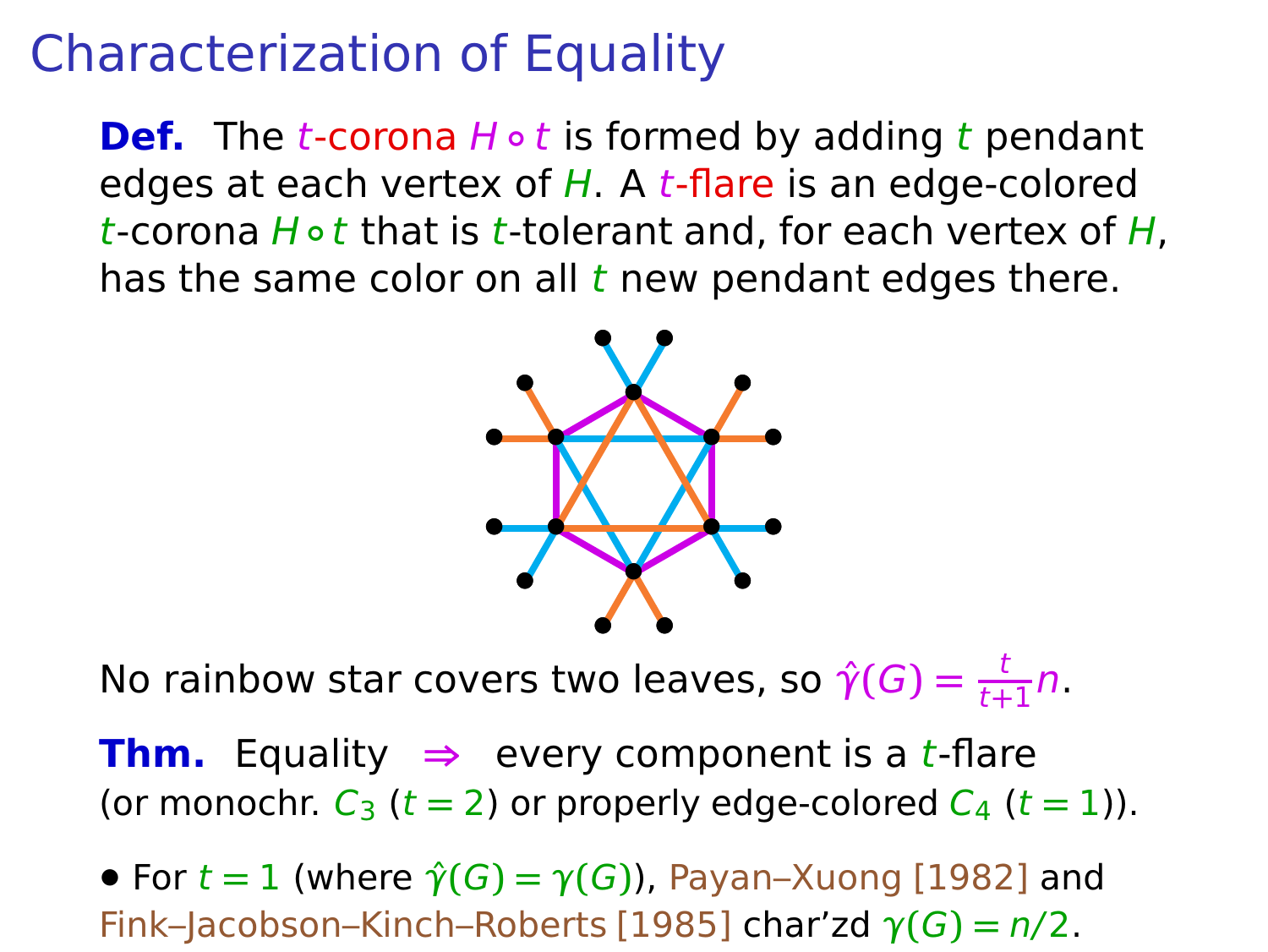# Characterization of Equality

**Def.** The *t*-corona *H* ∘ *t* is formed by adding *t* pendant edges at each vertex of  $H$ . A t-flare is an edge-colored t-corona H ∘ t that is t-tolerant and, for each vertex of H, has the same color on all  $t$  new pendant edges there.



No rainbow star covers two leaves, so  $\hat{\gamma}(G) = \frac{t}{t+1}n$ .

**Thm.** Equality  $\Rightarrow$  every component is a *t*-flare (or monochr.  $C_3$  ( $t = 2$ ) or properly edge-colored  $C_4$  ( $t = 1$ )).

• For  $t = 1$  (where  $\hat{\gamma}(G) = \gamma(G)$ ), Payan–Xuong [1982] and Fink–Jacobson–Kinch–Roberts [1985] char'zd γ**(**G**) =** n/2.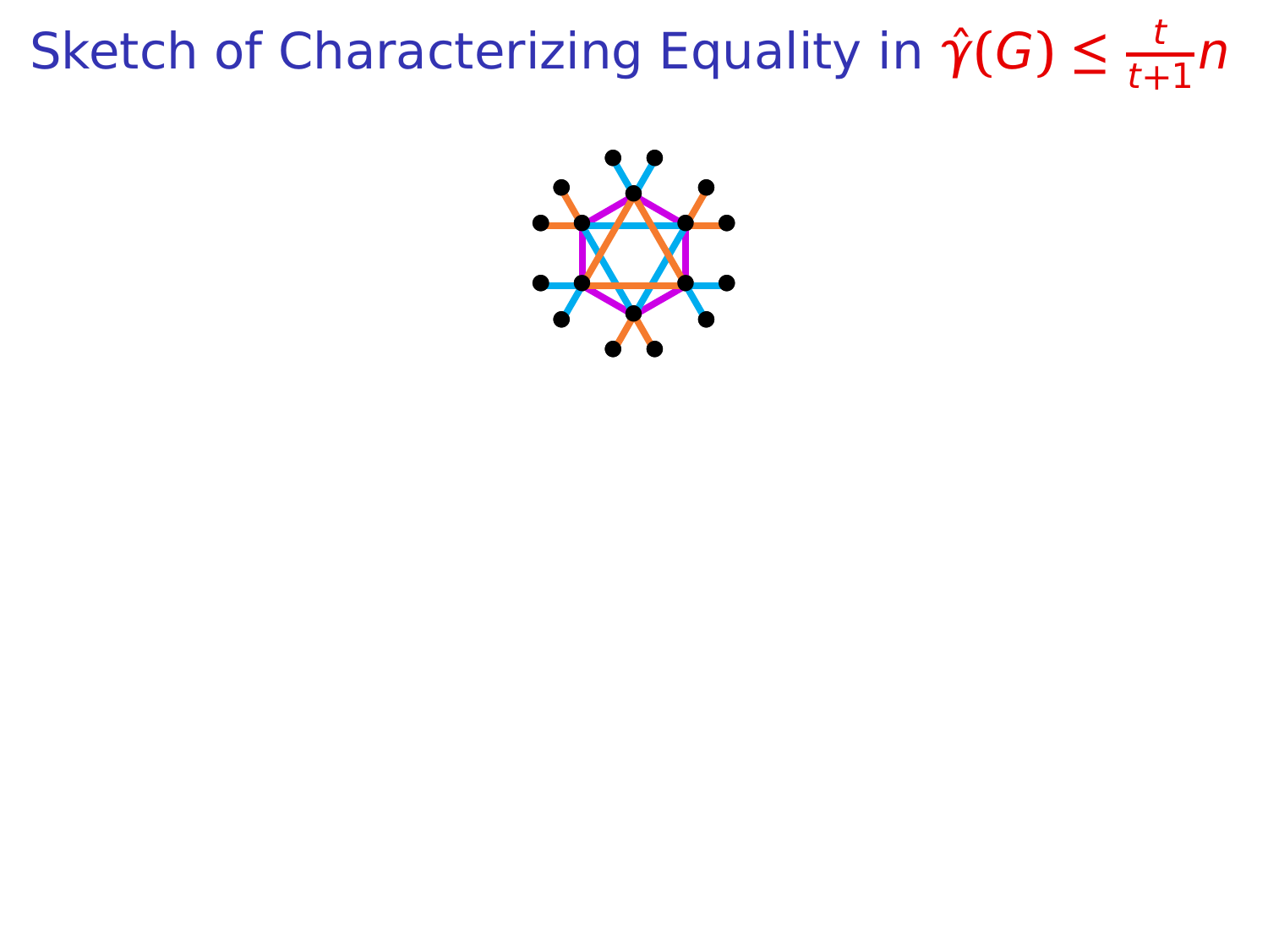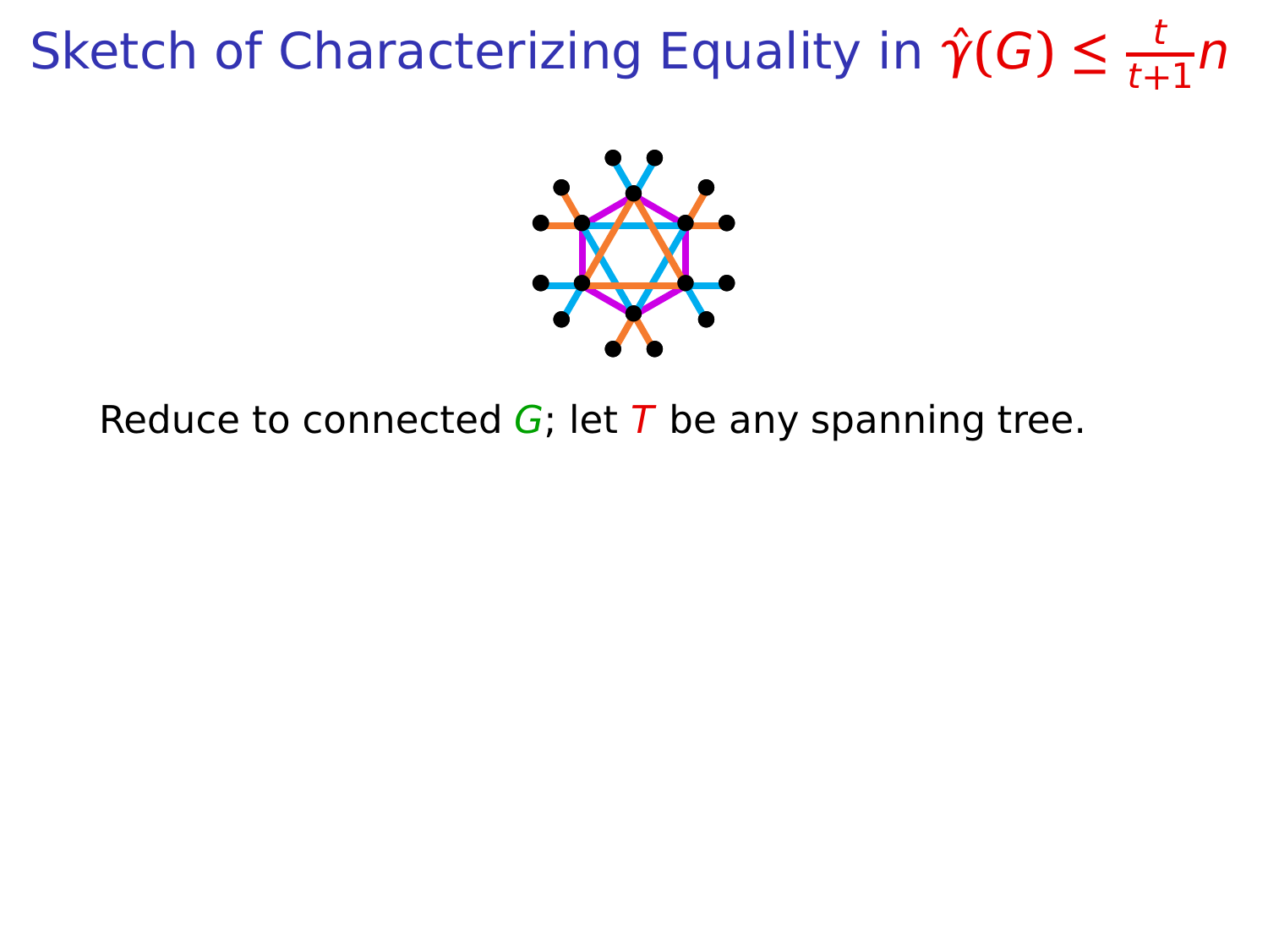

Reduce to connected  $G$ ; let T be any spanning tree.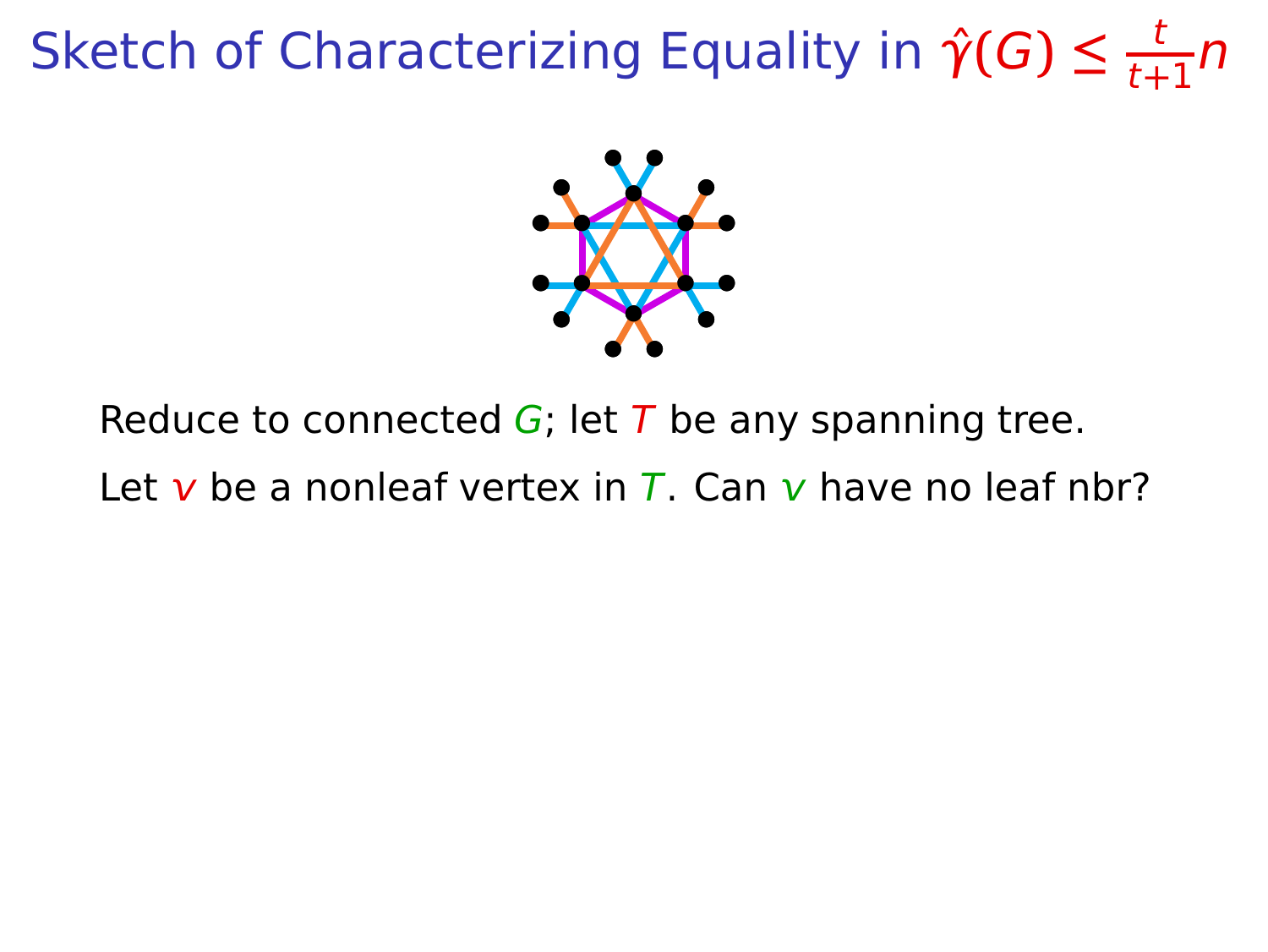

Reduce to connected  $G$ ; let T be any spanning tree.

Let v be a nonleaf vertex in  $\overline{L}$ . Can v have no leaf nbr?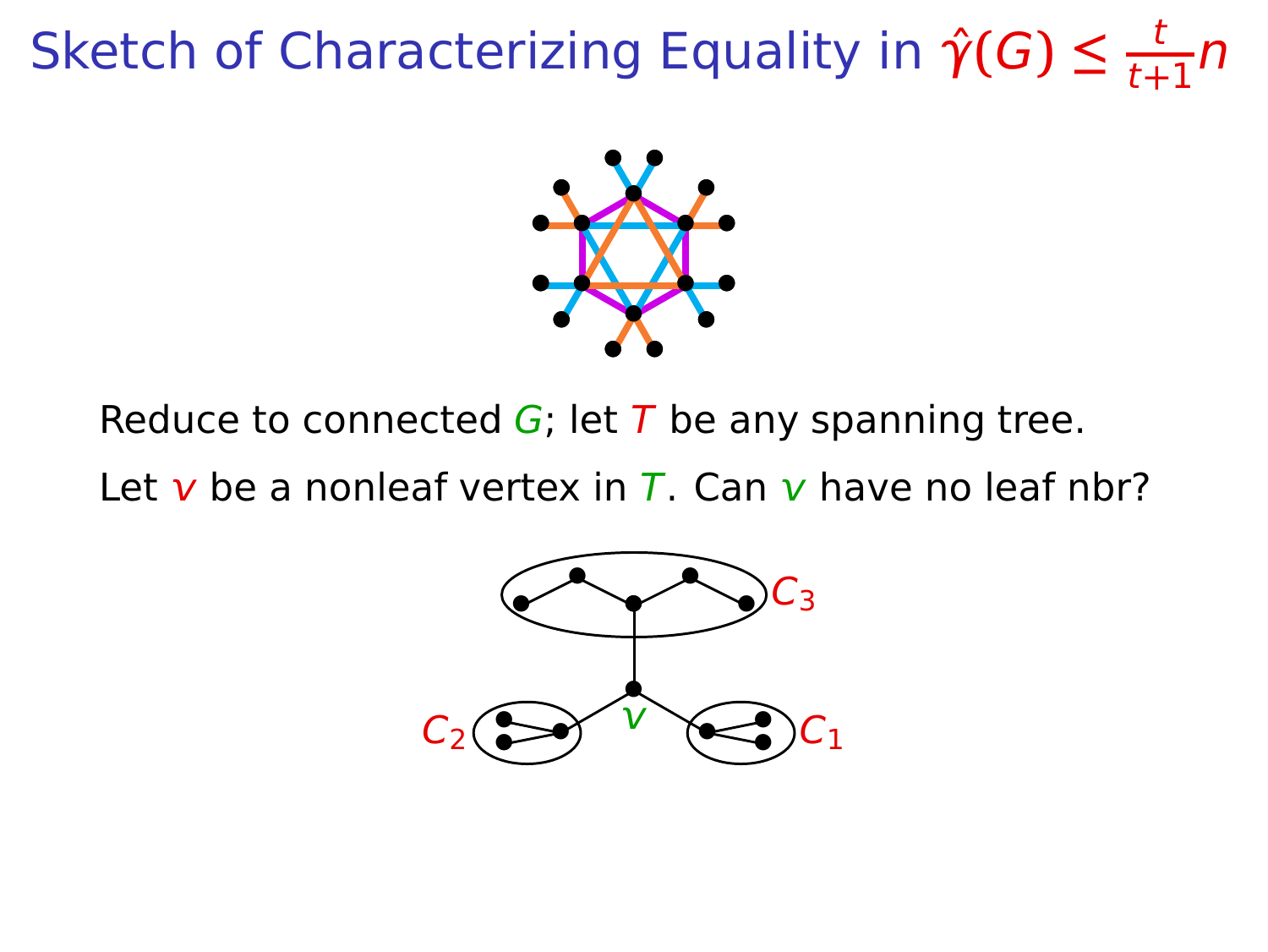

Reduce to connected  $G$ ; let T be any spanning tree.

Let v be a nonleaf vertex in  $\overline{L}$ . Can v have no leaf nbr?

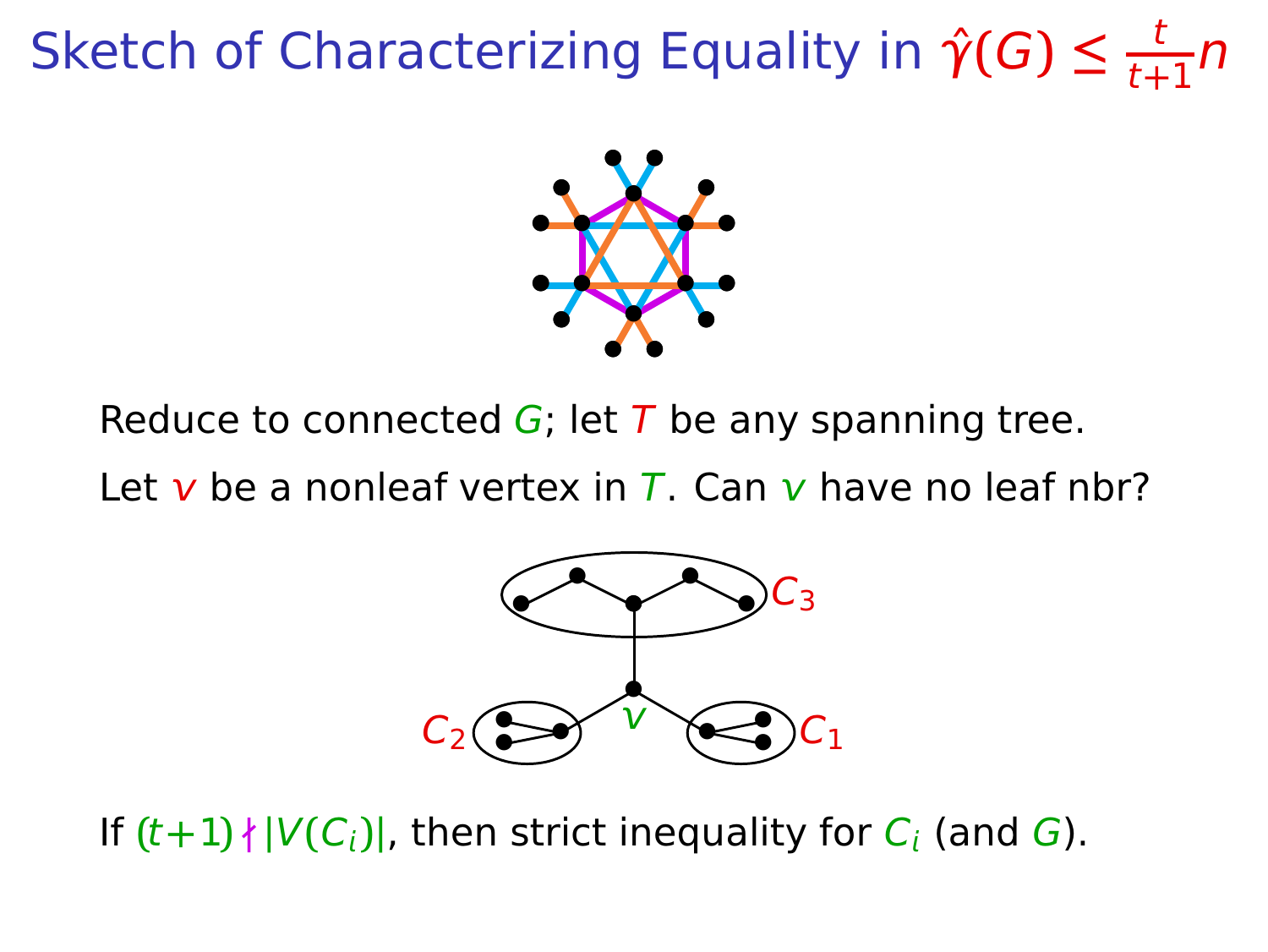

Reduce to connected  $G$ ; let T be any spanning tree.

Let v be a nonleaf vertex in T. Can v have no leaf nbr?



If  $(t+1)$   $\{V(C_i)\}\)$ , then strict inequality for  $C_i$  (and G).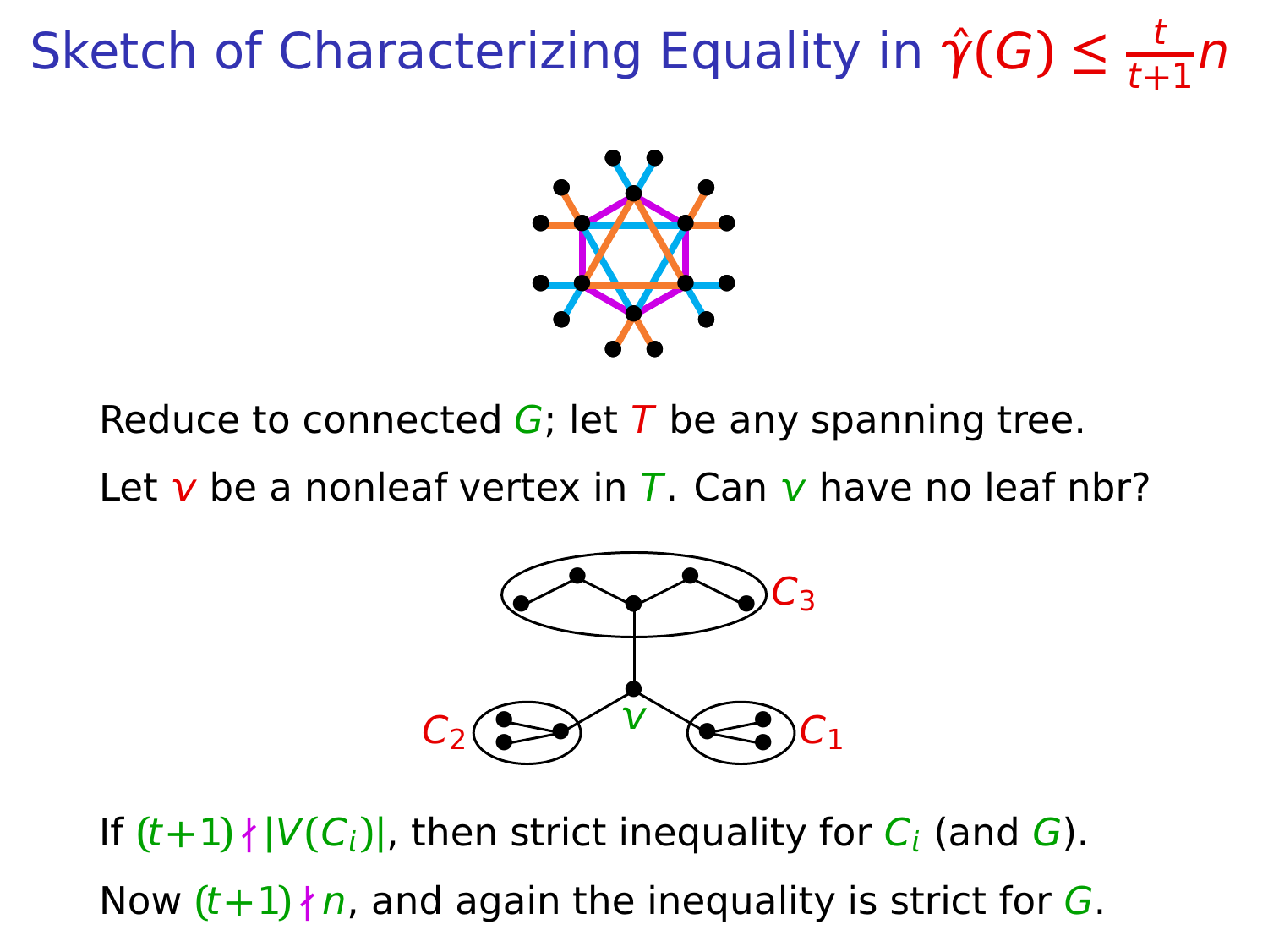

Reduce to connected  $G$ ; let T be any spanning tree.

Let v be a nonleaf vertex in  $\overline{L}$ . Can v have no leaf nbr?



If  $(t+1)$   $\{V(C_i)\}\$ , then strict inequality for  $C_i$  (and G). Now  $(t+1)$   $n$ , and again the inequality is strict for G.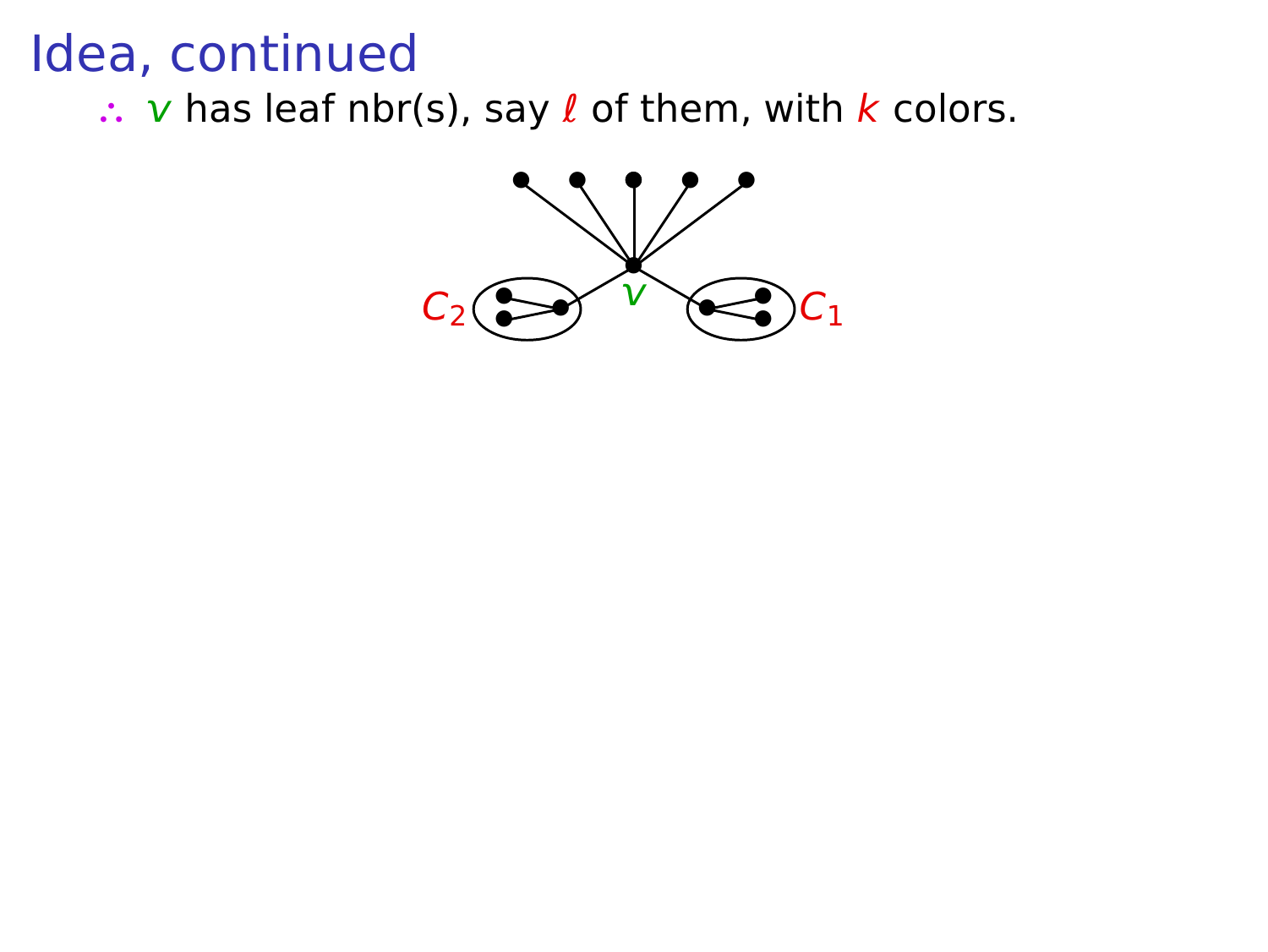∴ *v* has leaf nbr(s), say *ℓ* of them, with *k* colors.

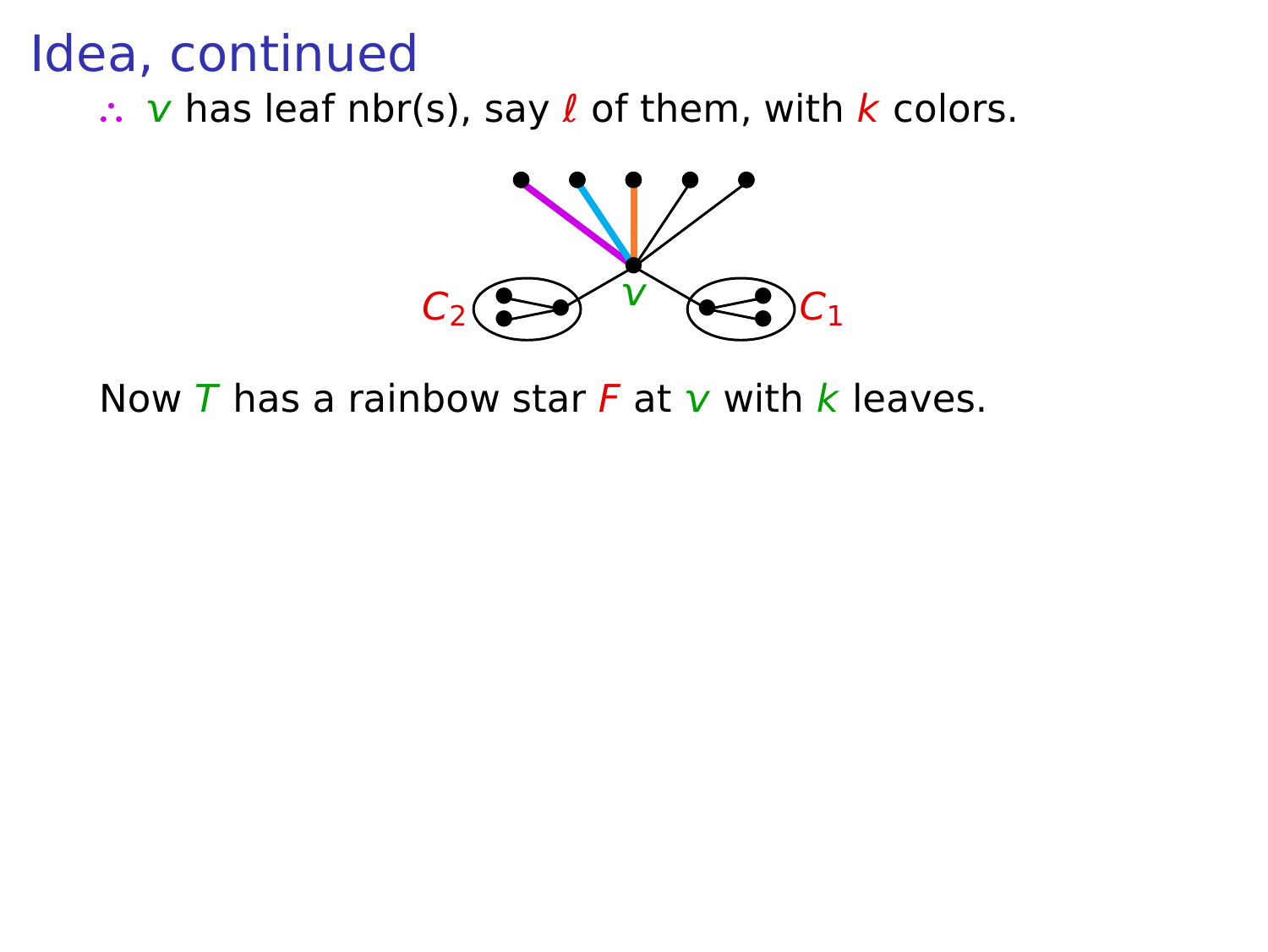∴ *v* has leaf nbr(s), say *ℓ* of them, with *k* colors.



Now  $\overline{T}$  has a rainbow star  $\overline{F}$  at  $\overline{v}$  with  $\overline{k}$  leaves.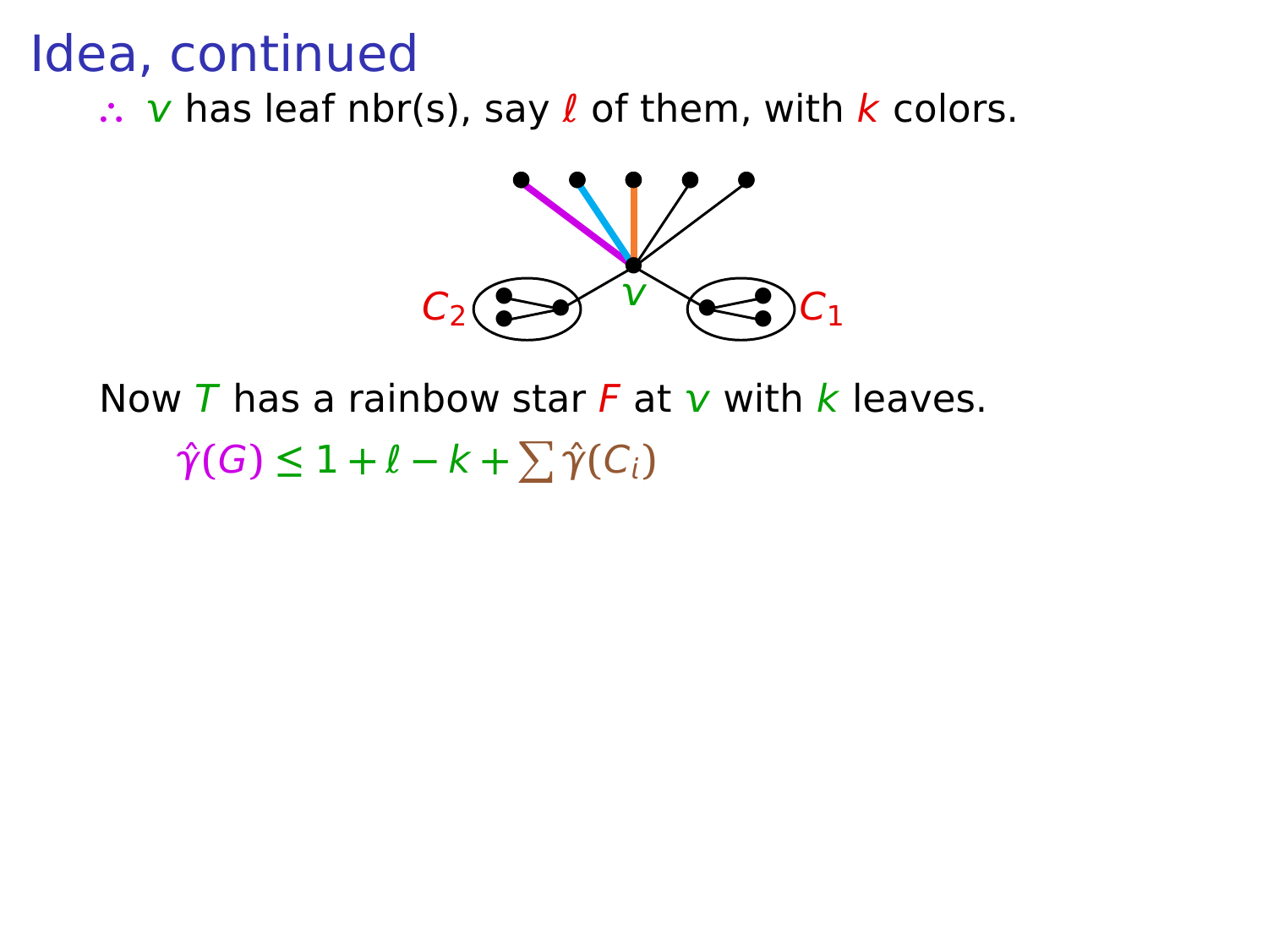∴ v has leaf nbr(s), say *l* of them, with *k* colors.



Now  $\overline{T}$  has a rainbow star  $\overline{F}$  at  $\overline{v}$  with  $\overline{k}$  leaves.

 $\hat{\gamma}(G) \leq 1 + \ell - k + \sum \hat{\gamma}(C_i)$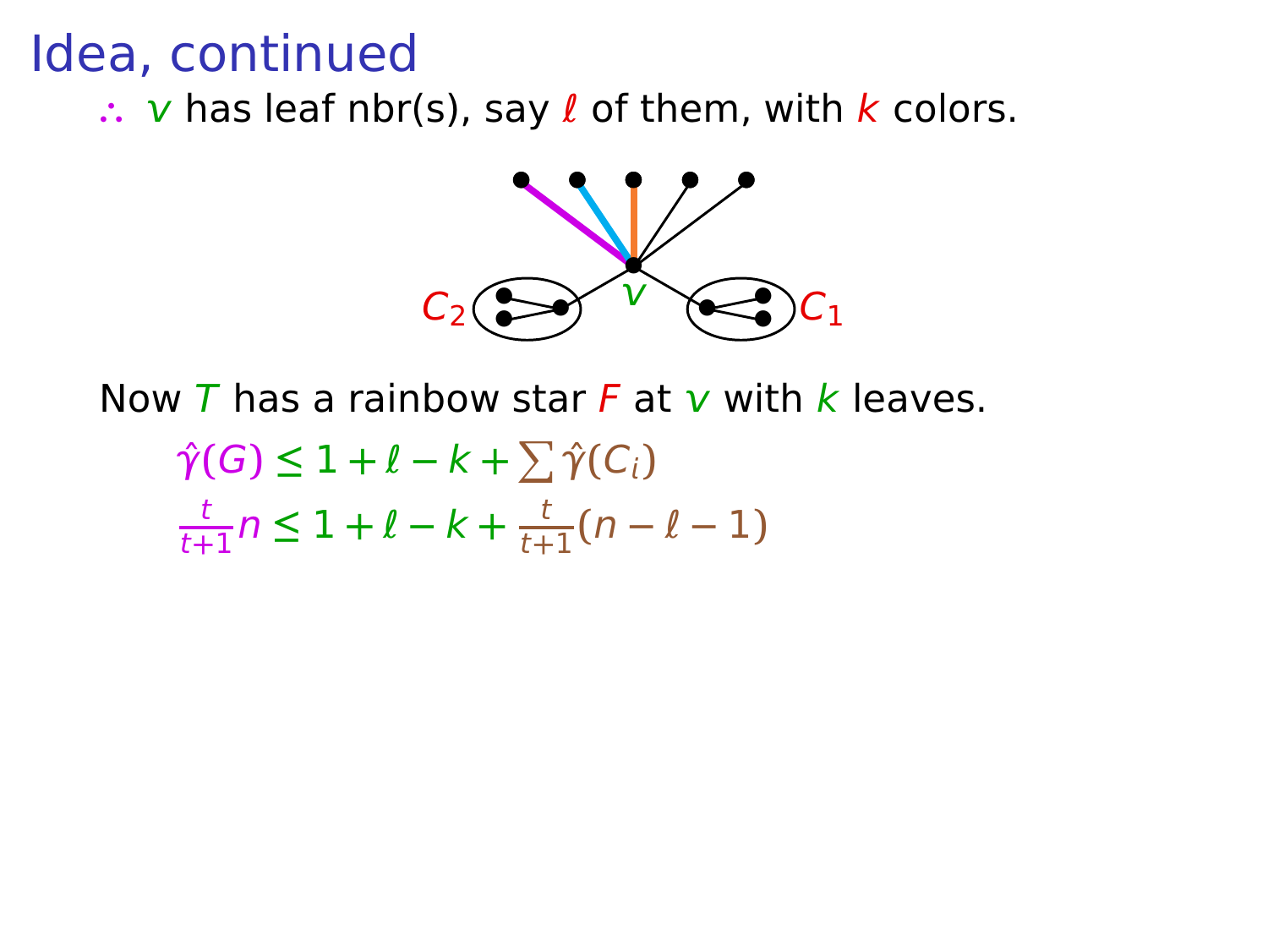∴ *v* has leaf nbr(s), say *ℓ* of them, with *k* colors.



Now  $\overline{T}$  has a rainbow star  $\overline{F}$  at  $\overline{v}$  with  $\overline{k}$  leaves.

$$
\hat{\gamma}(G) \le 1 + \ell - k + \sum_{i} \hat{\gamma}(C_i)
$$
  

$$
\frac{t}{t+1}n \le 1 + \ell - k + \frac{t}{t+1}(n - \ell - 1)
$$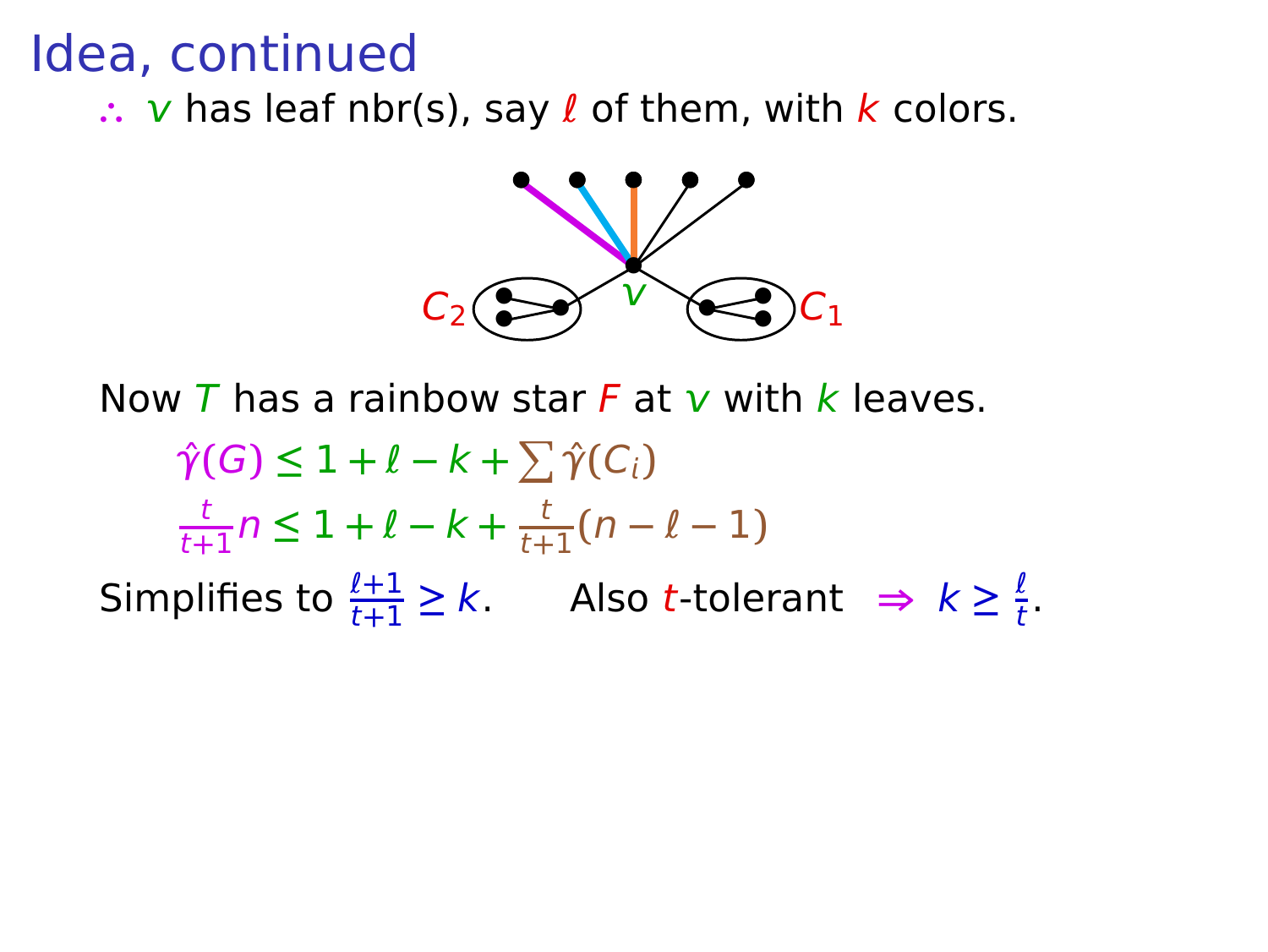∴ v has leaf nbr(s), say *l* of them, with *k* colors.



Now T has a rainbow star F at  $\bf{v}$  with k leaves.

 $\hat{\gamma}(G) \leq 1 + \ell - k + \sum \hat{\gamma}(C_i)$ t  $\frac{t}{t+1}$  $n \leq 1 + \ell - k + \frac{t}{t+1}$  $\frac{1}{t+1}(n-\ell-1)$ Simplifies to  $\frac{\ell+1}{t+1} \ge k$ . Also t-tolerant  $\Rightarrow k \ge \frac{\ell}{t}$  $\frac{t}{t}$ .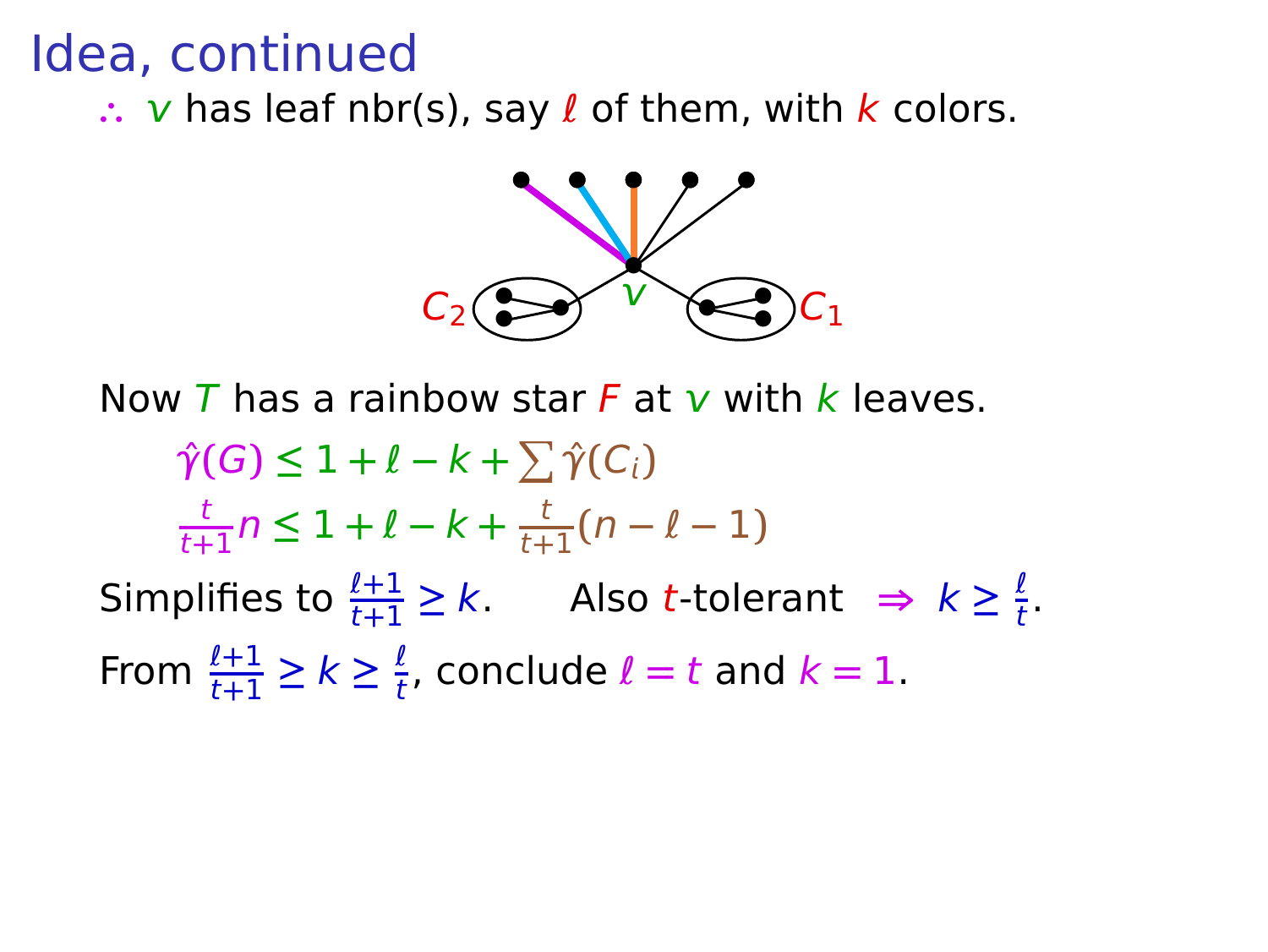∴ v has leaf nbr(s), say *l* of them, with *k* colors.



Now T has a rainbow star F at  $\bf{v}$  with k leaves.

 $\hat{\gamma}(G) \leq 1 + \ell - k + \sum \hat{\gamma}(C_i)$ t  $\frac{t}{t+1}$  $n \leq 1 + \ell - k + \frac{t}{t+1}$  $\frac{1}{t+1}(n-\ell-1)$ Simplifies to  $\frac{\ell+1}{t+1} \ge k$ . Also t-tolerant  $\Rightarrow k \ge \frac{\ell}{t}$  $\frac{t}{t}$ . From  $\frac{\ell+1}{t+1} \geq k \geq \frac{\ell}{t}$  $\frac{t}{t}$ , conclude  $l = t$  and  $k = 1$ .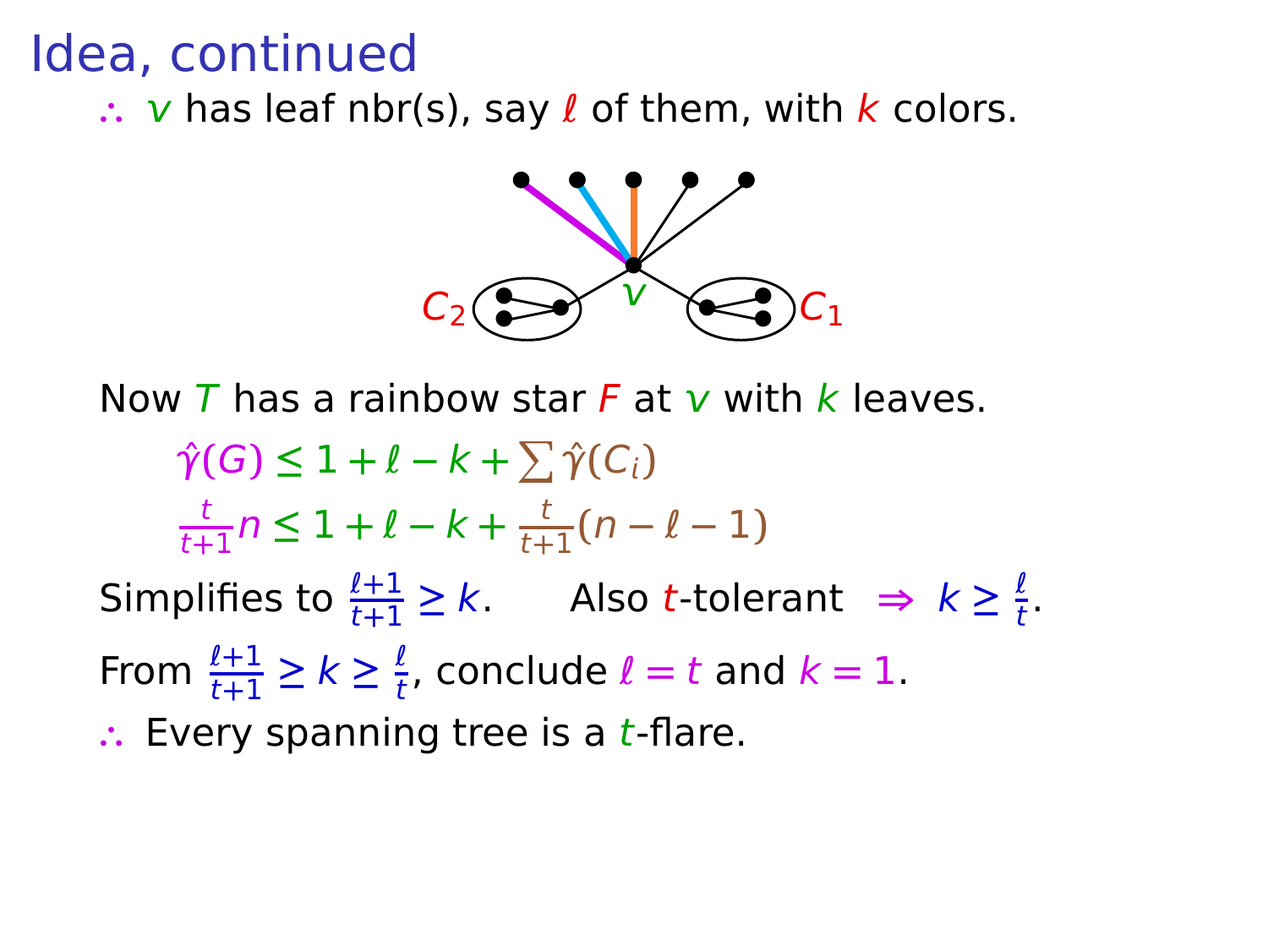∴ v has leaf nbr(s), say *l* of them, with *k* colors.



Now T has a rainbow star F at  $\bf{v}$  with k leaves.

 $\hat{\gamma}(G) \leq 1 + \ell - k + \sum \hat{\gamma}(C_i)$ t  $\frac{t}{t+1}$  $n \leq 1 + \ell - k + \frac{t}{t+1}$  $\frac{1}{t+1}(n-\ell-1)$ Simplifies to  $\frac{\ell+1}{t+1} \ge k$ . Also t-tolerant  $\Rightarrow k \ge \frac{\ell}{t}$  $\frac{t}{t}$ . From  $\frac{\ell+1}{t+1} \geq k \geq \frac{\ell}{t}$  $\frac{t}{t}$ , conclude  $l = t$  and  $k = 1$ . ∴ Every spanning tree is a *t*-flare.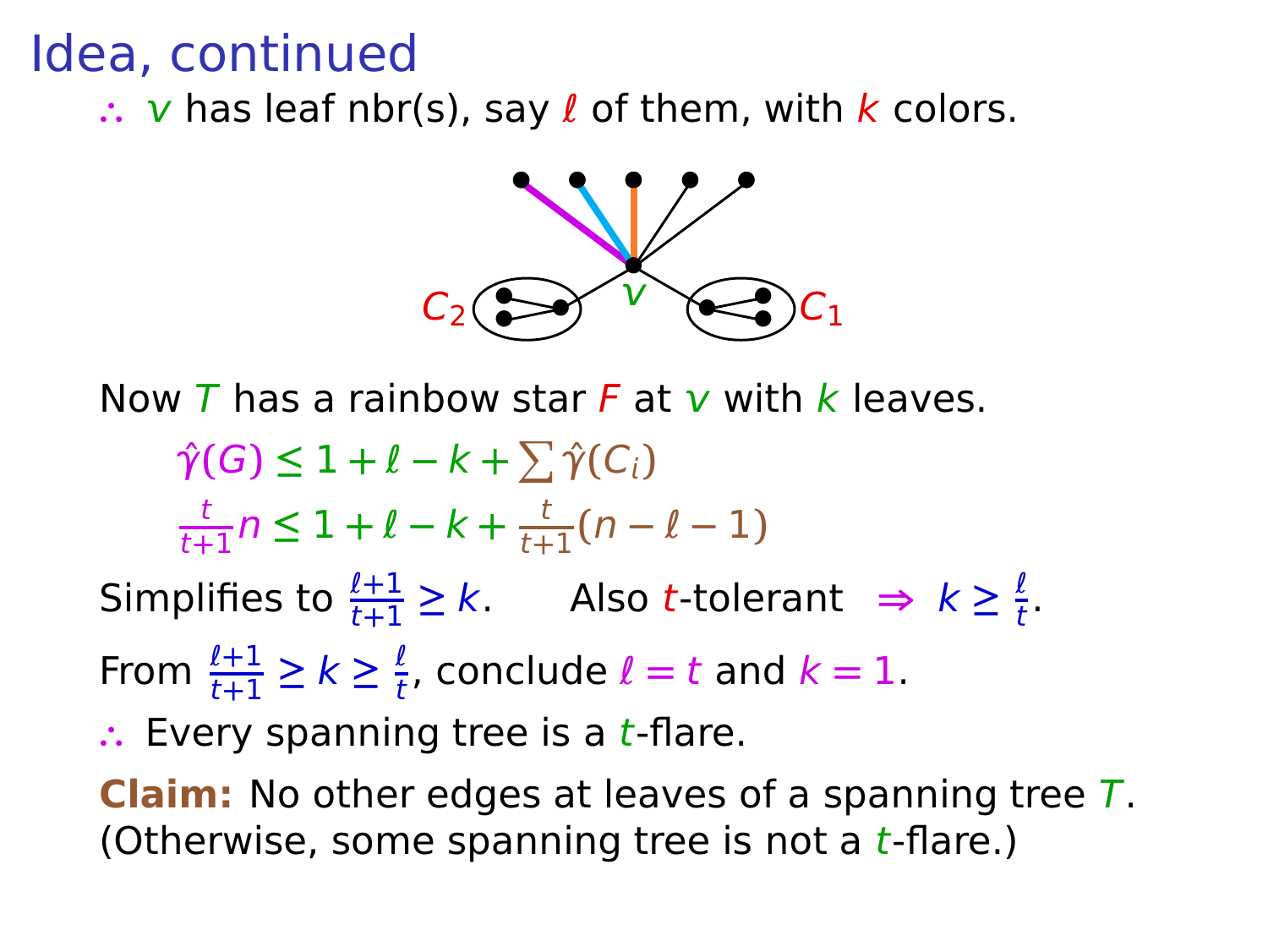∴ v has leaf nbr(s), say *l* of them, with *k* colors.



Now T has a rainbow star F at  $\bf{v}$  with k leaves.

 $\hat{\gamma}(G) \leq 1 + \ell - k + \sum \hat{\gamma}(C_i)$ t  $\frac{t}{t+1}$  $n \leq 1 + \ell - k + \frac{t}{t+1}$  $\frac{1}{t+1}(n-\ell-1)$ Simplifies to  $\frac{\ell+1}{t+1} \ge k$ . Also t-tolerant  $\Rightarrow k \ge \frac{\ell}{t}$ From  $\frac{\ell+1}{t+1} \geq k \geq \frac{\ell}{t}$  $\frac{t}{t}$ , conclude  $l = t$  and  $k = 1$ .

∴ Every spanning tree is a *t*-flare.

**Claim:** No other edges at leaves of a spanning tree T. (Otherwise, some spanning tree is not a  $t$ -flare.)

 $\frac{t}{t}$ .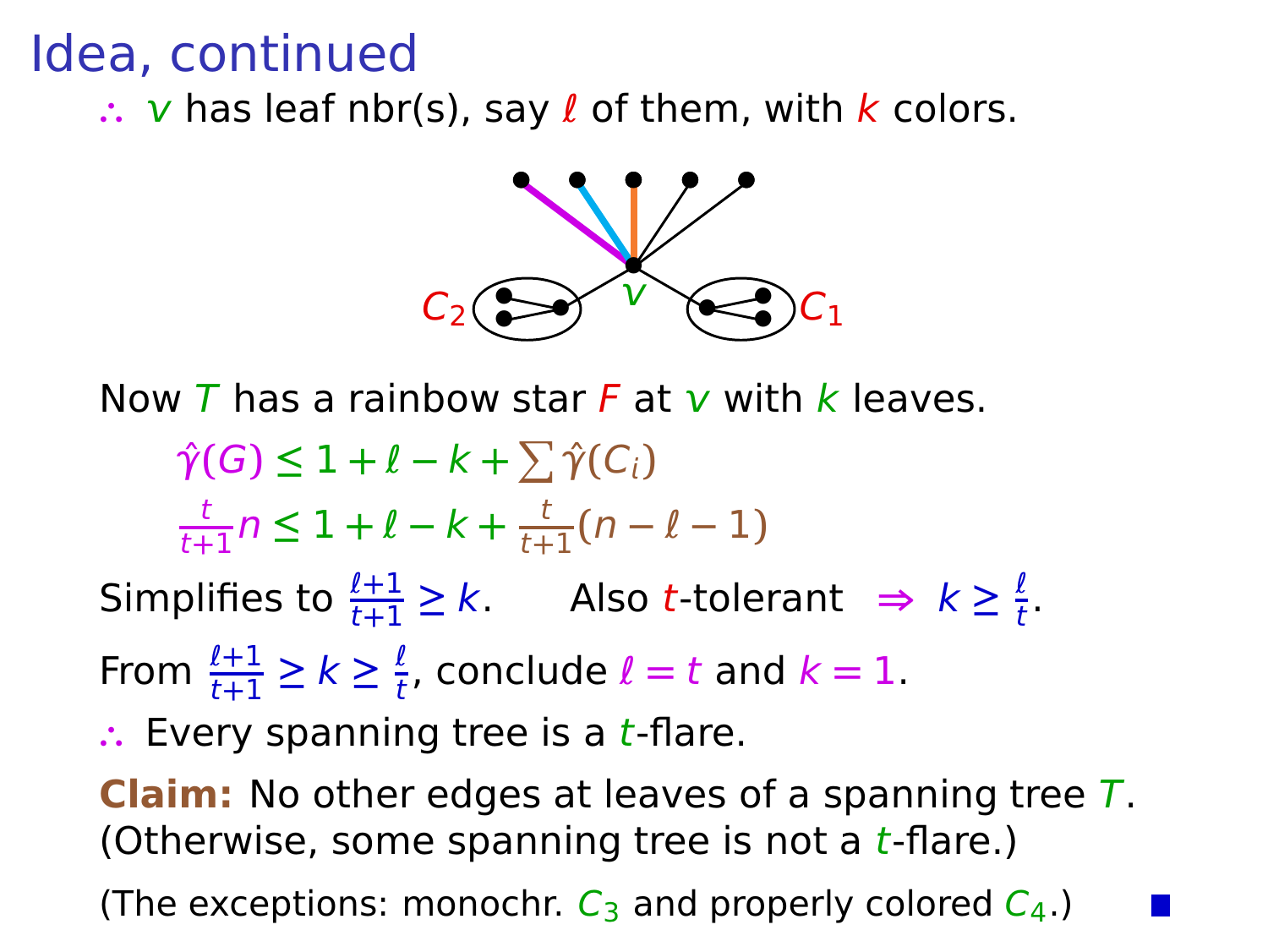∴ *v* has leaf nbr(s), say *l* of them, with *k* colors.



Now T has a rainbow star F at  $\bf{v}$  with k leaves.

 $\hat{\gamma}(G) \leq 1 + \ell - k + \sum \hat{\gamma}(C_i)$ t  $\frac{t}{t+1}$  $n \leq 1 + \ell - k + \frac{t}{t+1}$  $\frac{1}{t+1}(n-\ell-1)$ Simplifies to  $\frac{\ell+1}{t+1} \ge k$ . Also t-tolerant  $\Rightarrow k \ge \frac{\ell}{t}$ 

From  $\frac{\ell+1}{t+1} \geq k \geq \frac{\ell}{t}$  $\frac{t}{t}$ , conclude  $l = t$  and  $k = 1$ .

∴ Every spanning tree is a *t*-flare.

**Claim:** No other edges at leaves of a spanning tree T. (Otherwise, some spanning tree is not a  $t$ -flare.)

 $\frac{t}{t}$ .

(The exceptions: monochr.  $C_3$  and properly colored  $C_4$ .)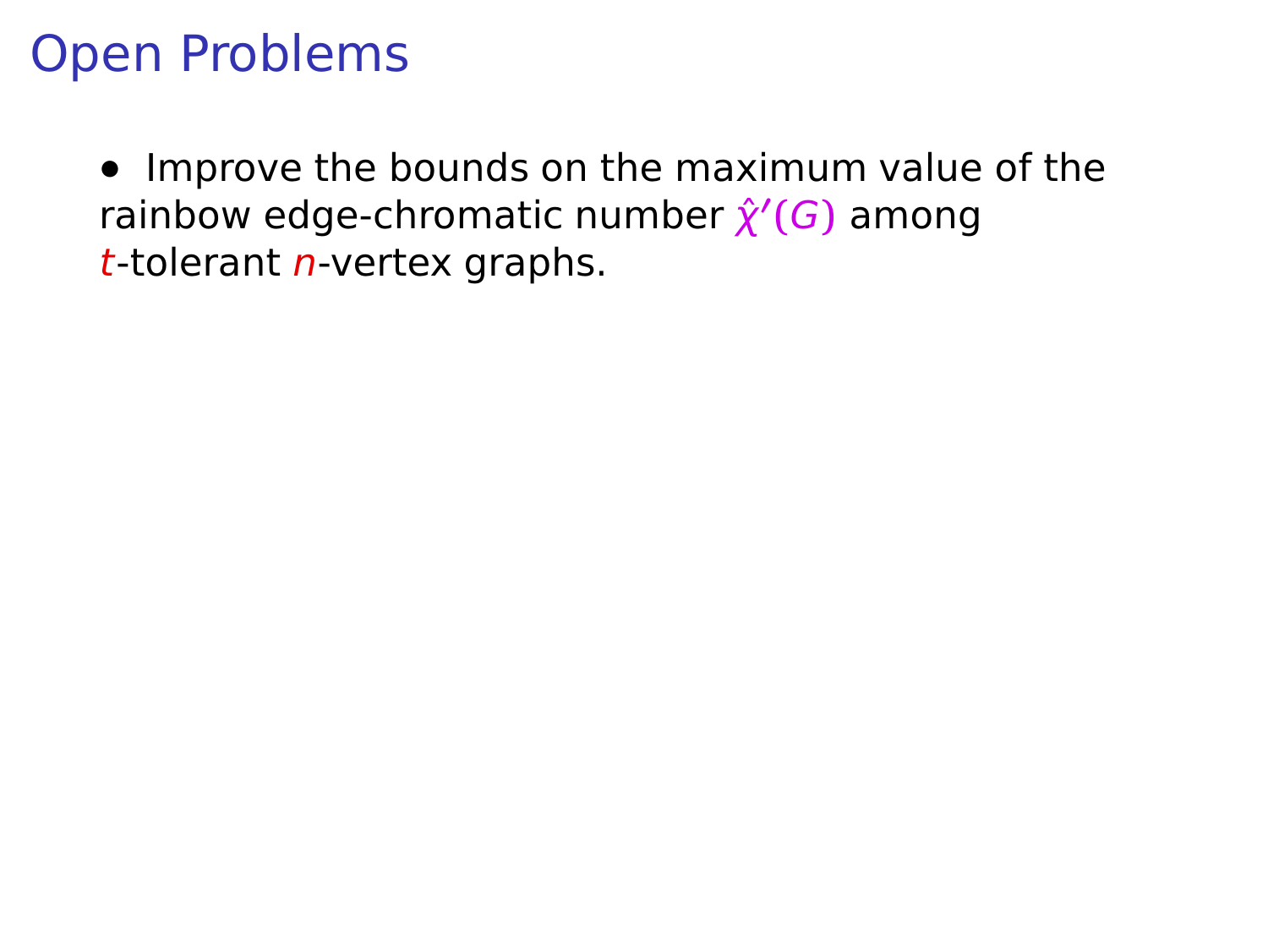**•** Improve the bounds on the maximum value of the *rainbow edge-chromatic number*  $\hat{\chi}'(G)$  *among*  $t$ -tolerant *n*-vertex graphs.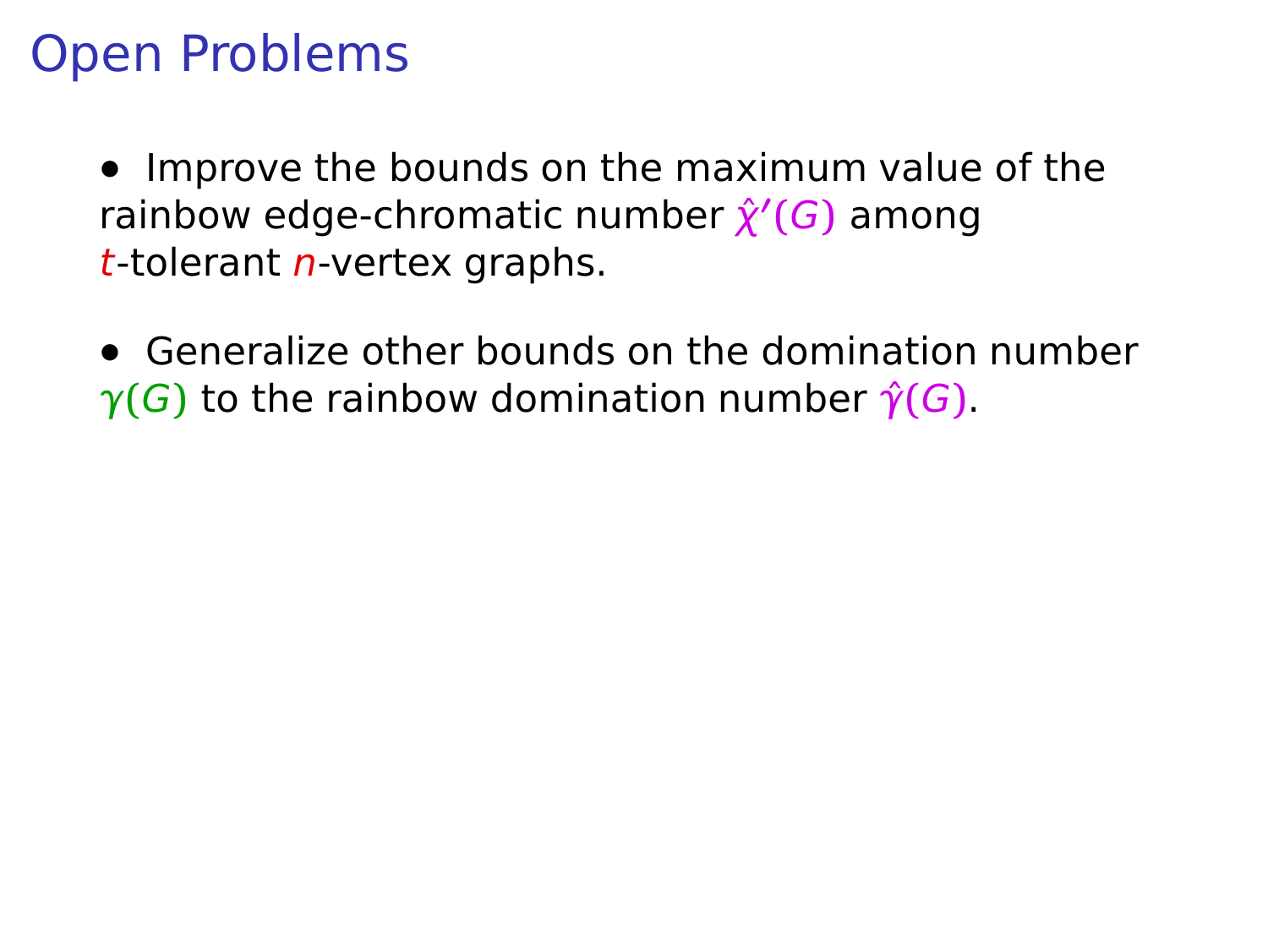**•** Improve the bounds on the maximum value of the *rainbow edge-chromatic number*  $\hat{\chi}'(G)$  *among*  $t$ -tolerant *n*-vertex graphs.

**•** Generalize other bounds on the domination number  $\gamma(G)$  to the rainbow domination number  $\hat{\gamma}(G)$ .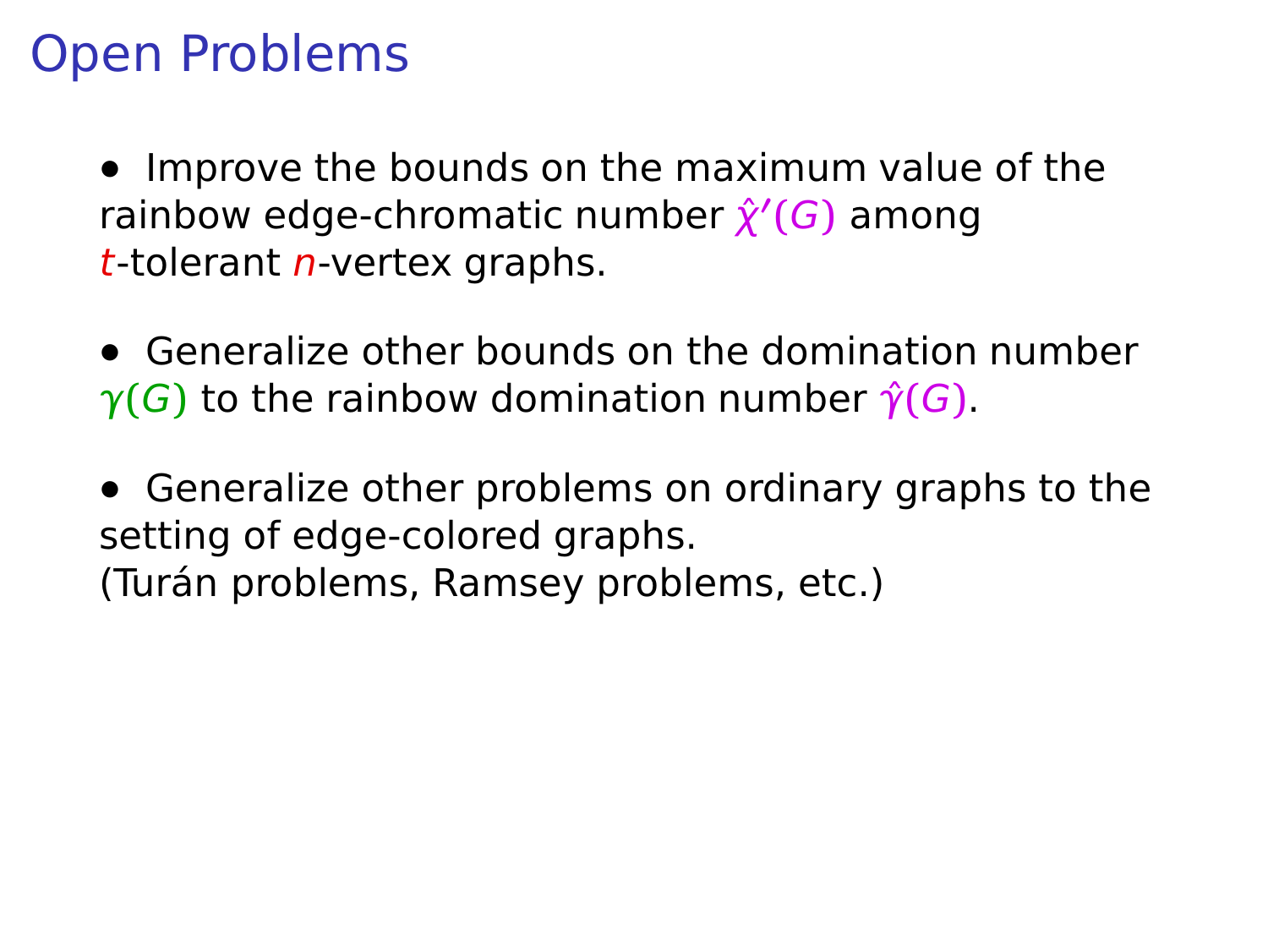**•** Improve the bounds on the maximum value of the *rainbow edge-chromatic number*  $\hat{\chi}'(G)$  *among*  $t$ -tolerant *n*-vertex graphs.

**•** Generalize other bounds on the domination number  $\gamma(G)$  to the rainbow domination number  $\hat{\gamma}(G)$ .

**•** Generalize other problems on ordinary graphs to the setting of edge-colored graphs. (Turán problems, Ramsey problems, etc.)